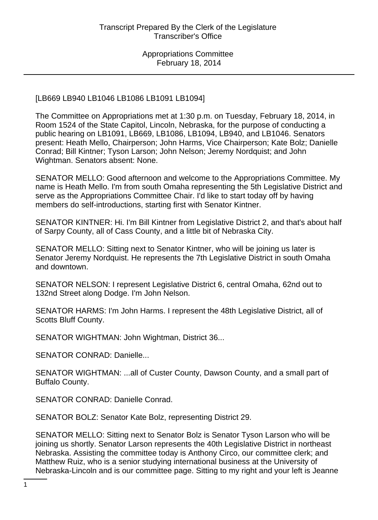### [LB669 LB940 LB1046 LB1086 LB1091 LB1094]

The Committee on Appropriations met at 1:30 p.m. on Tuesday, February 18, 2014, in Room 1524 of the State Capitol, Lincoln, Nebraska, for the purpose of conducting a public hearing on LB1091, LB669, LB1086, LB1094, LB940, and LB1046. Senators present: Heath Mello, Chairperson; John Harms, Vice Chairperson; Kate Bolz; Danielle Conrad; Bill Kintner; Tyson Larson; John Nelson; Jeremy Nordquist; and John Wightman. Senators absent: None.

SENATOR MELLO: Good afternoon and welcome to the Appropriations Committee. My name is Heath Mello. I'm from south Omaha representing the 5th Legislative District and serve as the Appropriations Committee Chair. I'd like to start today off by having members do self-introductions, starting first with Senator Kintner.

SENATOR KINTNER: Hi. I'm Bill Kintner from Legislative District 2, and that's about half of Sarpy County, all of Cass County, and a little bit of Nebraska City.

SENATOR MELLO: Sitting next to Senator Kintner, who will be joining us later is Senator Jeremy Nordquist. He represents the 7th Legislative District in south Omaha and downtown.

SENATOR NELSON: I represent Legislative District 6, central Omaha, 62nd out to 132nd Street along Dodge. I'm John Nelson.

SENATOR HARMS: I'm John Harms. I represent the 48th Legislative District, all of Scotts Bluff County.

SENATOR WIGHTMAN: John Wightman, District 36...

SENATOR CONRAD: Danielle...

SENATOR WIGHTMAN: ...all of Custer County, Dawson County, and a small part of Buffalo County.

SENATOR CONRAD: Danielle Conrad.

SENATOR BOLZ: Senator Kate Bolz, representing District 29.

SENATOR MELLO: Sitting next to Senator Bolz is Senator Tyson Larson who will be joining us shortly. Senator Larson represents the 40th Legislative District in northeast Nebraska. Assisting the committee today is Anthony Circo, our committee clerk; and Matthew Ruiz, who is a senior studying international business at the University of Nebraska-Lincoln and is our committee page. Sitting to my right and your left is Jeanne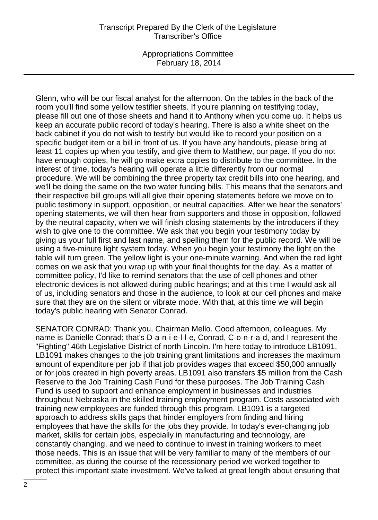#### Transcript Prepared By the Clerk of the Legislature Transcriber's Office

Appropriations Committee February 18, 2014

Glenn, who will be our fiscal analyst for the afternoon. On the tables in the back of the room you'll find some yellow testifier sheets. If you're planning on testifying today, please fill out one of those sheets and hand it to Anthony when you come up. It helps us keep an accurate public record of today's hearing. There is also a white sheet on the back cabinet if you do not wish to testify but would like to record your position on a specific budget item or a bill in front of us. If you have any handouts, please bring at least 11 copies up when you testify, and give them to Matthew, our page. If you do not have enough copies, he will go make extra copies to distribute to the committee. In the interest of time, today's hearing will operate a little differently from our normal procedure. We will be combining the three property tax credit bills into one hearing, and we'll be doing the same on the two water funding bills. This means that the senators and their respective bill groups will all give their opening statements before we move on to public testimony in support, opposition, or neutral capacities. After we hear the senators' opening statements, we will then hear from supporters and those in opposition, followed by the neutral capacity, when we will finish closing statements by the introducers if they wish to give one to the committee. We ask that you begin your testimony today by giving us your full first and last name, and spelling them for the public record. We will be using a five-minute light system today. When you begin your testimony the light on the table will turn green. The yellow light is your one-minute warning. And when the red light comes on we ask that you wrap up with your final thoughts for the day. As a matter of committee policy, I'd like to remind senators that the use of cell phones and other electronic devices is not allowed during public hearings; and at this time I would ask all of us, including senators and those in the audience, to look at our cell phones and make sure that they are on the silent or vibrate mode. With that, at this time we will begin today's public hearing with Senator Conrad.

SENATOR CONRAD: Thank you, Chairman Mello. Good afternoon, colleagues. My name is Danielle Conrad; that's D-a-n-i-e-l-l-e, Conrad, C-o-n-r-a-d, and I represent the "Fighting" 46th Legislative District of north Lincoln. I'm here today to introduce LB1091. LB1091 makes changes to the job training grant limitations and increases the maximum amount of expenditure per job if that job provides wages that exceed \$50,000 annually or for jobs created in high poverty areas. LB1091 also transfers \$5 million from the Cash Reserve to the Job Training Cash Fund for these purposes. The Job Training Cash Fund is used to support and enhance employment in businesses and industries throughout Nebraska in the skilled training employment program. Costs associated with training new employees are funded through this program. LB1091 is a targeted approach to address skills gaps that hinder employers from finding and hiring employees that have the skills for the jobs they provide. In today's ever-changing job market, skills for certain jobs, especially in manufacturing and technology, are constantly changing, and we need to continue to invest in training workers to meet those needs. This is an issue that will be very familiar to many of the members of our committee, as during the course of the recessionary period we worked together to protect this important state investment. We've talked at great length about ensuring that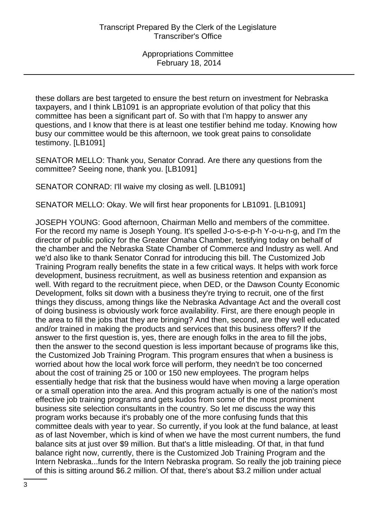these dollars are best targeted to ensure the best return on investment for Nebraska taxpayers, and I think LB1091 is an appropriate evolution of that policy that this committee has been a significant part of. So with that I'm happy to answer any questions, and I know that there is at least one testifier behind me today. Knowing how busy our committee would be this afternoon, we took great pains to consolidate testimony. [LB1091]

SENATOR MELLO: Thank you, Senator Conrad. Are there any questions from the committee? Seeing none, thank you. [LB1091]

SENATOR CONRAD: I'll waive my closing as well. [LB1091]

SENATOR MELLO: Okay. We will first hear proponents for LB1091. [LB1091]

JOSEPH YOUNG: Good afternoon, Chairman Mello and members of the committee. For the record my name is Joseph Young. It's spelled J-o-s-e-p-h Y-o-u-n-g, and I'm the director of public policy for the Greater Omaha Chamber, testifying today on behalf of the chamber and the Nebraska State Chamber of Commerce and Industry as well. And we'd also like to thank Senator Conrad for introducing this bill. The Customized Job Training Program really benefits the state in a few critical ways. It helps with work force development, business recruitment, as well as business retention and expansion as well. With regard to the recruitment piece, when DED, or the Dawson County Economic Development, folks sit down with a business they're trying to recruit, one of the first things they discuss, among things like the Nebraska Advantage Act and the overall cost of doing business is obviously work force availability. First, are there enough people in the area to fill the jobs that they are bringing? And then, second, are they well educated and/or trained in making the products and services that this business offers? If the answer to the first question is, yes, there are enough folks in the area to fill the jobs, then the answer to the second question is less important because of programs like this, the Customized Job Training Program. This program ensures that when a business is worried about how the local work force will perform, they needn't be too concerned about the cost of training 25 or 100 or 150 new employees. The program helps essentially hedge that risk that the business would have when moving a large operation or a small operation into the area. And this program actually is one of the nation's most effective job training programs and gets kudos from some of the most prominent business site selection consultants in the country. So let me discuss the way this program works because it's probably one of the more confusing funds that this committee deals with year to year. So currently, if you look at the fund balance, at least as of last November, which is kind of when we have the most current numbers, the fund balance sits at just over \$9 million. But that's a little misleading. Of that, in that fund balance right now, currently, there is the Customized Job Training Program and the Intern Nebraska...funds for the Intern Nebraska program. So really the job training piece of this is sitting around \$6.2 million. Of that, there's about \$3.2 million under actual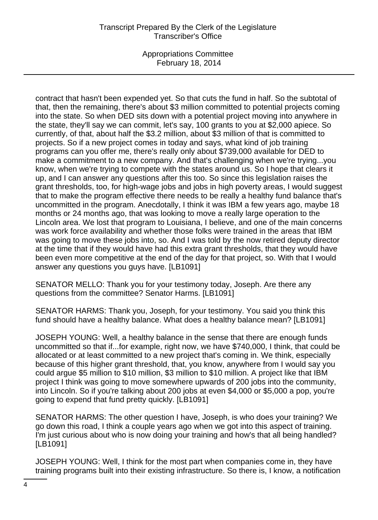### Transcript Prepared By the Clerk of the Legislature Transcriber's Office

Appropriations Committee February 18, 2014

contract that hasn't been expended yet. So that cuts the fund in half. So the subtotal of that, then the remaining, there's about \$3 million committed to potential projects coming into the state. So when DED sits down with a potential project moving into anywhere in the state, they'll say we can commit, let's say, 100 grants to you at \$2,000 apiece. So currently, of that, about half the \$3.2 million, about \$3 million of that is committed to projects. So if a new project comes in today and says, what kind of job training programs can you offer me, there's really only about \$739,000 available for DED to make a commitment to a new company. And that's challenging when we're trying...you know, when we're trying to compete with the states around us. So I hope that clears it up, and I can answer any questions after this too. So since this legislation raises the grant thresholds, too, for high-wage jobs and jobs in high poverty areas, I would suggest that to make the program effective there needs to be really a healthy fund balance that's uncommitted in the program. Anecdotally, I think it was IBM a few years ago, maybe 18 months or 24 months ago, that was looking to move a really large operation to the Lincoln area. We lost that program to Louisiana, I believe, and one of the main concerns was work force availability and whether those folks were trained in the areas that IBM was going to move these jobs into, so. And I was told by the now retired deputy director at the time that if they would have had this extra grant thresholds, that they would have been even more competitive at the end of the day for that project, so. With that I would answer any questions you guys have. [LB1091]

SENATOR MELLO: Thank you for your testimony today, Joseph. Are there any questions from the committee? Senator Harms. [LB1091]

SENATOR HARMS: Thank you, Joseph, for your testimony. You said you think this fund should have a healthy balance. What does a healthy balance mean? [LB1091]

JOSEPH YOUNG: Well, a healthy balance in the sense that there are enough funds uncommitted so that if...for example, right now, we have \$740,000, I think, that could be allocated or at least committed to a new project that's coming in. We think, especially because of this higher grant threshold, that, you know, anywhere from I would say you could argue \$5 million to \$10 million, \$3 million to \$10 million. A project like that IBM project I think was going to move somewhere upwards of 200 jobs into the community, into Lincoln. So if you're talking about 200 jobs at even \$4,000 or \$5,000 a pop, you're going to expend that fund pretty quickly. [LB1091]

SENATOR HARMS: The other question I have, Joseph, is who does your training? We go down this road, I think a couple years ago when we got into this aspect of training. I'm just curious about who is now doing your training and how's that all being handled? [LB1091]

JOSEPH YOUNG: Well, I think for the most part when companies come in, they have training programs built into their existing infrastructure. So there is, I know, a notification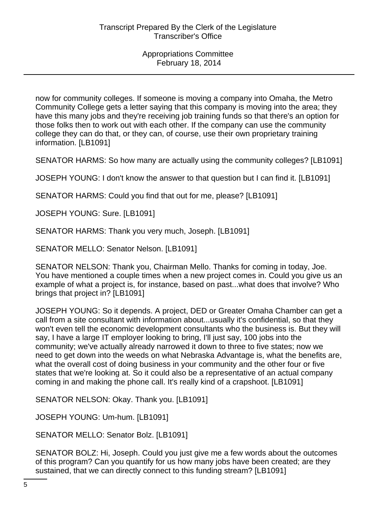now for community colleges. If someone is moving a company into Omaha, the Metro Community College gets a letter saying that this company is moving into the area; they have this many jobs and they're receiving job training funds so that there's an option for those folks then to work out with each other. If the company can use the community college they can do that, or they can, of course, use their own proprietary training information. [LB1091]

SENATOR HARMS: So how many are actually using the community colleges? [LB1091]

JOSEPH YOUNG: I don't know the answer to that question but I can find it. [LB1091]

SENATOR HARMS: Could you find that out for me, please? [LB1091]

JOSEPH YOUNG: Sure. [LB1091]

SENATOR HARMS: Thank you very much, Joseph. [LB1091]

SENATOR MELLO: Senator Nelson. [LB1091]

SENATOR NELSON: Thank you, Chairman Mello. Thanks for coming in today, Joe. You have mentioned a couple times when a new project comes in. Could you give us an example of what a project is, for instance, based on past...what does that involve? Who brings that project in? [LB1091]

JOSEPH YOUNG: So it depends. A project, DED or Greater Omaha Chamber can get a call from a site consultant with information about...usually it's confidential, so that they won't even tell the economic development consultants who the business is. But they will say, I have a large IT employer looking to bring, I'll just say, 100 jobs into the community; we've actually already narrowed it down to three to five states; now we need to get down into the weeds on what Nebraska Advantage is, what the benefits are, what the overall cost of doing business in your community and the other four or five states that we're looking at. So it could also be a representative of an actual company coming in and making the phone call. It's really kind of a crapshoot. [LB1091]

SENATOR NELSON: Okay. Thank you. [LB1091]

JOSEPH YOUNG: Um-hum. [LB1091]

SENATOR MELLO: Senator Bolz. [LB1091]

SENATOR BOLZ: Hi, Joseph. Could you just give me a few words about the outcomes of this program? Can you quantify for us how many jobs have been created; are they sustained, that we can directly connect to this funding stream? [LB1091]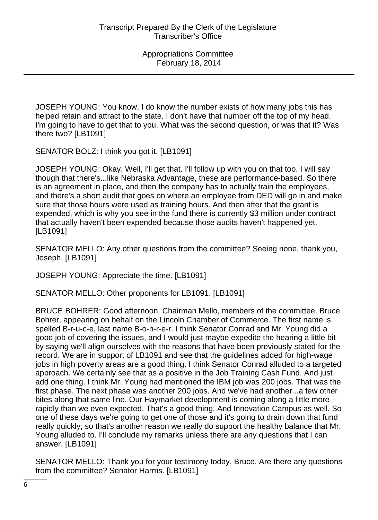JOSEPH YOUNG: You know, I do know the number exists of how many jobs this has helped retain and attract to the state. I don't have that number off the top of my head. I'm going to have to get that to you. What was the second question, or was that it? Was there two? [LB1091]

SENATOR BOLZ: I think you got it. [LB1091]

JOSEPH YOUNG: Okay. Well, I'll get that. I'll follow up with you on that too. I will say though that there's...like Nebraska Advantage, these are performance-based. So there is an agreement in place, and then the company has to actually train the employees, and there's a short audit that goes on where an employee from DED will go in and make sure that those hours were used as training hours. And then after that the grant is expended, which is why you see in the fund there is currently \$3 million under contract that actually haven't been expended because those audits haven't happened yet. [LB1091]

SENATOR MELLO: Any other questions from the committee? Seeing none, thank you, Joseph. [LB1091]

JOSEPH YOUNG: Appreciate the time. [LB1091]

SENATOR MELLO: Other proponents for LB1091. [LB1091]

BRUCE BOHRER: Good afternoon, Chairman Mello, members of the committee. Bruce Bohrer, appearing on behalf on the Lincoln Chamber of Commerce. The first name is spelled B-r-u-c-e, last name B-o-h-r-e-r. I think Senator Conrad and Mr. Young did a good job of covering the issues, and I would just maybe expedite the hearing a little bit by saying we'll align ourselves with the reasons that have been previously stated for the record. We are in support of LB1091 and see that the guidelines added for high-wage jobs in high poverty areas are a good thing. I think Senator Conrad alluded to a targeted approach. We certainly see that as a positive in the Job Training Cash Fund. And just add one thing. I think Mr. Young had mentioned the IBM job was 200 jobs. That was the first phase. The next phase was another 200 jobs. And we've had another...a few other bites along that same line. Our Haymarket development is coming along a little more rapidly than we even expected. That's a good thing. And Innovation Campus as well. So one of these days we're going to get one of those and it's going to drain down that fund really quickly; so that's another reason we really do support the healthy balance that Mr. Young alluded to. I'll conclude my remarks unless there are any questions that I can answer. [LB1091]

SENATOR MELLO: Thank you for your testimony today, Bruce. Are there any questions from the committee? Senator Harms. [LB1091]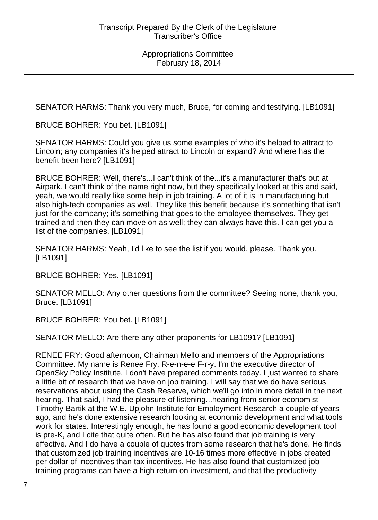SENATOR HARMS: Thank you very much, Bruce, for coming and testifying. [LB1091]

BRUCE BOHRER: You bet. [LB1091]

SENATOR HARMS: Could you give us some examples of who it's helped to attract to Lincoln; any companies it's helped attract to Lincoln or expand? And where has the benefit been here? [LB1091]

BRUCE BOHRER: Well, there's...I can't think of the...it's a manufacturer that's out at Airpark. I can't think of the name right now, but they specifically looked at this and said, yeah, we would really like some help in job training. A lot of it is in manufacturing but also high-tech companies as well. They like this benefit because it's something that isn't just for the company; it's something that goes to the employee themselves. They get trained and then they can move on as well; they can always have this. I can get you a list of the companies. [LB1091]

SENATOR HARMS: Yeah, I'd like to see the list if you would, please. Thank you. [LB1091]

BRUCE BOHRER: Yes. [LB1091]

SENATOR MELLO: Any other questions from the committee? Seeing none, thank you, Bruce. [LB1091]

BRUCE BOHRER: You bet. [LB1091]

SENATOR MELLO: Are there any other proponents for LB1091? [LB1091]

RENEE FRY: Good afternoon, Chairman Mello and members of the Appropriations Committee. My name is Renee Fry, R-e-n-e-e F-r-y. I'm the executive director of OpenSky Policy Institute. I don't have prepared comments today. I just wanted to share a little bit of research that we have on job training. I will say that we do have serious reservations about using the Cash Reserve, which we'll go into in more detail in the next hearing. That said, I had the pleasure of listening...hearing from senior economist Timothy Bartik at the W.E. Upjohn Institute for Employment Research a couple of years ago, and he's done extensive research looking at economic development and what tools work for states. Interestingly enough, he has found a good economic development tool is pre-K, and I cite that quite often. But he has also found that job training is very effective. And I do have a couple of quotes from some research that he's done. He finds that customized job training incentives are 10-16 times more effective in jobs created per dollar of incentives than tax incentives. He has also found that customized job training programs can have a high return on investment, and that the productivity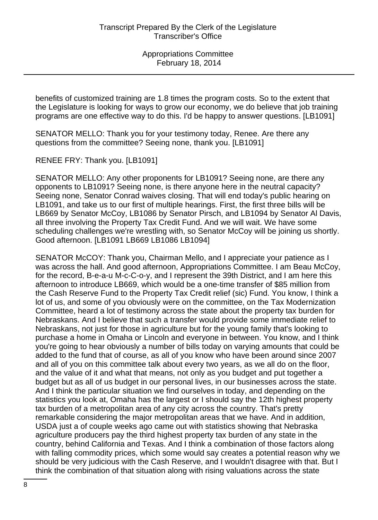benefits of customized training are 1.8 times the program costs. So to the extent that the Legislature is looking for ways to grow our economy, we do believe that job training programs are one effective way to do this. I'd be happy to answer questions. [LB1091]

SENATOR MELLO: Thank you for your testimony today, Renee. Are there any questions from the committee? Seeing none, thank you. [LB1091]

RENEE FRY: Thank you. [LB1091]

SENATOR MELLO: Any other proponents for LB1091? Seeing none, are there any opponents to LB1091? Seeing none, is there anyone here in the neutral capacity? Seeing none, Senator Conrad waives closing. That will end today's public hearing on LB1091, and take us to our first of multiple hearings. First, the first three bills will be LB669 by Senator McCoy, LB1086 by Senator Pirsch, and LB1094 by Senator Al Davis, all three involving the Property Tax Credit Fund. And we will wait. We have some scheduling challenges we're wrestling with, so Senator McCoy will be joining us shortly. Good afternoon. [LB1091 LB669 LB1086 LB1094]

SENATOR McCOY: Thank you, Chairman Mello, and I appreciate your patience as I was across the hall. And good afternoon, Appropriations Committee. I am Beau McCoy, for the record, B-e-a-u M-c-C-o-y, and I represent the 39th District, and I am here this afternoon to introduce LB669, which would be a one-time transfer of \$85 million from the Cash Reserve Fund to the Property Tax Credit relief (sic) Fund. You know, I think a lot of us, and some of you obviously were on the committee, on the Tax Modernization Committee, heard a lot of testimony across the state about the property tax burden for Nebraskans. And I believe that such a transfer would provide some immediate relief to Nebraskans, not just for those in agriculture but for the young family that's looking to purchase a home in Omaha or Lincoln and everyone in between. You know, and I think you're going to hear obviously a number of bills today on varying amounts that could be added to the fund that of course, as all of you know who have been around since 2007 and all of you on this committee talk about every two years, as we all do on the floor, and the value of it and what that means, not only as you budget and put together a budget but as all of us budget in our personal lives, in our businesses across the state. And I think the particular situation we find ourselves in today, and depending on the statistics you look at, Omaha has the largest or I should say the 12th highest property tax burden of a metropolitan area of any city across the country. That's pretty remarkable considering the major metropolitan areas that we have. And in addition, USDA just a of couple weeks ago came out with statistics showing that Nebraska agriculture producers pay the third highest property tax burden of any state in the country, behind California and Texas. And I think a combination of those factors along with falling commodity prices, which some would say creates a potential reason why we should be very judicious with the Cash Reserve, and I wouldn't disagree with that. But I think the combination of that situation along with rising valuations across the state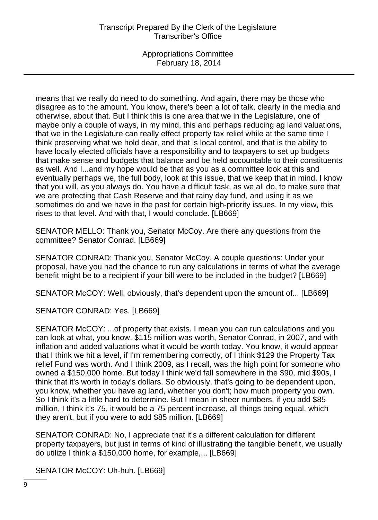means that we really do need to do something. And again, there may be those who disagree as to the amount. You know, there's been a lot of talk, clearly in the media and otherwise, about that. But I think this is one area that we in the Legislature, one of maybe only a couple of ways, in my mind, this and perhaps reducing ag land valuations, that we in the Legislature can really effect property tax relief while at the same time I think preserving what we hold dear, and that is local control, and that is the ability to have locally elected officials have a responsibility and to taxpayers to set up budgets that make sense and budgets that balance and be held accountable to their constituents as well. And I...and my hope would be that as you as a committee look at this and eventually perhaps we, the full body, look at this issue, that we keep that in mind. I know that you will, as you always do. You have a difficult task, as we all do, to make sure that we are protecting that Cash Reserve and that rainy day fund, and using it as we sometimes do and we have in the past for certain high-priority issues. In my view, this rises to that level. And with that, I would conclude. [LB669]

SENATOR MELLO: Thank you, Senator McCoy. Are there any questions from the committee? Senator Conrad. [LB669]

SENATOR CONRAD: Thank you, Senator McCoy. A couple questions: Under your proposal, have you had the chance to run any calculations in terms of what the average benefit might be to a recipient if your bill were to be included in the budget? [LB669]

SENATOR McCOY: Well, obviously, that's dependent upon the amount of... [LB669]

SENATOR CONRAD: Yes. [LB669]

SENATOR McCOY: ...of property that exists. I mean you can run calculations and you can look at what, you know, \$115 million was worth, Senator Conrad, in 2007, and with inflation and added valuations what it would be worth today. You know, it would appear that I think we hit a level, if I'm remembering correctly, of I think \$129 the Property Tax relief Fund was worth. And I think 2009, as I recall, was the high point for someone who owned a \$150,000 home. But today I think we'd fall somewhere in the \$90, mid \$90s, I think that it's worth in today's dollars. So obviously, that's going to be dependent upon, you know, whether you have ag land, whether you don't; how much property you own. So I think it's a little hard to determine. But I mean in sheer numbers, if you add \$85 million, I think it's 75, it would be a 75 percent increase, all things being equal, which they aren't, but if you were to add \$85 million. [LB669]

SENATOR CONRAD: No, I appreciate that it's a different calculation for different property taxpayers, but just in terms of kind of illustrating the tangible benefit, we usually do utilize I think a \$150,000 home, for example,... [LB669]

SENATOR McCOY: Uh-huh. [LB669]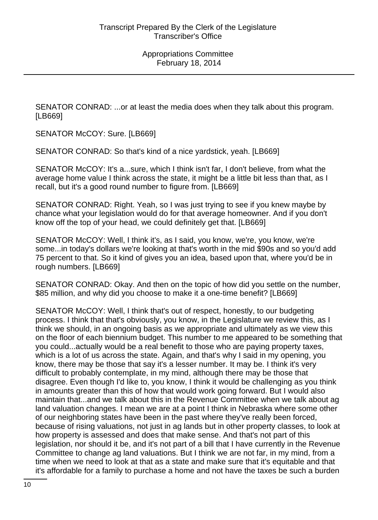SENATOR CONRAD: ...or at least the media does when they talk about this program. [LB669]

SENATOR McCOY: Sure. [LB669]

SENATOR CONRAD: So that's kind of a nice yardstick, yeah. [LB669]

SENATOR McCOY: It's a...sure, which I think isn't far, I don't believe, from what the average home value I think across the state, it might be a little bit less than that, as I recall, but it's a good round number to figure from. [LB669]

SENATOR CONRAD: Right. Yeah, so I was just trying to see if you knew maybe by chance what your legislation would do for that average homeowner. And if you don't know off the top of your head, we could definitely get that. [LB669]

SENATOR McCOY: Well, I think it's, as I said, you know, we're, you know, we're some...in today's dollars we're looking at that's worth in the mid \$90s and so you'd add 75 percent to that. So it kind of gives you an idea, based upon that, where you'd be in rough numbers. [LB669]

SENATOR CONRAD: Okay. And then on the topic of how did you settle on the number, \$85 million, and why did you choose to make it a one-time benefit? [LB669]

SENATOR McCOY: Well, I think that's out of respect, honestly, to our budgeting process. I think that that's obviously, you know, in the Legislature we review this, as I think we should, in an ongoing basis as we appropriate and ultimately as we view this on the floor of each biennium budget. This number to me appeared to be something that you could...actually would be a real benefit to those who are paying property taxes, which is a lot of us across the state. Again, and that's why I said in my opening, you know, there may be those that say it's a lesser number. It may be. I think it's very difficult to probably contemplate, in my mind, although there may be those that disagree. Even though I'd like to, you know, I think it would be challenging as you think in amounts greater than this of how that would work going forward. But I would also maintain that...and we talk about this in the Revenue Committee when we talk about ag land valuation changes. I mean we are at a point I think in Nebraska where some other of our neighboring states have been in the past where they've really been forced, because of rising valuations, not just in ag lands but in other property classes, to look at how property is assessed and does that make sense. And that's not part of this legislation, nor should it be, and it's not part of a bill that I have currently in the Revenue Committee to change ag land valuations. But I think we are not far, in my mind, from a time when we need to look at that as a state and make sure that it's equitable and that it's affordable for a family to purchase a home and not have the taxes be such a burden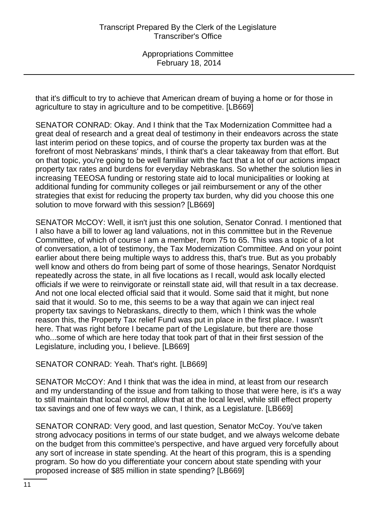that it's difficult to try to achieve that American dream of buying a home or for those in agriculture to stay in agriculture and to be competitive. [LB669]

SENATOR CONRAD: Okay. And I think that the Tax Modernization Committee had a great deal of research and a great deal of testimony in their endeavors across the state last interim period on these topics, and of course the property tax burden was at the forefront of most Nebraskans' minds, I think that's a clear takeaway from that effort. But on that topic, you're going to be well familiar with the fact that a lot of our actions impact property tax rates and burdens for everyday Nebraskans. So whether the solution lies in increasing TEEOSA funding or restoring state aid to local municipalities or looking at additional funding for community colleges or jail reimbursement or any of the other strategies that exist for reducing the property tax burden, why did you choose this one solution to move forward with this session? [LB669]

SENATOR McCOY: Well, it isn't just this one solution, Senator Conrad. I mentioned that I also have a bill to lower ag land valuations, not in this committee but in the Revenue Committee, of which of course I am a member, from 75 to 65. This was a topic of a lot of conversation, a lot of testimony, the Tax Modernization Committee. And on your point earlier about there being multiple ways to address this, that's true. But as you probably well know and others do from being part of some of those hearings, Senator Nordquist repeatedly across the state, in all five locations as I recall, would ask locally elected officials if we were to reinvigorate or reinstall state aid, will that result in a tax decrease. And not one local elected official said that it would. Some said that it might, but none said that it would. So to me, this seems to be a way that again we can inject real property tax savings to Nebraskans, directly to them, which I think was the whole reason this, the Property Tax relief Fund was put in place in the first place. I wasn't here. That was right before I became part of the Legislature, but there are those who...some of which are here today that took part of that in their first session of the Legislature, including you, I believe. [LB669]

# SENATOR CONRAD: Yeah. That's right. [LB669]

SENATOR McCOY: And I think that was the idea in mind, at least from our research and my understanding of the issue and from talking to those that were here, is it's a way to still maintain that local control, allow that at the local level, while still effect property tax savings and one of few ways we can, I think, as a Legislature. [LB669]

SENATOR CONRAD: Very good, and last question, Senator McCoy. You've taken strong advocacy positions in terms of our state budget, and we always welcome debate on the budget from this committee's perspective, and have argued very forcefully about any sort of increase in state spending. At the heart of this program, this is a spending program. So how do you differentiate your concern about state spending with your proposed increase of \$85 million in state spending? [LB669]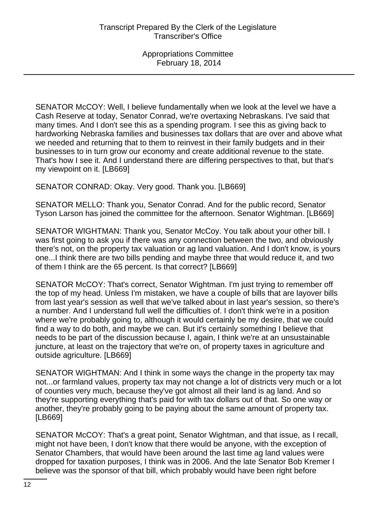SENATOR McCOY: Well, I believe fundamentally when we look at the level we have a Cash Reserve at today, Senator Conrad, we're overtaxing Nebraskans. I've said that many times. And I don't see this as a spending program. I see this as giving back to hardworking Nebraska families and businesses tax dollars that are over and above what we needed and returning that to them to reinvest in their family budgets and in their businesses to in turn grow our economy and create additional revenue to the state. That's how I see it. And I understand there are differing perspectives to that, but that's my viewpoint on it. [LB669]

SENATOR CONRAD: Okay. Very good. Thank you. [LB669]

SENATOR MELLO: Thank you, Senator Conrad. And for the public record, Senator Tyson Larson has joined the committee for the afternoon. Senator Wightman. [LB669]

SENATOR WIGHTMAN: Thank you, Senator McCoy. You talk about your other bill. I was first going to ask you if there was any connection between the two, and obviously there's not, on the property tax valuation or ag land valuation. And I don't know, is yours one...I think there are two bills pending and maybe three that would reduce it, and two of them I think are the 65 percent. Is that correct? [LB669]

SENATOR McCOY: That's correct, Senator Wightman. I'm just trying to remember off the top of my head. Unless I'm mistaken, we have a couple of bills that are layover bills from last year's session as well that we've talked about in last year's session, so there's a number. And I understand full well the difficulties of. I don't think we're in a position where we're probably going to, although it would certainly be my desire, that we could find a way to do both, and maybe we can. But it's certainly something I believe that needs to be part of the discussion because I, again, I think we're at an unsustainable juncture, at least on the trajectory that we're on, of property taxes in agriculture and outside agriculture. [LB669]

SENATOR WIGHTMAN: And I think in some ways the change in the property tax may not...or farmland values, property tax may not change a lot of districts very much or a lot of counties very much, because they've got almost all their land is ag land. And so they're supporting everything that's paid for with tax dollars out of that. So one way or another, they're probably going to be paying about the same amount of property tax. [LB669]

SENATOR McCOY: That's a great point, Senator Wightman, and that issue, as I recall, might not have been, I don't know that there would be anyone, with the exception of Senator Chambers, that would have been around the last time ag land values were dropped for taxation purposes, I think was in 2006. And the late Senator Bob Kremer I believe was the sponsor of that bill, which probably would have been right before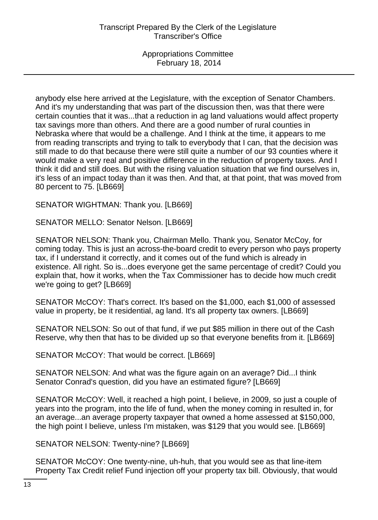anybody else here arrived at the Legislature, with the exception of Senator Chambers. And it's my understanding that was part of the discussion then, was that there were certain counties that it was...that a reduction in ag land valuations would affect property tax savings more than others. And there are a good number of rural counties in Nebraska where that would be a challenge. And I think at the time, it appears to me from reading transcripts and trying to talk to everybody that I can, that the decision was still made to do that because there were still quite a number of our 93 counties where it would make a very real and positive difference in the reduction of property taxes. And I think it did and still does. But with the rising valuation situation that we find ourselves in, it's less of an impact today than it was then. And that, at that point, that was moved from 80 percent to 75. [LB669]

SENATOR WIGHTMAN: Thank you. [LB669]

SENATOR MELLO: Senator Nelson. [LB669]

SENATOR NELSON: Thank you, Chairman Mello. Thank you, Senator McCoy, for coming today. This is just an across-the-board credit to every person who pays property tax, if I understand it correctly, and it comes out of the fund which is already in existence. All right. So is...does everyone get the same percentage of credit? Could you explain that, how it works, when the Tax Commissioner has to decide how much credit we're going to get? [LB669]

SENATOR McCOY: That's correct. It's based on the \$1,000, each \$1,000 of assessed value in property, be it residential, ag land. It's all property tax owners. [LB669]

SENATOR NELSON: So out of that fund, if we put \$85 million in there out of the Cash Reserve, why then that has to be divided up so that everyone benefits from it. [LB669]

SENATOR McCOY: That would be correct. [LB669]

SENATOR NELSON: And what was the figure again on an average? Did...I think Senator Conrad's question, did you have an estimated figure? [LB669]

SENATOR McCOY: Well, it reached a high point, I believe, in 2009, so just a couple of years into the program, into the life of fund, when the money coming in resulted in, for an average...an average property taxpayer that owned a home assessed at \$150,000, the high point I believe, unless I'm mistaken, was \$129 that you would see. [LB669]

SENATOR NELSON: Twenty-nine? [LB669]

SENATOR McCOY: One twenty-nine, uh-huh, that you would see as that line-item Property Tax Credit relief Fund injection off your property tax bill. Obviously, that would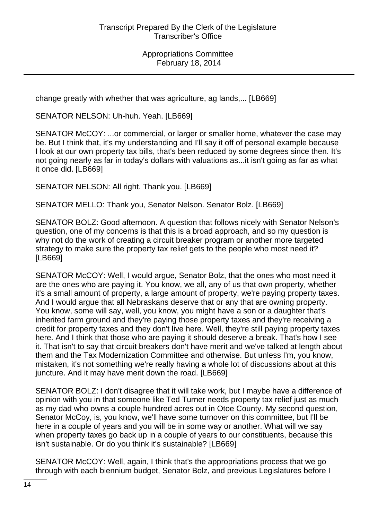change greatly with whether that was agriculture, ag lands,... [LB669]

SENATOR NELSON: Uh-huh. Yeah. [LB669]

SENATOR McCOY: ...or commercial, or larger or smaller home, whatever the case may be. But I think that, it's my understanding and I'll say it off of personal example because I look at our own property tax bills, that's been reduced by some degrees since then. It's not going nearly as far in today's dollars with valuations as...it isn't going as far as what it once did. [LB669]

SENATOR NELSON: All right. Thank you. [LB669]

SENATOR MELLO: Thank you, Senator Nelson. Senator Bolz. [LB669]

SENATOR BOLZ: Good afternoon. A question that follows nicely with Senator Nelson's question, one of my concerns is that this is a broad approach, and so my question is why not do the work of creating a circuit breaker program or another more targeted strategy to make sure the property tax relief gets to the people who most need it? [LB669]

SENATOR McCOY: Well, I would argue, Senator Bolz, that the ones who most need it are the ones who are paying it. You know, we all, any of us that own property, whether it's a small amount of property, a large amount of property, we're paying property taxes. And I would argue that all Nebraskans deserve that or any that are owning property. You know, some will say, well, you know, you might have a son or a daughter that's inherited farm ground and they're paying those property taxes and they're receiving a credit for property taxes and they don't live here. Well, they're still paying property taxes here. And I think that those who are paying it should deserve a break. That's how I see it. That isn't to say that circuit breakers don't have merit and we've talked at length about them and the Tax Modernization Committee and otherwise. But unless I'm, you know, mistaken, it's not something we're really having a whole lot of discussions about at this juncture. And it may have merit down the road. [LB669]

SENATOR BOLZ: I don't disagree that it will take work, but I maybe have a difference of opinion with you in that someone like Ted Turner needs property tax relief just as much as my dad who owns a couple hundred acres out in Otoe County. My second question, Senator McCoy, is, you know, we'll have some turnover on this committee, but I'll be here in a couple of years and you will be in some way or another. What will we say when property taxes go back up in a couple of years to our constituents, because this isn't sustainable. Or do you think it's sustainable? [LB669]

SENATOR McCOY: Well, again, I think that's the appropriations process that we go through with each biennium budget, Senator Bolz, and previous Legislatures before I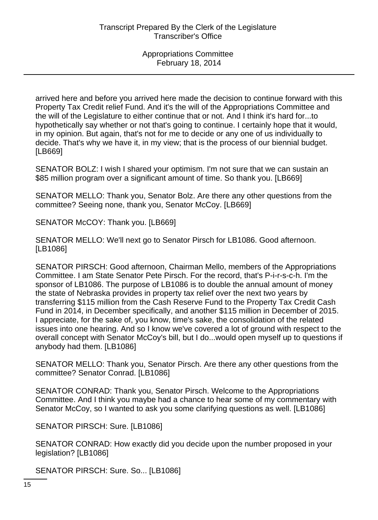arrived here and before you arrived here made the decision to continue forward with this Property Tax Credit relief Fund. And it's the will of the Appropriations Committee and the will of the Legislature to either continue that or not. And I think it's hard for...to hypothetically say whether or not that's going to continue. I certainly hope that it would, in my opinion. But again, that's not for me to decide or any one of us individually to decide. That's why we have it, in my view; that is the process of our biennial budget. [LB669]

SENATOR BOLZ: I wish I shared your optimism. I'm not sure that we can sustain an \$85 million program over a significant amount of time. So thank you. [LB669]

SENATOR MELLO: Thank you, Senator Bolz. Are there any other questions from the committee? Seeing none, thank you, Senator McCoy. [LB669]

SENATOR McCOY: Thank you. [LB669]

SENATOR MELLO: We'll next go to Senator Pirsch for LB1086. Good afternoon. [LB1086]

SENATOR PIRSCH: Good afternoon, Chairman Mello, members of the Appropriations Committee. I am State Senator Pete Pirsch. For the record, that's P-i-r-s-c-h. I'm the sponsor of LB1086. The purpose of LB1086 is to double the annual amount of money the state of Nebraska provides in property tax relief over the next two years by transferring \$115 million from the Cash Reserve Fund to the Property Tax Credit Cash Fund in 2014, in December specifically, and another \$115 million in December of 2015. I appreciate, for the sake of, you know, time's sake, the consolidation of the related issues into one hearing. And so I know we've covered a lot of ground with respect to the overall concept with Senator McCoy's bill, but I do...would open myself up to questions if anybody had them. [LB1086]

SENATOR MELLO: Thank you, Senator Pirsch. Are there any other questions from the committee? Senator Conrad. [LB1086]

SENATOR CONRAD: Thank you, Senator Pirsch. Welcome to the Appropriations Committee. And I think you maybe had a chance to hear some of my commentary with Senator McCoy, so I wanted to ask you some clarifying questions as well. [LB1086]

SENATOR PIRSCH: Sure. [LB1086]

SENATOR CONRAD: How exactly did you decide upon the number proposed in your legislation? [LB1086]

SENATOR PIRSCH: Sure. So... [LB1086]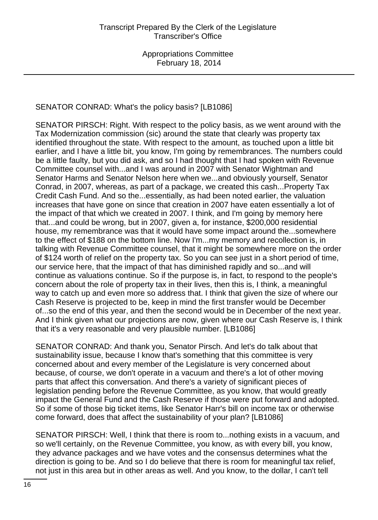# SENATOR CONRAD: What's the policy basis? [LB1086]

SENATOR PIRSCH: Right. With respect to the policy basis, as we went around with the Tax Modernization commission (sic) around the state that clearly was property tax identified throughout the state. With respect to the amount, as touched upon a little bit earlier, and I have a little bit, you know, I'm going by remembrances. The numbers could be a little faulty, but you did ask, and so I had thought that I had spoken with Revenue Committee counsel with...and I was around in 2007 with Senator Wightman and Senator Harms and Senator Nelson here when we...and obviously yourself, Senator Conrad, in 2007, whereas, as part of a package, we created this cash...Property Tax Credit Cash Fund. And so the...essentially, as had been noted earlier, the valuation increases that have gone on since that creation in 2007 have eaten essentially a lot of the impact of that which we created in 2007. I think, and I'm going by memory here that...and could be wrong, but in 2007, given a, for instance, \$200,000 residential house, my remembrance was that it would have some impact around the...somewhere to the effect of \$188 on the bottom line. Now I'm...my memory and recollection is, in talking with Revenue Committee counsel, that it might be somewhere more on the order of \$124 worth of relief on the property tax. So you can see just in a short period of time, our service here, that the impact of that has diminished rapidly and so...and will continue as valuations continue. So if the purpose is, in fact, to respond to the people's concern about the role of property tax in their lives, then this is, I think, a meaningful way to catch up and even more so address that. I think that given the size of where our Cash Reserve is projected to be, keep in mind the first transfer would be December of...so the end of this year, and then the second would be in December of the next year. And I think given what our projections are now, given where our Cash Reserve is, I think that it's a very reasonable and very plausible number. [LB1086]

SENATOR CONRAD: And thank you, Senator Pirsch. And let's do talk about that sustainability issue, because I know that's something that this committee is very concerned about and every member of the Legislature is very concerned about because, of course, we don't operate in a vacuum and there's a lot of other moving parts that affect this conversation. And there's a variety of significant pieces of legislation pending before the Revenue Committee, as you know, that would greatly impact the General Fund and the Cash Reserve if those were put forward and adopted. So if some of those big ticket items, like Senator Harr's bill on income tax or otherwise come forward, does that affect the sustainability of your plan? [LB1086]

SENATOR PIRSCH: Well, I think that there is room to...nothing exists in a vacuum, and so we'll certainly, on the Revenue Committee, you know, as with every bill, you know, they advance packages and we have votes and the consensus determines what the direction is going to be. And so I do believe that there is room for meaningful tax relief, not just in this area but in other areas as well. And you know, to the dollar, I can't tell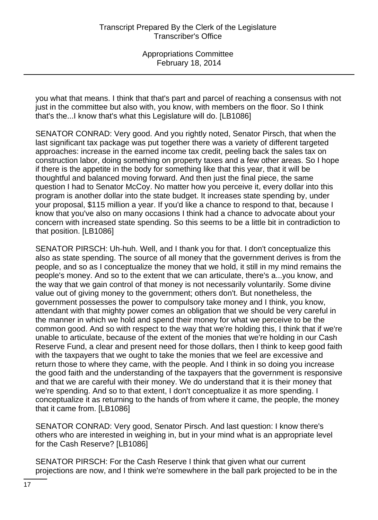you what that means. I think that that's part and parcel of reaching a consensus with not just in the committee but also with, you know, with members on the floor. So I think that's the...I know that's what this Legislature will do. [LB1086]

SENATOR CONRAD: Very good. And you rightly noted, Senator Pirsch, that when the last significant tax package was put together there was a variety of different targeted approaches: increase in the earned income tax credit, peeling back the sales tax on construction labor, doing something on property taxes and a few other areas. So I hope if there is the appetite in the body for something like that this year, that it will be thoughtful and balanced moving forward. And then just the final piece, the same question I had to Senator McCoy. No matter how you perceive it, every dollar into this program is another dollar into the state budget. It increases state spending by, under your proposal, \$115 million a year. If you'd like a chance to respond to that, because I know that you've also on many occasions I think had a chance to advocate about your concern with increased state spending. So this seems to be a little bit in contradiction to that position. [LB1086]

SENATOR PIRSCH: Uh-huh. Well, and I thank you for that. I don't conceptualize this also as state spending. The source of all money that the government derives is from the people, and so as I conceptualize the money that we hold, it still in my mind remains the people's money. And so to the extent that we can articulate, there's a...you know, and the way that we gain control of that money is not necessarily voluntarily. Some divine value out of giving money to the government; others don't. But nonetheless, the government possesses the power to compulsory take money and I think, you know, attendant with that mighty power comes an obligation that we should be very careful in the manner in which we hold and spend their money for what we perceive to be the common good. And so with respect to the way that we're holding this, I think that if we're unable to articulate, because of the extent of the monies that we're holding in our Cash Reserve Fund, a clear and present need for those dollars, then I think to keep good faith with the taxpayers that we ought to take the monies that we feel are excessive and return those to where they came, with the people. And I think in so doing you increase the good faith and the understanding of the taxpayers that the government is responsive and that we are careful with their money. We do understand that it is their money that we're spending. And so to that extent, I don't conceptualize it as more spending. I conceptualize it as returning to the hands of from where it came, the people, the money that it came from. [LB1086]

SENATOR CONRAD: Very good, Senator Pirsch. And last question: I know there's others who are interested in weighing in, but in your mind what is an appropriate level for the Cash Reserve? [LB1086]

SENATOR PIRSCH: For the Cash Reserve I think that given what our current projections are now, and I think we're somewhere in the ball park projected to be in the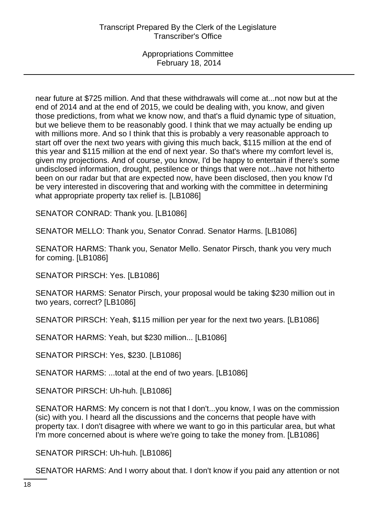near future at \$725 million. And that these withdrawals will come at...not now but at the end of 2014 and at the end of 2015, we could be dealing with, you know, and given those predictions, from what we know now, and that's a fluid dynamic type of situation, but we believe them to be reasonably good. I think that we may actually be ending up with millions more. And so I think that this is probably a very reasonable approach to start off over the next two years with giving this much back, \$115 million at the end of this year and \$115 million at the end of next year. So that's where my comfort level is, given my projections. And of course, you know, I'd be happy to entertain if there's some undisclosed information, drought, pestilence or things that were not...have not hitherto been on our radar but that are expected now, have been disclosed, then you know I'd be very interested in discovering that and working with the committee in determining what appropriate property tax relief is. [LB1086]

SENATOR CONRAD: Thank you. [LB1086]

SENATOR MELLO: Thank you, Senator Conrad. Senator Harms. [LB1086]

SENATOR HARMS: Thank you, Senator Mello. Senator Pirsch, thank you very much for coming. [LB1086]

SENATOR PIRSCH: Yes. [LB1086]

SENATOR HARMS: Senator Pirsch, your proposal would be taking \$230 million out in two years, correct? [LB1086]

SENATOR PIRSCH: Yeah, \$115 million per year for the next two years. [LB1086]

SENATOR HARMS: Yeah, but \$230 million... [LB1086]

SENATOR PIRSCH: Yes, \$230. [LB1086]

SENATOR HARMS: ...total at the end of two years. [LB1086]

SENATOR PIRSCH: Uh-huh. [LB1086]

SENATOR HARMS: My concern is not that I don't...you know, I was on the commission (sic) with you. I heard all the discussions and the concerns that people have with property tax. I don't disagree with where we want to go in this particular area, but what I'm more concerned about is where we're going to take the money from. [LB1086]

SENATOR PIRSCH: Uh-huh. [LB1086]

SENATOR HARMS: And I worry about that. I don't know if you paid any attention or not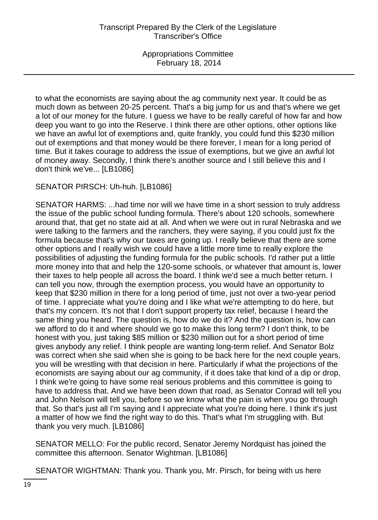to what the economists are saying about the ag community next year. It could be as much down as between 20-25 percent. That's a big jump for us and that's where we get a lot of our money for the future. I guess we have to be really careful of how far and how deep you want to go into the Reserve. I think there are other options, other options like we have an awful lot of exemptions and, quite frankly, you could fund this \$230 million out of exemptions and that money would be there forever, I mean for a long period of time. But it takes courage to address the issue of exemptions, but we give an awful lot of money away. Secondly, I think there's another source and I still believe this and I don't think we've... [LB1086]

SENATOR PIRSCH: Uh-huh. [LB1086]

SENATOR HARMS: ...had time nor will we have time in a short session to truly address the issue of the public school funding formula. There's about 120 schools, somewhere around that, that get no state aid at all. And when we were out in rural Nebraska and we were talking to the farmers and the ranchers, they were saying, if you could just fix the formula because that's why our taxes are going up. I really believe that there are some other options and I really wish we could have a little more time to really explore the possibilities of adjusting the funding formula for the public schools. I'd rather put a little more money into that and help the 120-some schools, or whatever that amount is, lower their taxes to help people all across the board. I think we'd see a much better return. I can tell you now, through the exemption process, you would have an opportunity to keep that \$230 million in there for a long period of time, just not over a two-year period of time. I appreciate what you're doing and I like what we're attempting to do here, but that's my concern. It's not that I don't support property tax relief, because I heard the same thing you heard. The question is, how do we do it? And the question is, how can we afford to do it and where should we go to make this long term? I don't think, to be honest with you, just taking \$85 million or \$230 million out for a short period of time gives anybody any relief. I think people are wanting long-term relief. And Senator Bolz was correct when she said when she is going to be back here for the next couple years, you will be wrestling with that decision in here. Particularly if what the projections of the economists are saying about our ag community, if it does take that kind of a dip or drop, I think we're going to have some real serious problems and this committee is going to have to address that. And we have been down that road, as Senator Conrad will tell you and John Nelson will tell you, before so we know what the pain is when you go through that. So that's just all I'm saying and I appreciate what you're doing here. I think it's just a matter of how we find the right way to do this. That's what I'm struggling with. But thank you very much. [LB1086]

SENATOR MELLO: For the public record, Senator Jeremy Nordquist has joined the committee this afternoon. Senator Wightman. [LB1086]

SENATOR WIGHTMAN: Thank you. Thank you, Mr. Pirsch, for being with us here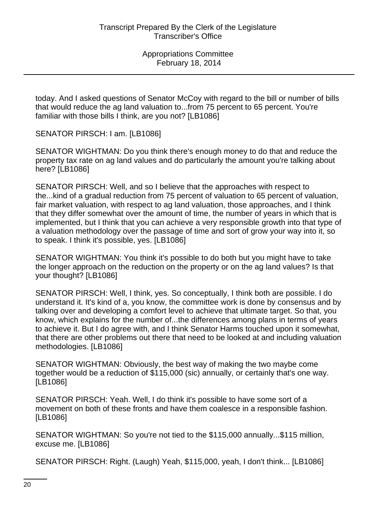today. And I asked questions of Senator McCoy with regard to the bill or number of bills that would reduce the ag land valuation to...from 75 percent to 65 percent. You're familiar with those bills I think, are you not? [LB1086]

SENATOR PIRSCH: I am. [LB1086]

SENATOR WIGHTMAN: Do you think there's enough money to do that and reduce the property tax rate on ag land values and do particularly the amount you're talking about here? [LB1086]

SENATOR PIRSCH: Well, and so I believe that the approaches with respect to the...kind of a gradual reduction from 75 percent of valuation to 65 percent of valuation, fair market valuation, with respect to ag land valuation, those approaches, and I think that they differ somewhat over the amount of time, the number of years in which that is implemented, but I think that you can achieve a very responsible growth into that type of a valuation methodology over the passage of time and sort of grow your way into it, so to speak. I think it's possible, yes. [LB1086]

SENATOR WIGHTMAN: You think it's possible to do both but you might have to take the longer approach on the reduction on the property or on the ag land values? Is that your thought? [LB1086]

SENATOR PIRSCH: Well, I think, yes. So conceptually, I think both are possible. I do understand it. It's kind of a, you know, the committee work is done by consensus and by talking over and developing a comfort level to achieve that ultimate target. So that, you know, which explains for the number of...the differences among plans in terms of years to achieve it. But I do agree with, and I think Senator Harms touched upon it somewhat, that there are other problems out there that need to be looked at and including valuation methodologies. [LB1086]

SENATOR WIGHTMAN: Obviously, the best way of making the two maybe come together would be a reduction of \$115,000 (sic) annually, or certainly that's one way. [LB1086]

SENATOR PIRSCH: Yeah. Well, I do think it's possible to have some sort of a movement on both of these fronts and have them coalesce in a responsible fashion. [LB1086]

SENATOR WIGHTMAN: So you're not tied to the \$115,000 annually...\$115 million, excuse me. [LB1086]

SENATOR PIRSCH: Right. (Laugh) Yeah, \$115,000, yeah, I don't think... [LB1086]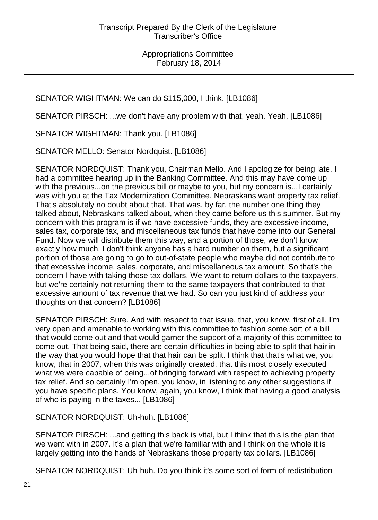SENATOR WIGHTMAN: We can do \$115,000, I think. [LB1086]

SENATOR PIRSCH: ...we don't have any problem with that, yeah. Yeah. [LB1086]

SENATOR WIGHTMAN: Thank you. [LB1086]

SENATOR MELLO: Senator Nordquist. [LB1086]

SENATOR NORDQUIST: Thank you, Chairman Mello. And I apologize for being late. I had a committee hearing up in the Banking Committee. And this may have come up with the previous...on the previous bill or maybe to you, but my concern is...I certainly was with you at the Tax Modernization Committee. Nebraskans want property tax relief. That's absolutely no doubt about that. That was, by far, the number one thing they talked about, Nebraskans talked about, when they came before us this summer. But my concern with this program is if we have excessive funds, they are excessive income, sales tax, corporate tax, and miscellaneous tax funds that have come into our General Fund. Now we will distribute them this way, and a portion of those, we don't know exactly how much, I don't think anyone has a hard number on them, but a significant portion of those are going to go to out-of-state people who maybe did not contribute to that excessive income, sales, corporate, and miscellaneous tax amount. So that's the concern I have with taking those tax dollars. We want to return dollars to the taxpayers, but we're certainly not returning them to the same taxpayers that contributed to that excessive amount of tax revenue that we had. So can you just kind of address your thoughts on that concern? [LB1086]

SENATOR PIRSCH: Sure. And with respect to that issue, that, you know, first of all, I'm very open and amenable to working with this committee to fashion some sort of a bill that would come out and that would garner the support of a majority of this committee to come out. That being said, there are certain difficulties in being able to split that hair in the way that you would hope that that hair can be split. I think that that's what we, you know, that in 2007, when this was originally created, that this most closely executed what we were capable of being...of bringing forward with respect to achieving property tax relief. And so certainly I'm open, you know, in listening to any other suggestions if you have specific plans. You know, again, you know, I think that having a good analysis of who is paying in the taxes... [LB1086]

SENATOR NORDQUIST: Uh-huh. [LB1086]

SENATOR PIRSCH: ...and getting this back is vital, but I think that this is the plan that we went with in 2007. It's a plan that we're familiar with and I think on the whole it is largely getting into the hands of Nebraskans those property tax dollars. [LB1086]

SENATOR NORDQUIST: Uh-huh. Do you think it's some sort of form of redistribution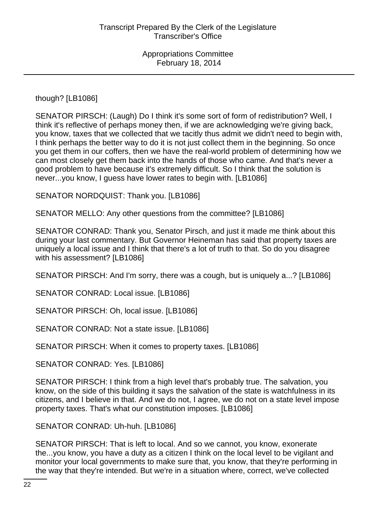though? [LB1086]

SENATOR PIRSCH: (Laugh) Do I think it's some sort of form of redistribution? Well, I think it's reflective of perhaps money then, if we are acknowledging we're giving back, you know, taxes that we collected that we tacitly thus admit we didn't need to begin with, I think perhaps the better way to do it is not just collect them in the beginning. So once you get them in our coffers, then we have the real-world problem of determining how we can most closely get them back into the hands of those who came. And that's never a good problem to have because it's extremely difficult. So I think that the solution is never...you know, I guess have lower rates to begin with. [LB1086]

SENATOR NORDQUIST: Thank you. [LB1086]

SENATOR MELLO: Any other questions from the committee? [LB1086]

SENATOR CONRAD: Thank you, Senator Pirsch, and just it made me think about this during your last commentary. But Governor Heineman has said that property taxes are uniquely a local issue and I think that there's a lot of truth to that. So do you disagree with his assessment? [LB1086]

SENATOR PIRSCH: And I'm sorry, there was a cough, but is uniquely a...? [LB1086]

SENATOR CONRAD: Local issue. [LB1086]

SENATOR PIRSCH: Oh, local issue. [LB1086]

SENATOR CONRAD: Not a state issue. [LB1086]

SENATOR PIRSCH: When it comes to property taxes. [LB1086]

SENATOR CONRAD: Yes. [LB1086]

SENATOR PIRSCH: I think from a high level that's probably true. The salvation, you know, on the side of this building it says the salvation of the state is watchfulness in its citizens, and I believe in that. And we do not, I agree, we do not on a state level impose property taxes. That's what our constitution imposes. [LB1086]

SENATOR CONRAD: Uh-huh. [LB1086]

SENATOR PIRSCH: That is left to local. And so we cannot, you know, exonerate the...you know, you have a duty as a citizen I think on the local level to be vigilant and monitor your local governments to make sure that, you know, that they're performing in the way that they're intended. But we're in a situation where, correct, we've collected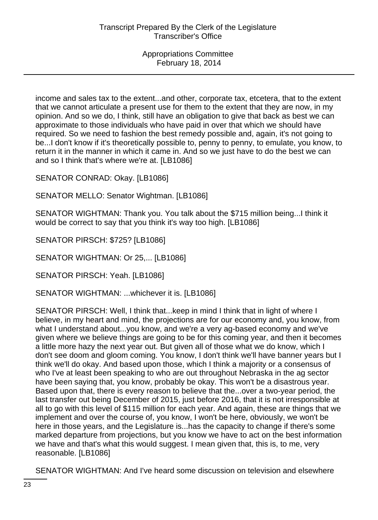income and sales tax to the extent...and other, corporate tax, etcetera, that to the extent that we cannot articulate a present use for them to the extent that they are now, in my opinion. And so we do, I think, still have an obligation to give that back as best we can approximate to those individuals who have paid in over that which we should have required. So we need to fashion the best remedy possible and, again, it's not going to be...I don't know if it's theoretically possible to, penny to penny, to emulate, you know, to return it in the manner in which it came in. And so we just have to do the best we can and so I think that's where we're at. [LB1086]

SENATOR CONRAD: Okay. [LB1086]

SENATOR MELLO: Senator Wightman. [LB1086]

SENATOR WIGHTMAN: Thank you. You talk about the \$715 million being...I think it would be correct to say that you think it's way too high. [LB1086]

SENATOR PIRSCH: \$725? [LB1086]

SENATOR WIGHTMAN: Or 25,... [LB1086]

SENATOR PIRSCH: Yeah. [LB1086]

SENATOR WIGHTMAN: ...whichever it is. [LB1086]

SENATOR PIRSCH: Well, I think that...keep in mind I think that in light of where I believe, in my heart and mind, the projections are for our economy and, you know, from what I understand about...you know, and we're a very ag-based economy and we've given where we believe things are going to be for this coming year, and then it becomes a little more hazy the next year out. But given all of those what we do know, which I don't see doom and gloom coming. You know, I don't think we'll have banner years but I think we'll do okay. And based upon those, which I think a majority or a consensus of who I've at least been speaking to who are out throughout Nebraska in the ag sector have been saying that, you know, probably be okay. This won't be a disastrous year. Based upon that, there is every reason to believe that the...over a two-year period, the last transfer out being December of 2015, just before 2016, that it is not irresponsible at all to go with this level of \$115 million for each year. And again, these are things that we implement and over the course of, you know, I won't be here, obviously, we won't be here in those years, and the Legislature is...has the capacity to change if there's some marked departure from projections, but you know we have to act on the best information we have and that's what this would suggest. I mean given that, this is, to me, very reasonable. [LB1086]

SENATOR WIGHTMAN: And I've heard some discussion on television and elsewhere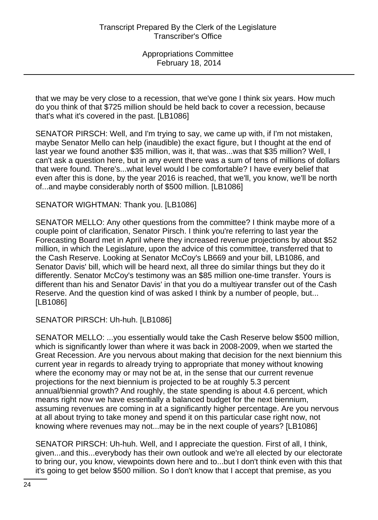that we may be very close to a recession, that we've gone I think six years. How much do you think of that \$725 million should be held back to cover a recession, because that's what it's covered in the past. [LB1086]

SENATOR PIRSCH: Well, and I'm trying to say, we came up with, if I'm not mistaken, maybe Senator Mello can help (inaudible) the exact figure, but I thought at the end of last year we found another \$35 million, was it, that was...was that \$35 million? Well, I can't ask a question here, but in any event there was a sum of tens of millions of dollars that were found. There's...what level would I be comfortable? I have every belief that even after this is done, by the year 2016 is reached, that we'll, you know, we'll be north of...and maybe considerably north of \$500 million. [LB1086]

### SENATOR WIGHTMAN: Thank you. [LB1086]

SENATOR MELLO: Any other questions from the committee? I think maybe more of a couple point of clarification, Senator Pirsch. I think you're referring to last year the Forecasting Board met in April where they increased revenue projections by about \$52 million, in which the Legislature, upon the advice of this committee, transferred that to the Cash Reserve. Looking at Senator McCoy's LB669 and your bill, LB1086, and Senator Davis' bill, which will be heard next, all three do similar things but they do it differently. Senator McCoy's testimony was an \$85 million one-time transfer. Yours is different than his and Senator Davis' in that you do a multiyear transfer out of the Cash Reserve. And the question kind of was asked I think by a number of people, but... [LB1086]

SENATOR PIRSCH: Uh-huh. [LB1086]

SENATOR MELLO: ...you essentially would take the Cash Reserve below \$500 million, which is significantly lower than where it was back in 2008-2009, when we started the Great Recession. Are you nervous about making that decision for the next biennium this current year in regards to already trying to appropriate that money without knowing where the economy may or may not be at, in the sense that our current revenue projections for the next biennium is projected to be at roughly 5.3 percent annual/biennial growth? And roughly, the state spending is about 4.6 percent, which means right now we have essentially a balanced budget for the next biennium, assuming revenues are coming in at a significantly higher percentage. Are you nervous at all about trying to take money and spend it on this particular case right now, not knowing where revenues may not...may be in the next couple of years? [LB1086]

SENATOR PIRSCH: Uh-huh. Well, and I appreciate the question. First of all, I think, given...and this...everybody has their own outlook and we're all elected by our electorate to bring our, you know, viewpoints down here and to...but I don't think even with this that it's going to get below \$500 million. So I don't know that I accept that premise, as you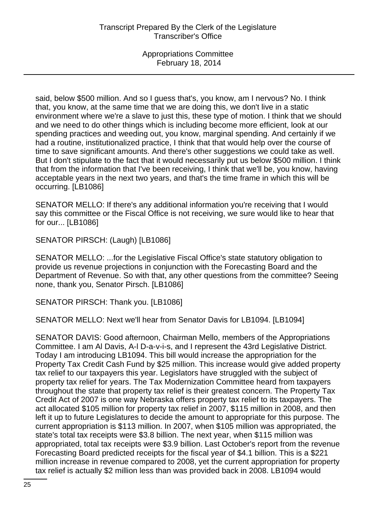said, below \$500 million. And so I guess that's, you know, am I nervous? No. I think that, you know, at the same time that we are doing this, we don't live in a static environment where we're a slave to just this, these type of motion. I think that we should and we need to do other things which is including become more efficient, look at our spending practices and weeding out, you know, marginal spending. And certainly if we had a routine, institutionalized practice, I think that that would help over the course of time to save significant amounts. And there's other suggestions we could take as well. But I don't stipulate to the fact that it would necessarily put us below \$500 million. I think that from the information that I've been receiving, I think that we'll be, you know, having acceptable years in the next two years, and that's the time frame in which this will be occurring. [LB1086]

SENATOR MELLO: If there's any additional information you're receiving that I would say this committee or the Fiscal Office is not receiving, we sure would like to hear that for our... [LB1086]

SENATOR PIRSCH: (Laugh) [LB1086]

SENATOR MELLO: ...for the Legislative Fiscal Office's state statutory obligation to provide us revenue projections in conjunction with the Forecasting Board and the Department of Revenue. So with that, any other questions from the committee? Seeing none, thank you, Senator Pirsch. [LB1086]

SENATOR PIRSCH: Thank you. [LB1086]

SENATOR MELLO: Next we'll hear from Senator Davis for LB1094. [LB1094]

SENATOR DAVIS: Good afternoon, Chairman Mello, members of the Appropriations Committee. I am Al Davis, A-l D-a-v-i-s, and I represent the 43rd Legislative District. Today I am introducing LB1094. This bill would increase the appropriation for the Property Tax Credit Cash Fund by \$25 million. This increase would give added property tax relief to our taxpayers this year. Legislators have struggled with the subject of property tax relief for years. The Tax Modernization Committee heard from taxpayers throughout the state that property tax relief is their greatest concern. The Property Tax Credit Act of 2007 is one way Nebraska offers property tax relief to its taxpayers. The act allocated \$105 million for property tax relief in 2007, \$115 million in 2008, and then left it up to future Legislatures to decide the amount to appropriate for this purpose. The current appropriation is \$113 million. In 2007, when \$105 million was appropriated, the state's total tax receipts were \$3.8 billion. The next year, when \$115 million was appropriated, total tax receipts were \$3.9 billion. Last October's report from the revenue Forecasting Board predicted receipts for the fiscal year of \$4.1 billion. This is a \$221 million increase in revenue compared to 2008, yet the current appropriation for property tax relief is actually \$2 million less than was provided back in 2008. LB1094 would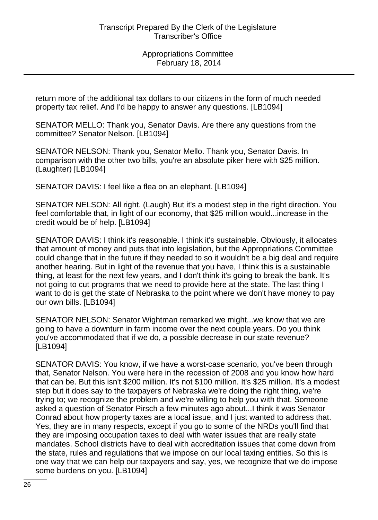return more of the additional tax dollars to our citizens in the form of much needed property tax relief. And I'd be happy to answer any questions. [LB1094]

SENATOR MELLO: Thank you, Senator Davis. Are there any questions from the committee? Senator Nelson. [LB1094]

SENATOR NELSON: Thank you, Senator Mello. Thank you, Senator Davis. In comparison with the other two bills, you're an absolute piker here with \$25 million. (Laughter) [LB1094]

SENATOR DAVIS: I feel like a flea on an elephant. [LB1094]

SENATOR NELSON: All right. (Laugh) But it's a modest step in the right direction. You feel comfortable that, in light of our economy, that \$25 million would...increase in the credit would be of help. [LB1094]

SENATOR DAVIS: I think it's reasonable. I think it's sustainable. Obviously, it allocates that amount of money and puts that into legislation, but the Appropriations Committee could change that in the future if they needed to so it wouldn't be a big deal and require another hearing. But in light of the revenue that you have, I think this is a sustainable thing, at least for the next few years, and I don't think it's going to break the bank. It's not going to cut programs that we need to provide here at the state. The last thing I want to do is get the state of Nebraska to the point where we don't have money to pay our own bills. [LB1094]

SENATOR NELSON: Senator Wightman remarked we might...we know that we are going to have a downturn in farm income over the next couple years. Do you think you've accommodated that if we do, a possible decrease in our state revenue? [LB1094]

SENATOR DAVIS: You know, if we have a worst-case scenario, you've been through that, Senator Nelson. You were here in the recession of 2008 and you know how hard that can be. But this isn't \$200 million. It's not \$100 million. It's \$25 million. It's a modest step but it does say to the taxpayers of Nebraska we're doing the right thing, we're trying to; we recognize the problem and we're willing to help you with that. Someone asked a question of Senator Pirsch a few minutes ago about...I think it was Senator Conrad about how property taxes are a local issue, and I just wanted to address that. Yes, they are in many respects, except if you go to some of the NRDs you'll find that they are imposing occupation taxes to deal with water issues that are really state mandates. School districts have to deal with accreditation issues that come down from the state, rules and regulations that we impose on our local taxing entities. So this is one way that we can help our taxpayers and say, yes, we recognize that we do impose some burdens on you. [LB1094]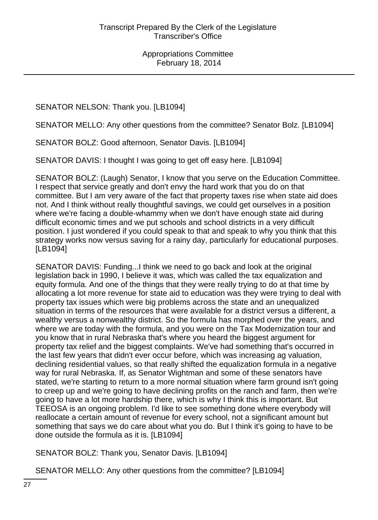SENATOR NELSON: Thank you. [LB1094]

SENATOR MELLO: Any other questions from the committee? Senator Bolz. [LB1094]

SENATOR BOLZ: Good afternoon, Senator Davis. [LB1094]

SENATOR DAVIS: I thought I was going to get off easy here. [LB1094]

SENATOR BOLZ: (Laugh) Senator, I know that you serve on the Education Committee. I respect that service greatly and don't envy the hard work that you do on that committee. But I am very aware of the fact that property taxes rise when state aid does not. And I think without really thoughtful savings, we could get ourselves in a position where we're facing a double-whammy when we don't have enough state aid during difficult economic times and we put schools and school districts in a very difficult position. I just wondered if you could speak to that and speak to why you think that this strategy works now versus saving for a rainy day, particularly for educational purposes. [LB1094]

SENATOR DAVIS: Funding...I think we need to go back and look at the original legislation back in 1990, I believe it was, which was called the tax equalization and equity formula. And one of the things that they were really trying to do at that time by allocating a lot more revenue for state aid to education was they were trying to deal with property tax issues which were big problems across the state and an unequalized situation in terms of the resources that were available for a district versus a different, a wealthy versus a nonwealthy district. So the formula has morphed over the years, and where we are today with the formula, and you were on the Tax Modernization tour and you know that in rural Nebraska that's where you heard the biggest argument for property tax relief and the biggest complaints. We've had something that's occurred in the last few years that didn't ever occur before, which was increasing ag valuation, declining residential values, so that really shifted the equalization formula in a negative way for rural Nebraska. If, as Senator Wightman and some of these senators have stated, we're starting to return to a more normal situation where farm ground isn't going to creep up and we're going to have declining profits on the ranch and farm, then we're going to have a lot more hardship there, which is why I think this is important. But TEEOSA is an ongoing problem. I'd like to see something done where everybody will reallocate a certain amount of revenue for every school, not a significant amount but something that says we do care about what you do. But I think it's going to have to be done outside the formula as it is. [LB1094]

SENATOR BOLZ: Thank you, Senator Davis. [LB1094]

SENATOR MELLO: Any other questions from the committee? [LB1094]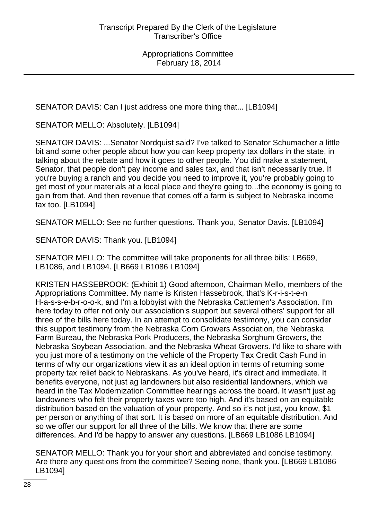SENATOR DAVIS: Can I just address one more thing that... [LB1094]

SENATOR MELLO: Absolutely. [LB1094]

SENATOR DAVIS: ...Senator Nordquist said? I've talked to Senator Schumacher a little bit and some other people about how you can keep property tax dollars in the state, in talking about the rebate and how it goes to other people. You did make a statement, Senator, that people don't pay income and sales tax, and that isn't necessarily true. If you're buying a ranch and you decide you need to improve it, you're probably going to get most of your materials at a local place and they're going to...the economy is going to gain from that. And then revenue that comes off a farm is subject to Nebraska income tax too. [LB1094]

SENATOR MELLO: See no further questions. Thank you, Senator Davis. [LB1094]

SENATOR DAVIS: Thank you. [LB1094]

SENATOR MELLO: The committee will take proponents for all three bills: LB669, LB1086, and LB1094. [LB669 LB1086 LB1094]

KRISTEN HASSEBROOK: (Exhibit 1) Good afternoon, Chairman Mello, members of the Appropriations Committee. My name is Kristen Hassebrook, that's K-r-i-s-t-e-n H-a-s-s-e-b-r-o-o-k, and I'm a lobbyist with the Nebraska Cattlemen's Association. I'm here today to offer not only our association's support but several others' support for all three of the bills here today. In an attempt to consolidate testimony, you can consider this support testimony from the Nebraska Corn Growers Association, the Nebraska Farm Bureau, the Nebraska Pork Producers, the Nebraska Sorghum Growers, the Nebraska Soybean Association, and the Nebraska Wheat Growers. I'd like to share with you just more of a testimony on the vehicle of the Property Tax Credit Cash Fund in terms of why our organizations view it as an ideal option in terms of returning some property tax relief back to Nebraskans. As you've heard, it's direct and immediate. It benefits everyone, not just ag landowners but also residential landowners, which we heard in the Tax Modernization Committee hearings across the board. It wasn't just ag landowners who felt their property taxes were too high. And it's based on an equitable distribution based on the valuation of your property. And so it's not just, you know, \$1 per person or anything of that sort. It is based on more of an equitable distribution. And so we offer our support for all three of the bills. We know that there are some differences. And I'd be happy to answer any questions. [LB669 LB1086 LB1094]

SENATOR MELLO: Thank you for your short and abbreviated and concise testimony. Are there any questions from the committee? Seeing none, thank you. [LB669 LB1086 LB1094]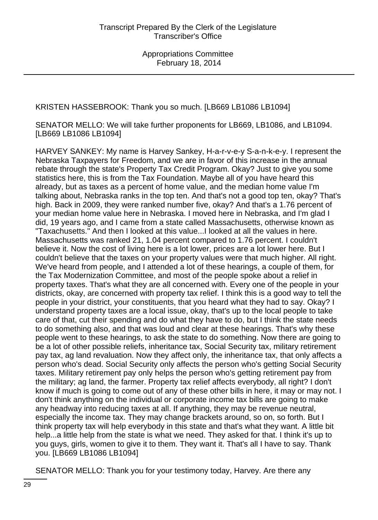KRISTEN HASSEBROOK: Thank you so much. [LB669 LB1086 LB1094]

SENATOR MELLO: We will take further proponents for LB669, LB1086, and LB1094. [LB669 LB1086 LB1094]

HARVEY SANKEY: My name is Harvey Sankey, H-a-r-v-e-y S-a-n-k-e-y. I represent the Nebraska Taxpayers for Freedom, and we are in favor of this increase in the annual rebate through the state's Property Tax Credit Program. Okay? Just to give you some statistics here, this is from the Tax Foundation. Maybe all of you have heard this already, but as taxes as a percent of home value, and the median home value I'm talking about, Nebraska ranks in the top ten. And that's not a good top ten, okay? That's high. Back in 2009, they were ranked number five, okay? And that's a 1.76 percent of your median home value here in Nebraska. I moved here in Nebraska, and I'm glad I did, 19 years ago, and I came from a state called Massachusetts, otherwise known as "Taxachusetts." And then I looked at this value...I looked at all the values in here. Massachusetts was ranked 21, 1.04 percent compared to 1.76 percent. I couldn't believe it. Now the cost of living here is a lot lower, prices are a lot lower here. But I couldn't believe that the taxes on your property values were that much higher. All right. We've heard from people, and I attended a lot of these hearings, a couple of them, for the Tax Modernization Committee, and most of the people spoke about a relief in property taxes. That's what they are all concerned with. Every one of the people in your districts, okay, are concerned with property tax relief. I think this is a good way to tell the people in your district, your constituents, that you heard what they had to say. Okay? I understand property taxes are a local issue, okay, that's up to the local people to take care of that, cut their spending and do what they have to do, but I think the state needs to do something also, and that was loud and clear at these hearings. That's why these people went to these hearings, to ask the state to do something. Now there are going to be a lot of other possible reliefs, inheritance tax, Social Security tax, military retirement pay tax, ag land revaluation. Now they affect only, the inheritance tax, that only affects a person who's dead. Social Security only affects the person who's getting Social Security taxes. Military retirement pay only helps the person who's getting retirement pay from the military; ag land, the farmer. Property tax relief affects everybody, all right? I don't know if much is going to come out of any of these other bills in here, it may or may not. I don't think anything on the individual or corporate income tax bills are going to make any headway into reducing taxes at all. If anything, they may be revenue neutral, especially the income tax. They may change brackets around, so on, so forth. But I think property tax will help everybody in this state and that's what they want. A little bit help...a little help from the state is what we need. They asked for that. I think it's up to you guys, girls, women to give it to them. They want it. That's all I have to say. Thank you. [LB669 LB1086 LB1094]

SENATOR MELLO: Thank you for your testimony today, Harvey. Are there any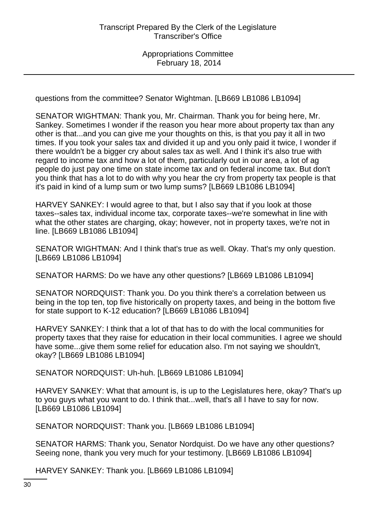questions from the committee? Senator Wightman. [LB669 LB1086 LB1094]

SENATOR WIGHTMAN: Thank you, Mr. Chairman. Thank you for being here, Mr. Sankey. Sometimes I wonder if the reason you hear more about property tax than any other is that...and you can give me your thoughts on this, is that you pay it all in two times. If you took your sales tax and divided it up and you only paid it twice, I wonder if there wouldn't be a bigger cry about sales tax as well. And I think it's also true with regard to income tax and how a lot of them, particularly out in our area, a lot of ag people do just pay one time on state income tax and on federal income tax. But don't you think that has a lot to do with why you hear the cry from property tax people is that it's paid in kind of a lump sum or two lump sums? [LB669 LB1086 LB1094]

HARVEY SANKEY: I would agree to that, but I also say that if you look at those taxes--sales tax, individual income tax, corporate taxes--we're somewhat in line with what the other states are charging, okay; however, not in property taxes, we're not in line. [LB669 LB1086 LB1094]

SENATOR WIGHTMAN: And I think that's true as well. Okay. That's my only question. [LB669 LB1086 LB1094]

SENATOR HARMS: Do we have any other questions? [LB669 LB1086 LB1094]

SENATOR NORDQUIST: Thank you. Do you think there's a correlation between us being in the top ten, top five historically on property taxes, and being in the bottom five for state support to K-12 education? [LB669 LB1086 LB1094]

HARVEY SANKEY: I think that a lot of that has to do with the local communities for property taxes that they raise for education in their local communities. I agree we should have some...give them some relief for education also. I'm not saying we shouldn't, okay? [LB669 LB1086 LB1094]

SENATOR NORDQUIST: Uh-huh. [LB669 LB1086 LB1094]

HARVEY SANKEY: What that amount is, is up to the Legislatures here, okay? That's up to you guys what you want to do. I think that...well, that's all I have to say for now. [LB669 LB1086 LB1094]

SENATOR NORDQUIST: Thank you. [LB669 LB1086 LB1094]

SENATOR HARMS: Thank you, Senator Nordquist. Do we have any other questions? Seeing none, thank you very much for your testimony. [LB669 LB1086 LB1094]

HARVEY SANKEY: Thank you. [LB669 LB1086 LB1094]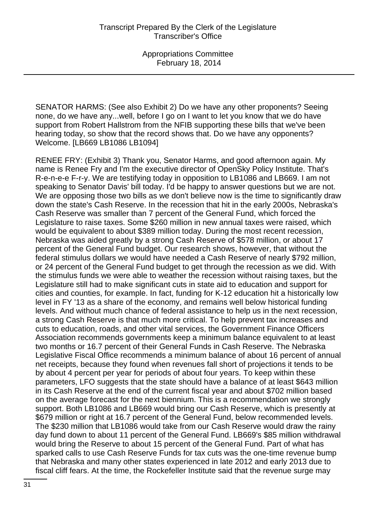SENATOR HARMS: (See also Exhibit 2) Do we have any other proponents? Seeing none, do we have any...well, before I go on I want to let you know that we do have support from Robert Hallstrom from the NFIB supporting these bills that we've been hearing today, so show that the record shows that. Do we have any opponents? Welcome. [LB669 LB1086 LB1094]

RENEE FRY: (Exhibit 3) Thank you, Senator Harms, and good afternoon again. My name is Renee Fry and I'm the executive director of OpenSky Policy Institute. That's R-e-n-e-e F-r-y. We are testifying today in opposition to LB1086 and LB669. I am not speaking to Senator Davis' bill today. I'd be happy to answer questions but we are not. We are opposing those two bills as we don't believe now is the time to significantly draw down the state's Cash Reserve. In the recession that hit in the early 2000s, Nebraska's Cash Reserve was smaller than 7 percent of the General Fund, which forced the Legislature to raise taxes. Some \$260 million in new annual taxes were raised, which would be equivalent to about \$389 million today. During the most recent recession, Nebraska was aided greatly by a strong Cash Reserve of \$578 million, or about 17 percent of the General Fund budget. Our research shows, however, that without the federal stimulus dollars we would have needed a Cash Reserve of nearly \$792 million, or 24 percent of the General Fund budget to get through the recession as we did. With the stimulus funds we were able to weather the recession without raising taxes, but the Legislature still had to make significant cuts in state aid to education and support for cities and counties, for example. In fact, funding for K-12 education hit a historically low level in FY '13 as a share of the economy, and remains well below historical funding levels. And without much chance of federal assistance to help us in the next recession, a strong Cash Reserve is that much more critical. To help prevent tax increases and cuts to education, roads, and other vital services, the Government Finance Officers Association recommends governments keep a minimum balance equivalent to at least two months or 16.7 percent of their General Funds in Cash Reserve. The Nebraska Legislative Fiscal Office recommends a minimum balance of about 16 percent of annual net receipts, because they found when revenues fall short of projections it tends to be by about 4 percent per year for periods of about four years. To keep within these parameters, LFO suggests that the state should have a balance of at least \$643 million in its Cash Reserve at the end of the current fiscal year and about \$702 million based on the average forecast for the next biennium. This is a recommendation we strongly support. Both LB1086 and LB669 would bring our Cash Reserve, which is presently at \$679 million or right at 16.7 percent of the General Fund, below recommended levels. The \$230 million that LB1086 would take from our Cash Reserve would draw the rainy day fund down to about 11 percent of the General Fund. LB669's \$85 million withdrawal would bring the Reserve to about 15 percent of the General Fund. Part of what has sparked calls to use Cash Reserve Funds for tax cuts was the one-time revenue bump that Nebraska and many other states experienced in late 2012 and early 2013 due to fiscal cliff fears. At the time, the Rockefeller Institute said that the revenue surge may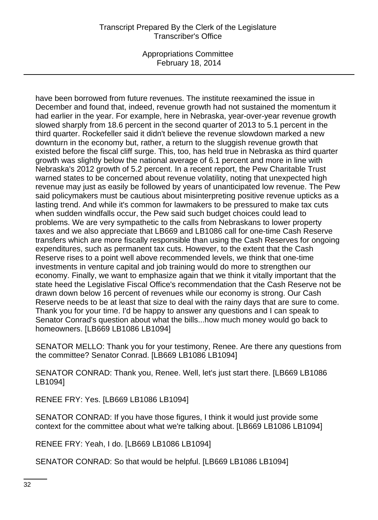### Transcript Prepared By the Clerk of the Legislature Transcriber's Office

Appropriations Committee February 18, 2014

have been borrowed from future revenues. The institute reexamined the issue in December and found that, indeed, revenue growth had not sustained the momentum it had earlier in the year. For example, here in Nebraska, year-over-year revenue growth slowed sharply from 18.6 percent in the second quarter of 2013 to 5.1 percent in the third quarter. Rockefeller said it didn't believe the revenue slowdown marked a new downturn in the economy but, rather, a return to the sluggish revenue growth that existed before the fiscal cliff surge. This, too, has held true in Nebraska as third quarter growth was slightly below the national average of 6.1 percent and more in line with Nebraska's 2012 growth of 5.2 percent. In a recent report, the Pew Charitable Trust warned states to be concerned about revenue volatility, noting that unexpected high revenue may just as easily be followed by years of unanticipated low revenue. The Pew said policymakers must be cautious about misinterpreting positive revenue upticks as a lasting trend. And while it's common for lawmakers to be pressured to make tax cuts when sudden windfalls occur, the Pew said such budget choices could lead to problems. We are very sympathetic to the calls from Nebraskans to lower property taxes and we also appreciate that LB669 and LB1086 call for one-time Cash Reserve transfers which are more fiscally responsible than using the Cash Reserves for ongoing expenditures, such as permanent tax cuts. However, to the extent that the Cash Reserve rises to a point well above recommended levels, we think that one-time investments in venture capital and job training would do more to strengthen our economy. Finally, we want to emphasize again that we think it vitally important that the state heed the Legislative Fiscal Office's recommendation that the Cash Reserve not be drawn down below 16 percent of revenues while our economy is strong. Our Cash Reserve needs to be at least that size to deal with the rainy days that are sure to come. Thank you for your time. I'd be happy to answer any questions and I can speak to Senator Conrad's question about what the bills...how much money would go back to homeowners. [LB669 LB1086 LB1094]

SENATOR MELLO: Thank you for your testimony, Renee. Are there any questions from the committee? Senator Conrad. [LB669 LB1086 LB1094]

SENATOR CONRAD: Thank you, Renee. Well, let's just start there. [LB669 LB1086 LB1094]

RENEE FRY: Yes. [LB669 LB1086 LB1094]

SENATOR CONRAD: If you have those figures, I think it would just provide some context for the committee about what we're talking about. [LB669 LB1086 LB1094]

RENEE FRY: Yeah, I do. [LB669 LB1086 LB1094]

SENATOR CONRAD: So that would be helpful. [LB669 LB1086 LB1094]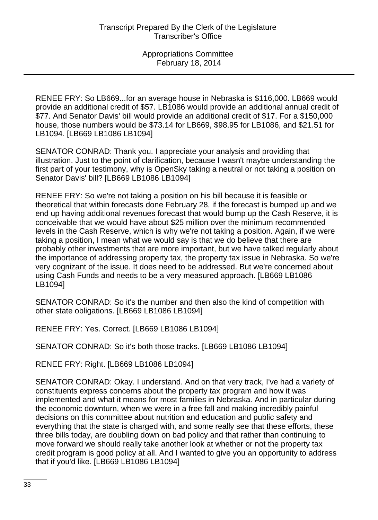RENEE FRY: So LB669...for an average house in Nebraska is \$116,000. LB669 would provide an additional credit of \$57. LB1086 would provide an additional annual credit of \$77. And Senator Davis' bill would provide an additional credit of \$17. For a \$150,000 house, those numbers would be \$73.14 for LB669, \$98.95 for LB1086, and \$21.51 for LB1094. [LB669 LB1086 LB1094]

SENATOR CONRAD: Thank you. I appreciate your analysis and providing that illustration. Just to the point of clarification, because I wasn't maybe understanding the first part of your testimony, why is OpenSky taking a neutral or not taking a position on Senator Davis' bill? [LB669 LB1086 LB1094]

RENEE FRY: So we're not taking a position on his bill because it is feasible or theoretical that within forecasts done February 28, if the forecast is bumped up and we end up having additional revenues forecast that would bump up the Cash Reserve, it is conceivable that we would have about \$25 million over the minimum recommended levels in the Cash Reserve, which is why we're not taking a position. Again, if we were taking a position, I mean what we would say is that we do believe that there are probably other investments that are more important, but we have talked regularly about the importance of addressing property tax, the property tax issue in Nebraska. So we're very cognizant of the issue. It does need to be addressed. But we're concerned about using Cash Funds and needs to be a very measured approach. [LB669 LB1086 LB1094]

SENATOR CONRAD: So it's the number and then also the kind of competition with other state obligations. [LB669 LB1086 LB1094]

RENEE FRY: Yes. Correct. [LB669 LB1086 LB1094]

SENATOR CONRAD: So it's both those tracks. [LB669 LB1086 LB1094]

RENEE FRY: Right. [LB669 LB1086 LB1094]

SENATOR CONRAD: Okay. I understand. And on that very track, I've had a variety of constituents express concerns about the property tax program and how it was implemented and what it means for most families in Nebraska. And in particular during the economic downturn, when we were in a free fall and making incredibly painful decisions on this committee about nutrition and education and public safety and everything that the state is charged with, and some really see that these efforts, these three bills today, are doubling down on bad policy and that rather than continuing to move forward we should really take another look at whether or not the property tax credit program is good policy at all. And I wanted to give you an opportunity to address that if you'd like. [LB669 LB1086 LB1094]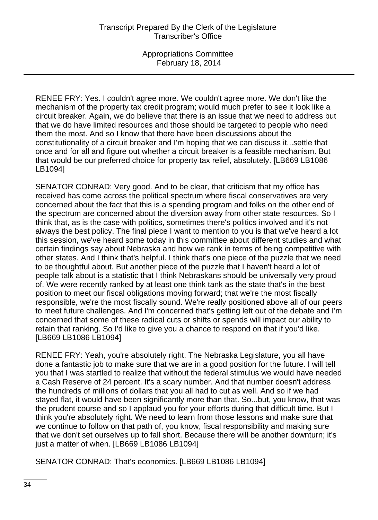RENEE FRY: Yes. I couldn't agree more. We couldn't agree more. We don't like the mechanism of the property tax credit program; would much prefer to see it look like a circuit breaker. Again, we do believe that there is an issue that we need to address but that we do have limited resources and those should be targeted to people who need them the most. And so I know that there have been discussions about the constitutionality of a circuit breaker and I'm hoping that we can discuss it...settle that once and for all and figure out whether a circuit breaker is a feasible mechanism. But that would be our preferred choice for property tax relief, absolutely. [LB669 LB1086 LB1094]

SENATOR CONRAD: Very good. And to be clear, that criticism that my office has received has come across the political spectrum where fiscal conservatives are very concerned about the fact that this is a spending program and folks on the other end of the spectrum are concerned about the diversion away from other state resources. So I think that, as is the case with politics, sometimes there's politics involved and it's not always the best policy. The final piece I want to mention to you is that we've heard a lot this session, we've heard some today in this committee about different studies and what certain findings say about Nebraska and how we rank in terms of being competitive with other states. And I think that's helpful. I think that's one piece of the puzzle that we need to be thoughtful about. But another piece of the puzzle that I haven't heard a lot of people talk about is a statistic that I think Nebraskans should be universally very proud of. We were recently ranked by at least one think tank as the state that's in the best position to meet our fiscal obligations moving forward; that we're the most fiscally responsible, we're the most fiscally sound. We're really positioned above all of our peers to meet future challenges. And I'm concerned that's getting left out of the debate and I'm concerned that some of these radical cuts or shifts or spends will impact our ability to retain that ranking. So I'd like to give you a chance to respond on that if you'd like. [LB669 LB1086 LB1094]

RENEE FRY: Yeah, you're absolutely right. The Nebraska Legislature, you all have done a fantastic job to make sure that we are in a good position for the future. I will tell you that I was startled to realize that without the federal stimulus we would have needed a Cash Reserve of 24 percent. It's a scary number. And that number doesn't address the hundreds of millions of dollars that you all had to cut as well. And so if we had stayed flat, it would have been significantly more than that. So...but, you know, that was the prudent course and so I applaud you for your efforts during that difficult time. But I think you're absolutely right. We need to learn from those lessons and make sure that we continue to follow on that path of, you know, fiscal responsibility and making sure that we don't set ourselves up to fall short. Because there will be another downturn; it's just a matter of when. [LB669 LB1086 LB1094]

SENATOR CONRAD: That's economics. [LB669 LB1086 LB1094]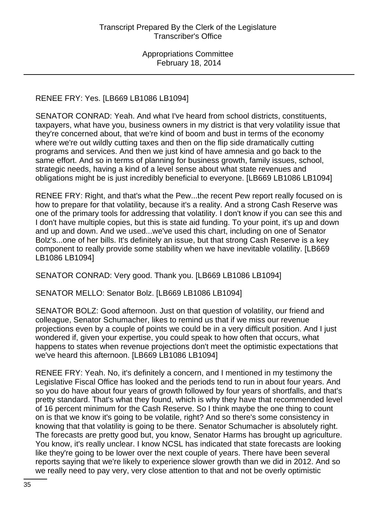# RENEE FRY: Yes. [LB669 LB1086 LB1094]

SENATOR CONRAD: Yeah. And what I've heard from school districts, constituents, taxpayers, what have you, business owners in my district is that very volatility issue that they're concerned about, that we're kind of boom and bust in terms of the economy where we're out wildly cutting taxes and then on the flip side dramatically cutting programs and services. And then we just kind of have amnesia and go back to the same effort. And so in terms of planning for business growth, family issues, school, strategic needs, having a kind of a level sense about what state revenues and obligations might be is just incredibly beneficial to everyone. [LB669 LB1086 LB1094]

RENEE FRY: Right, and that's what the Pew...the recent Pew report really focused on is how to prepare for that volatility, because it's a reality. And a strong Cash Reserve was one of the primary tools for addressing that volatility. I don't know if you can see this and I don't have multiple copies, but this is state aid funding. To your point, it's up and down and up and down. And we used...we've used this chart, including on one of Senator Bolz's...one of her bills. It's definitely an issue, but that strong Cash Reserve is a key component to really provide some stability when we have inevitable volatility. [LB669 LB1086 LB1094]

SENATOR CONRAD: Very good. Thank you. [LB669 LB1086 LB1094]

SENATOR MELLO: Senator Bolz. [LB669 LB1086 LB1094]

SENATOR BOLZ: Good afternoon. Just on that question of volatility, our friend and colleague, Senator Schumacher, likes to remind us that if we miss our revenue projections even by a couple of points we could be in a very difficult position. And I just wondered if, given your expertise, you could speak to how often that occurs, what happens to states when revenue projections don't meet the optimistic expectations that we've heard this afternoon. [LB669 LB1086 LB1094]

RENEE FRY: Yeah. No, it's definitely a concern, and I mentioned in my testimony the Legislative Fiscal Office has looked and the periods tend to run in about four years. And so you do have about four years of growth followed by four years of shortfalls, and that's pretty standard. That's what they found, which is why they have that recommended level of 16 percent minimum for the Cash Reserve. So I think maybe the one thing to count on is that we know it's going to be volatile, right? And so there's some consistency in knowing that that volatility is going to be there. Senator Schumacher is absolutely right. The forecasts are pretty good but, you know, Senator Harms has brought up agriculture. You know, it's really unclear. I know NCSL has indicated that state forecasts are looking like they're going to be lower over the next couple of years. There have been several reports saying that we're likely to experience slower growth than we did in 2012. And so we really need to pay very, very close attention to that and not be overly optimistic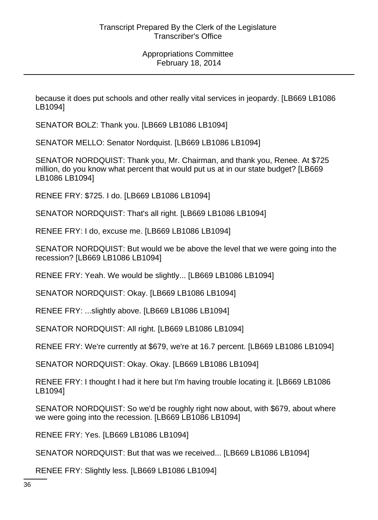because it does put schools and other really vital services in jeopardy. [LB669 LB1086 LB1094]

SENATOR BOLZ: Thank you. [LB669 LB1086 LB1094]

SENATOR MELLO: Senator Nordquist. [LB669 LB1086 LB1094]

SENATOR NORDQUIST: Thank you, Mr. Chairman, and thank you, Renee. At \$725 million, do you know what percent that would put us at in our state budget? [LB669 LB1086 LB1094]

RENEE FRY: \$725. I do. [LB669 LB1086 LB1094]

SENATOR NORDQUIST: That's all right. [LB669 LB1086 LB1094]

RENEE FRY: I do, excuse me. [LB669 LB1086 LB1094]

SENATOR NORDQUIST: But would we be above the level that we were going into the recession? [LB669 LB1086 LB1094]

RENEE FRY: Yeah. We would be slightly... [LB669 LB1086 LB1094]

SENATOR NORDQUIST: Okay. [LB669 LB1086 LB1094]

RENEE FRY: ...slightly above. [LB669 LB1086 LB1094]

SENATOR NORDQUIST: All right. [LB669 LB1086 LB1094]

RENEE FRY: We're currently at \$679, we're at 16.7 percent. [LB669 LB1086 LB1094]

SENATOR NORDQUIST: Okay. Okay. [LB669 LB1086 LB1094]

RENEE FRY: I thought I had it here but I'm having trouble locating it. [LB669 LB1086 LB1094]

SENATOR NORDQUIST: So we'd be roughly right now about, with \$679, about where we were going into the recession. [LB669 LB1086 LB1094]

RENEE FRY: Yes. [LB669 LB1086 LB1094]

SENATOR NORDQUIST: But that was we received... [LB669 LB1086 LB1094]

RENEE FRY: Slightly less. [LB669 LB1086 LB1094]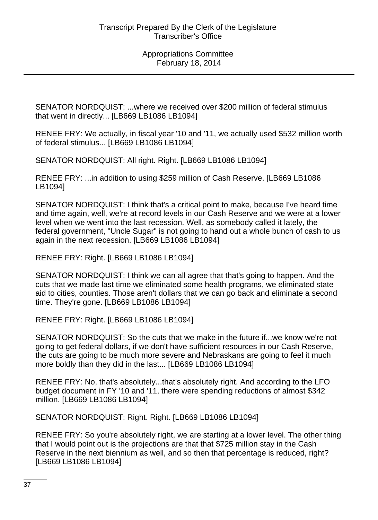SENATOR NORDQUIST: ...where we received over \$200 million of federal stimulus that went in directly... [LB669 LB1086 LB1094]

RENEE FRY: We actually, in fiscal year '10 and '11, we actually used \$532 million worth of federal stimulus... [LB669 LB1086 LB1094]

SENATOR NORDQUIST: All right. Right. [LB669 LB1086 LB1094]

RENEE FRY: ...in addition to using \$259 million of Cash Reserve. [LB669 LB1086 LB1094]

SENATOR NORDQUIST: I think that's a critical point to make, because I've heard time and time again, well, we're at record levels in our Cash Reserve and we were at a lower level when we went into the last recession. Well, as somebody called it lately, the federal government, "Uncle Sugar" is not going to hand out a whole bunch of cash to us again in the next recession. [LB669 LB1086 LB1094]

RENEE FRY: Right. [LB669 LB1086 LB1094]

SENATOR NORDQUIST: I think we can all agree that that's going to happen. And the cuts that we made last time we eliminated some health programs, we eliminated state aid to cities, counties. Those aren't dollars that we can go back and eliminate a second time. They're gone. [LB669 LB1086 LB1094]

RENEE FRY: Right. [LB669 LB1086 LB1094]

SENATOR NORDQUIST: So the cuts that we make in the future if...we know we're not going to get federal dollars, if we don't have sufficient resources in our Cash Reserve, the cuts are going to be much more severe and Nebraskans are going to feel it much more boldly than they did in the last... [LB669 LB1086 LB1094]

RENEE FRY: No, that's absolutely...that's absolutely right. And according to the LFO budget document in FY '10 and '11, there were spending reductions of almost \$342 million. [LB669 LB1086 LB1094]

SENATOR NORDQUIST: Right. Right. [LB669 LB1086 LB1094]

RENEE FRY: So you're absolutely right, we are starting at a lower level. The other thing that I would point out is the projections are that that \$725 million stay in the Cash Reserve in the next biennium as well, and so then that percentage is reduced, right? [LB669 LB1086 LB1094]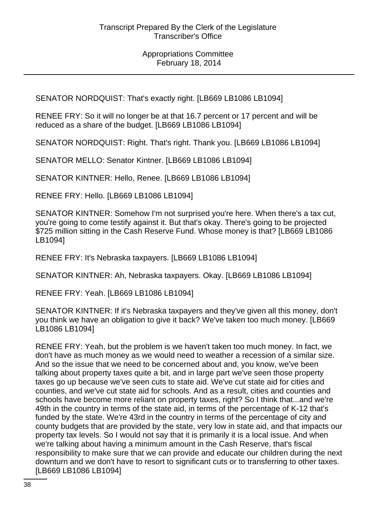SENATOR NORDQUIST: That's exactly right. [LB669 LB1086 LB1094]

RENEE FRY: So it will no longer be at that 16.7 percent or 17 percent and will be reduced as a share of the budget. [LB669 LB1086 LB1094]

SENATOR NORDQUIST: Right. That's right. Thank you. [LB669 LB1086 LB1094]

SENATOR MELLO: Senator Kintner. [LB669 LB1086 LB1094]

SENATOR KINTNER: Hello, Renee. [LB669 LB1086 LB1094]

RENEE FRY: Hello. [LB669 LB1086 LB1094]

SENATOR KINTNER: Somehow I'm not surprised you're here. When there's a tax cut, you're going to come testify against it. But that's okay. There's going to be projected \$725 million sitting in the Cash Reserve Fund. Whose money is that? [LB669 LB1086 LB1094]

RENEE FRY: It's Nebraska taxpayers. [LB669 LB1086 LB1094]

SENATOR KINTNER: Ah, Nebraska taxpayers. Okay. [LB669 LB1086 LB1094]

RENEE FRY: Yeah. [LB669 LB1086 LB1094]

SENATOR KINTNER: If it's Nebraska taxpayers and they've given all this money, don't you think we have an obligation to give it back? We've taken too much money. [LB669 LB1086 LB1094]

RENEE FRY: Yeah, but the problem is we haven't taken too much money. In fact, we don't have as much money as we would need to weather a recession of a similar size. And so the issue that we need to be concerned about and, you know, we've been talking about property taxes quite a bit, and in large part we've seen those property taxes go up because we've seen cuts to state aid. We've cut state aid for cities and counties, and we've cut state aid for schools. And as a result, cities and counties and schools have become more reliant on property taxes, right? So I think that...and we're 49th in the country in terms of the state aid, in terms of the percentage of K-12 that's funded by the state. We're 43rd in the country in terms of the percentage of city and county budgets that are provided by the state, very low in state aid, and that impacts our property tax levels. So I would not say that it is primarily it is a local issue. And when we're talking about having a minimum amount in the Cash Reserve, that's fiscal responsibility to make sure that we can provide and educate our children during the next downturn and we don't have to resort to significant cuts or to transferring to other taxes. [LB669 LB1086 LB1094]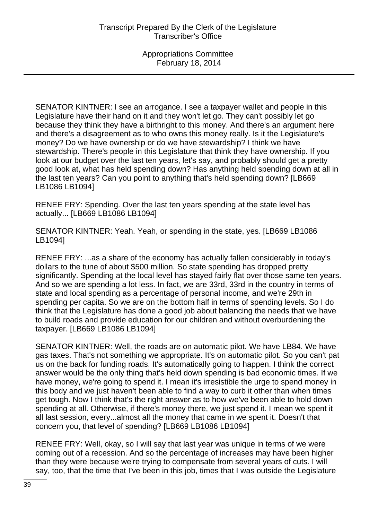SENATOR KINTNER: I see an arrogance. I see a taxpayer wallet and people in this Legislature have their hand on it and they won't let go. They can't possibly let go because they think they have a birthright to this money. And there's an argument here and there's a disagreement as to who owns this money really. Is it the Legislature's money? Do we have ownership or do we have stewardship? I think we have stewardship. There's people in this Legislature that think they have ownership. If you look at our budget over the last ten years, let's say, and probably should get a pretty good look at, what has held spending down? Has anything held spending down at all in the last ten years? Can you point to anything that's held spending down? [LB669 LB1086 LB1094]

RENEE FRY: Spending. Over the last ten years spending at the state level has actually... [LB669 LB1086 LB1094]

SENATOR KINTNER: Yeah. Yeah, or spending in the state, yes. [LB669 LB1086 LB1094]

RENEE FRY: ...as a share of the economy has actually fallen considerably in today's dollars to the tune of about \$500 million. So state spending has dropped pretty significantly. Spending at the local level has stayed fairly flat over those same ten years. And so we are spending a lot less. In fact, we are 33rd, 33rd in the country in terms of state and local spending as a percentage of personal income, and we're 29th in spending per capita. So we are on the bottom half in terms of spending levels. So I do think that the Legislature has done a good job about balancing the needs that we have to build roads and provide education for our children and without overburdening the taxpayer. [LB669 LB1086 LB1094]

SENATOR KINTNER: Well, the roads are on automatic pilot. We have LB84. We have gas taxes. That's not something we appropriate. It's on automatic pilot. So you can't pat us on the back for funding roads. It's automatically going to happen. I think the correct answer would be the only thing that's held down spending is bad economic times. If we have money, we're going to spend it. I mean it's irresistible the urge to spend money in this body and we just haven't been able to find a way to curb it other than when times get tough. Now I think that's the right answer as to how we've been able to hold down spending at all. Otherwise, if there's money there, we just spend it. I mean we spent it all last session, every...almost all the money that came in we spent it. Doesn't that concern you, that level of spending? [LB669 LB1086 LB1094]

RENEE FRY: Well, okay, so I will say that last year was unique in terms of we were coming out of a recession. And so the percentage of increases may have been higher than they were because we're trying to compensate from several years of cuts. I will say, too, that the time that I've been in this job, times that I was outside the Legislature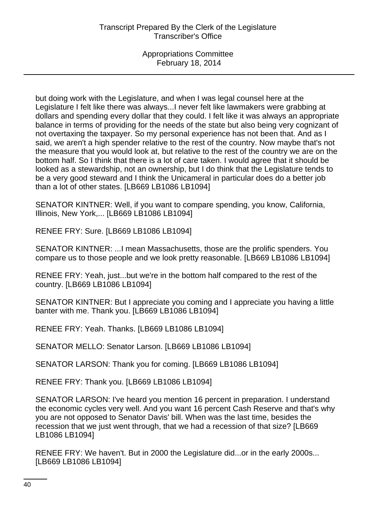but doing work with the Legislature, and when I was legal counsel here at the Legislature I felt like there was always...I never felt like lawmakers were grabbing at dollars and spending every dollar that they could. I felt like it was always an appropriate balance in terms of providing for the needs of the state but also being very cognizant of not overtaxing the taxpayer. So my personal experience has not been that. And as I said, we aren't a high spender relative to the rest of the country. Now maybe that's not the measure that you would look at, but relative to the rest of the country we are on the bottom half. So I think that there is a lot of care taken. I would agree that it should be looked as a stewardship, not an ownership, but I do think that the Legislature tends to be a very good steward and I think the Unicameral in particular does do a better job than a lot of other states. [LB669 LB1086 LB1094]

SENATOR KINTNER: Well, if you want to compare spending, you know, California, Illinois, New York,... [LB669 LB1086 LB1094]

RENEE FRY: Sure. [LB669 LB1086 LB1094]

SENATOR KINTNER: ...I mean Massachusetts, those are the prolific spenders. You compare us to those people and we look pretty reasonable. [LB669 LB1086 LB1094]

RENEE FRY: Yeah, just...but we're in the bottom half compared to the rest of the country. [LB669 LB1086 LB1094]

SENATOR KINTNER: But I appreciate you coming and I appreciate you having a little banter with me. Thank you. [LB669 LB1086 LB1094]

RENEE FRY: Yeah. Thanks. [LB669 LB1086 LB1094]

SENATOR MELLO: Senator Larson. [LB669 LB1086 LB1094]

SENATOR LARSON: Thank you for coming. [LB669 LB1086 LB1094]

RENEE FRY: Thank you. [LB669 LB1086 LB1094]

SENATOR LARSON: I've heard you mention 16 percent in preparation. I understand the economic cycles very well. And you want 16 percent Cash Reserve and that's why you are not opposed to Senator Davis' bill. When was the last time, besides the recession that we just went through, that we had a recession of that size? [LB669 LB1086 LB1094]

RENEE FRY: We haven't. But in 2000 the Legislature did...or in the early 2000s... [LB669 LB1086 LB1094]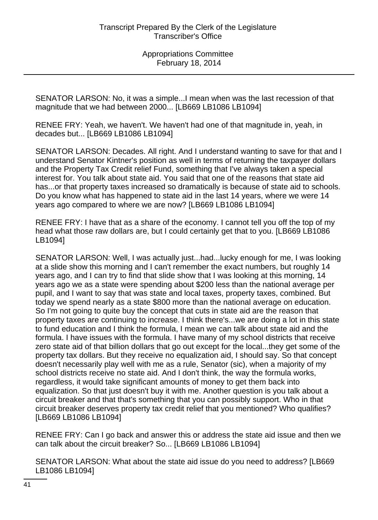SENATOR LARSON: No, it was a simple...I mean when was the last recession of that magnitude that we had between 2000... [LB669 LB1086 LB1094]

RENEE FRY: Yeah, we haven't. We haven't had one of that magnitude in, yeah, in decades but... [LB669 LB1086 LB1094]

SENATOR LARSON: Decades. All right. And I understand wanting to save for that and I understand Senator Kintner's position as well in terms of returning the taxpayer dollars and the Property Tax Credit relief Fund, something that I've always taken a special interest for. You talk about state aid. You said that one of the reasons that state aid has...or that property taxes increased so dramatically is because of state aid to schools. Do you know what has happened to state aid in the last 14 years, where we were 14 years ago compared to where we are now? [LB669 LB1086 LB1094]

RENEE FRY: I have that as a share of the economy. I cannot tell you off the top of my head what those raw dollars are, but I could certainly get that to you. [LB669 LB1086 LB1094]

SENATOR LARSON: Well, I was actually just...had...lucky enough for me, I was looking at a slide show this morning and I can't remember the exact numbers, but roughly 14 years ago, and I can try to find that slide show that I was looking at this morning, 14 years ago we as a state were spending about \$200 less than the national average per pupil, and I want to say that was state and local taxes, property taxes, combined. But today we spend nearly as a state \$800 more than the national average on education. So I'm not going to quite buy the concept that cuts in state aid are the reason that property taxes are continuing to increase. I think there's...we are doing a lot in this state to fund education and I think the formula, I mean we can talk about state aid and the formula. I have issues with the formula. I have many of my school districts that receive zero state aid of that billion dollars that go out except for the local...they get some of the property tax dollars. But they receive no equalization aid, I should say. So that concept doesn't necessarily play well with me as a rule, Senator (sic), when a majority of my school districts receive no state aid. And I don't think, the way the formula works, regardless, it would take significant amounts of money to get them back into equalization. So that just doesn't buy it with me. Another question is you talk about a circuit breaker and that that's something that you can possibly support. Who in that circuit breaker deserves property tax credit relief that you mentioned? Who qualifies? [LB669 LB1086 LB1094]

RENEE FRY: Can I go back and answer this or address the state aid issue and then we can talk about the circuit breaker? So... [LB669 LB1086 LB1094]

SENATOR LARSON: What about the state aid issue do you need to address? [LB669 LB1086 LB1094]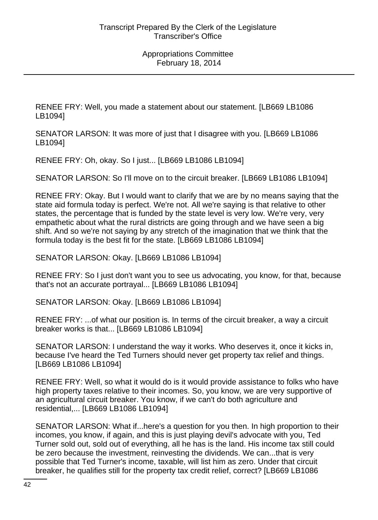RENEE FRY: Well, you made a statement about our statement. [LB669 LB1086 LB1094]

SENATOR LARSON: It was more of just that I disagree with you. [LB669 LB1086 LB1094]

RENEE FRY: Oh, okay. So I just... [LB669 LB1086 LB1094]

SENATOR LARSON: So I'll move on to the circuit breaker. [LB669 LB1086 LB1094]

RENEE FRY: Okay. But I would want to clarify that we are by no means saying that the state aid formula today is perfect. We're not. All we're saying is that relative to other states, the percentage that is funded by the state level is very low. We're very, very empathetic about what the rural districts are going through and we have seen a big shift. And so we're not saying by any stretch of the imagination that we think that the formula today is the best fit for the state. [LB669 LB1086 LB1094]

SENATOR LARSON: Okay. [LB669 LB1086 LB1094]

RENEE FRY: So I just don't want you to see us advocating, you know, for that, because that's not an accurate portrayal... [LB669 LB1086 LB1094]

SENATOR LARSON: Okay. [LB669 LB1086 LB1094]

RENEE FRY: ...of what our position is. In terms of the circuit breaker, a way a circuit breaker works is that... [LB669 LB1086 LB1094]

SENATOR LARSON: I understand the way it works. Who deserves it, once it kicks in, because I've heard the Ted Turners should never get property tax relief and things. [LB669 LB1086 LB1094]

RENEE FRY: Well, so what it would do is it would provide assistance to folks who have high property taxes relative to their incomes. So, you know, we are very supportive of an agricultural circuit breaker. You know, if we can't do both agriculture and residential,... [LB669 LB1086 LB1094]

SENATOR LARSON: What if...here's a question for you then. In high proportion to their incomes, you know, if again, and this is just playing devil's advocate with you, Ted Turner sold out, sold out of everything, all he has is the land. His income tax still could be zero because the investment, reinvesting the dividends. We can...that is very possible that Ted Turner's income, taxable, will list him as zero. Under that circuit breaker, he qualifies still for the property tax credit relief, correct? [LB669 LB1086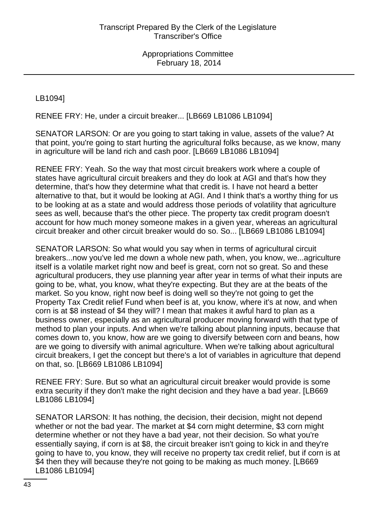LB1094]

RENEE FRY: He, under a circuit breaker... [LB669 LB1086 LB1094]

SENATOR LARSON: Or are you going to start taking in value, assets of the value? At that point, you're going to start hurting the agricultural folks because, as we know, many in agriculture will be land rich and cash poor. [LB669 LB1086 LB1094]

RENEE FRY: Yeah. So the way that most circuit breakers work where a couple of states have agricultural circuit breakers and they do look at AGI and that's how they determine, that's how they determine what that credit is. I have not heard a better alternative to that, but it would be looking at AGI. And I think that's a worthy thing for us to be looking at as a state and would address those periods of volatility that agriculture sees as well, because that's the other piece. The property tax credit program doesn't account for how much money someone makes in a given year, whereas an agricultural circuit breaker and other circuit breaker would do so. So... [LB669 LB1086 LB1094]

SENATOR LARSON: So what would you say when in terms of agricultural circuit breakers...now you've led me down a whole new path, when, you know, we...agriculture itself is a volatile market right now and beef is great, corn not so great. So and these agricultural producers, they use planning year after year in terms of what their inputs are going to be, what, you know, what they're expecting. But they are at the beats of the market. So you know, right now beef is doing well so they're not going to get the Property Tax Credit relief Fund when beef is at, you know, where it's at now, and when corn is at \$8 instead of \$4 they will? I mean that makes it awful hard to plan as a business owner, especially as an agricultural producer moving forward with that type of method to plan your inputs. And when we're talking about planning inputs, because that comes down to, you know, how are we going to diversify between corn and beans, how are we going to diversify with animal agriculture. When we're talking about agricultural circuit breakers, I get the concept but there's a lot of variables in agriculture that depend on that, so. [LB669 LB1086 LB1094]

RENEE FRY: Sure. But so what an agricultural circuit breaker would provide is some extra security if they don't make the right decision and they have a bad year. [LB669 LB1086 LB1094]

SENATOR LARSON: It has nothing, the decision, their decision, might not depend whether or not the bad year. The market at \$4 corn might determine, \$3 corn might determine whether or not they have a bad year, not their decision. So what you're essentially saying, if corn is at \$8, the circuit breaker isn't going to kick in and they're going to have to, you know, they will receive no property tax credit relief, but if corn is at \$4 then they will because they're not going to be making as much money. [LB669 LB1086 LB1094]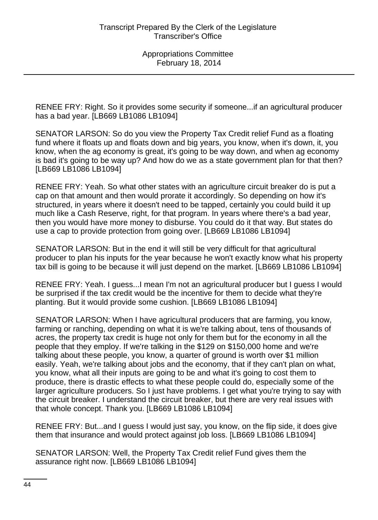RENEE FRY: Right. So it provides some security if someone...if an agricultural producer has a bad year. [LB669 LB1086 LB1094]

SENATOR LARSON: So do you view the Property Tax Credit relief Fund as a floating fund where it floats up and floats down and big years, you know, when it's down, it, you know, when the ag economy is great, it's going to be way down, and when ag economy is bad it's going to be way up? And how do we as a state government plan for that then? [LB669 LB1086 LB1094]

RENEE FRY: Yeah. So what other states with an agriculture circuit breaker do is put a cap on that amount and then would prorate it accordingly. So depending on how it's structured, in years where it doesn't need to be tapped, certainly you could build it up much like a Cash Reserve, right, for that program. In years where there's a bad year, then you would have more money to disburse. You could do it that way. But states do use a cap to provide protection from going over. [LB669 LB1086 LB1094]

SENATOR LARSON: But in the end it will still be very difficult for that agricultural producer to plan his inputs for the year because he won't exactly know what his property tax bill is going to be because it will just depend on the market. [LB669 LB1086 LB1094]

RENEE FRY: Yeah. I guess...I mean I'm not an agricultural producer but I guess I would be surprised if the tax credit would be the incentive for them to decide what they're planting. But it would provide some cushion. [LB669 LB1086 LB1094]

SENATOR LARSON: When I have agricultural producers that are farming, you know, farming or ranching, depending on what it is we're talking about, tens of thousands of acres, the property tax credit is huge not only for them but for the economy in all the people that they employ. If we're talking in the \$129 on \$150,000 home and we're talking about these people, you know, a quarter of ground is worth over \$1 million easily. Yeah, we're talking about jobs and the economy, that if they can't plan on what, you know, what all their inputs are going to be and what it's going to cost them to produce, there is drastic effects to what these people could do, especially some of the larger agriculture producers. So I just have problems. I get what you're trying to say with the circuit breaker. I understand the circuit breaker, but there are very real issues with that whole concept. Thank you. [LB669 LB1086 LB1094]

RENEE FRY: But...and I guess I would just say, you know, on the flip side, it does give them that insurance and would protect against job loss. [LB669 LB1086 LB1094]

SENATOR LARSON: Well, the Property Tax Credit relief Fund gives them the assurance right now. [LB669 LB1086 LB1094]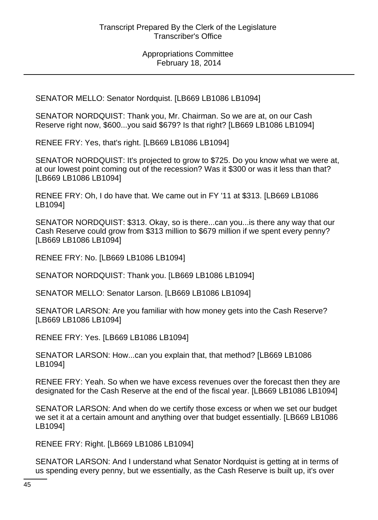SENATOR MELLO: Senator Nordquist. [LB669 LB1086 LB1094]

SENATOR NORDQUIST: Thank you, Mr. Chairman. So we are at, on our Cash Reserve right now, \$600...you said \$679? Is that right? [LB669 LB1086 LB1094]

RENEE FRY: Yes, that's right. [LB669 LB1086 LB1094]

SENATOR NORDQUIST: It's projected to grow to \$725. Do you know what we were at, at our lowest point coming out of the recession? Was it \$300 or was it less than that? [LB669 LB1086 LB1094]

RENEE FRY: Oh, I do have that. We came out in FY '11 at \$313. [LB669 LB1086 LB1094]

SENATOR NORDQUIST: \$313. Okay, so is there...can you...is there any way that our Cash Reserve could grow from \$313 million to \$679 million if we spent every penny? [LB669 LB1086 LB1094]

RENEE FRY: No. [LB669 LB1086 LB1094]

SENATOR NORDQUIST: Thank you. [LB669 LB1086 LB1094]

SENATOR MELLO: Senator Larson. [LB669 LB1086 LB1094]

SENATOR LARSON: Are you familiar with how money gets into the Cash Reserve? [LB669 LB1086 LB1094]

RENEE FRY: Yes. [LB669 LB1086 LB1094]

SENATOR LARSON: How...can you explain that, that method? [LB669 LB1086 LB1094]

RENEE FRY: Yeah. So when we have excess revenues over the forecast then they are designated for the Cash Reserve at the end of the fiscal year. [LB669 LB1086 LB1094]

SENATOR LARSON: And when do we certify those excess or when we set our budget we set it at a certain amount and anything over that budget essentially. [LB669 LB1086 LB1094]

RENEE FRY: Right. [LB669 LB1086 LB1094]

SENATOR LARSON: And I understand what Senator Nordquist is getting at in terms of us spending every penny, but we essentially, as the Cash Reserve is built up, it's over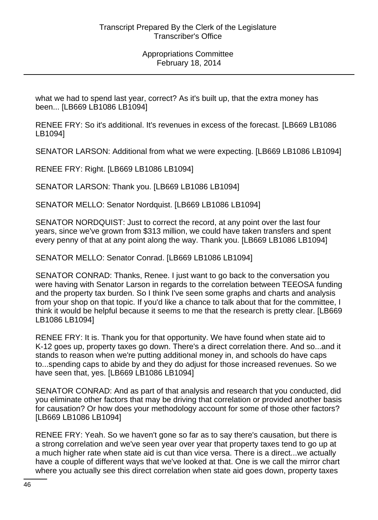what we had to spend last year, correct? As it's built up, that the extra money has been... [LB669 LB1086 LB1094]

RENEE FRY: So it's additional. It's revenues in excess of the forecast. [LB669 LB1086 LB1094]

SENATOR LARSON: Additional from what we were expecting. [LB669 LB1086 LB1094]

RENEE FRY: Right. [LB669 LB1086 LB1094]

SENATOR LARSON: Thank you. [LB669 LB1086 LB1094]

SENATOR MELLO: Senator Nordquist. [LB669 LB1086 LB1094]

SENATOR NORDQUIST: Just to correct the record, at any point over the last four years, since we've grown from \$313 million, we could have taken transfers and spent every penny of that at any point along the way. Thank you. [LB669 LB1086 LB1094]

SENATOR MELLO: Senator Conrad. [LB669 LB1086 LB1094]

SENATOR CONRAD: Thanks, Renee. I just want to go back to the conversation you were having with Senator Larson in regards to the correlation between TEEOSA funding and the property tax burden. So I think I've seen some graphs and charts and analysis from your shop on that topic. If you'd like a chance to talk about that for the committee, I think it would be helpful because it seems to me that the research is pretty clear. [LB669 LB1086 LB1094]

RENEE FRY: It is. Thank you for that opportunity. We have found when state aid to K-12 goes up, property taxes go down. There's a direct correlation there. And so...and it stands to reason when we're putting additional money in, and schools do have caps to...spending caps to abide by and they do adjust for those increased revenues. So we have seen that, yes. [LB669 LB1086 LB1094]

SENATOR CONRAD: And as part of that analysis and research that you conducted, did you eliminate other factors that may be driving that correlation or provided another basis for causation? Or how does your methodology account for some of those other factors? [LB669 LB1086 LB1094]

RENEE FRY: Yeah. So we haven't gone so far as to say there's causation, but there is a strong correlation and we've seen year over year that property taxes tend to go up at a much higher rate when state aid is cut than vice versa. There is a direct...we actually have a couple of different ways that we've looked at that. One is we call the mirror chart where you actually see this direct correlation when state aid goes down, property taxes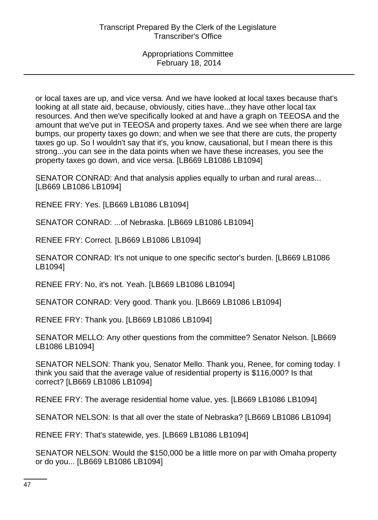or local taxes are up, and vice versa. And we have looked at local taxes because that's looking at all state aid, because, obviously, cities have...they have other local tax resources. And then we've specifically looked at and have a graph on TEEOSA and the amount that we've put in TEEOSA and property taxes. And we see when there are large bumps, our property taxes go down; and when we see that there are cuts, the property taxes go up. So I wouldn't say that it's, you know, causational, but I mean there is this strong...you can see in the data points when we have these increases, you see the property taxes go down, and vice versa. [LB669 LB1086 LB1094]

SENATOR CONRAD: And that analysis applies equally to urban and rural areas... [LB669 LB1086 LB1094]

RENEE FRY: Yes. [LB669 LB1086 LB1094]

SENATOR CONRAD: ...of Nebraska. [LB669 LB1086 LB1094]

RENEE FRY: Correct. [LB669 LB1086 LB1094]

SENATOR CONRAD: It's not unique to one specific sector's burden. [LB669 LB1086 LB1094]

RENEE FRY: No, it's not. Yeah. [LB669 LB1086 LB1094]

SENATOR CONRAD: Very good. Thank you. [LB669 LB1086 LB1094]

RENEE FRY: Thank you. [LB669 LB1086 LB1094]

SENATOR MELLO: Any other questions from the committee? Senator Nelson. [LB669 LB1086 LB1094]

SENATOR NELSON: Thank you, Senator Mello. Thank you, Renee, for coming today. I think you said that the average value of residential property is \$116,000? Is that correct? [LB669 LB1086 LB1094]

RENEE FRY: The average residential home value, yes. [LB669 LB1086 LB1094]

SENATOR NELSON: Is that all over the state of Nebraska? [LB669 LB1086 LB1094]

RENEE FRY: That's statewide, yes. [LB669 LB1086 LB1094]

SENATOR NELSON: Would the \$150,000 be a little more on par with Omaha property or do you... [LB669 LB1086 LB1094]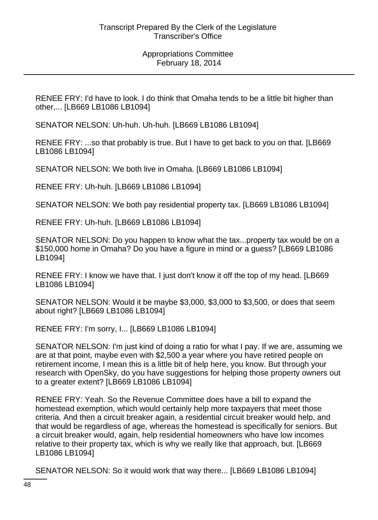RENEE FRY: I'd have to look. I do think that Omaha tends to be a little bit higher than other,... [LB669 LB1086 LB1094]

SENATOR NELSON: Uh-huh. Uh-huh. [LB669 LB1086 LB1094]

RENEE FRY: ...so that probably is true. But I have to get back to you on that. [LB669 LB1086 LB1094]

SENATOR NELSON: We both live in Omaha. [LB669 LB1086 LB1094]

RENEE FRY: Uh-huh. [LB669 LB1086 LB1094]

SENATOR NELSON: We both pay residential property tax. [LB669 LB1086 LB1094]

RENEE FRY: Uh-huh. [LB669 LB1086 LB1094]

SENATOR NELSON: Do you happen to know what the tax...property tax would be on a \$150,000 home in Omaha? Do you have a figure in mind or a guess? [LB669 LB1086 LB1094]

RENEE FRY: I know we have that. I just don't know it off the top of my head. [LB669 LB1086 LB1094]

SENATOR NELSON: Would it be maybe \$3,000, \$3,000 to \$3,500, or does that seem about right? [LB669 LB1086 LB1094]

RENEE FRY: I'm sorry, I... [LB669 LB1086 LB1094]

SENATOR NELSON: I'm just kind of doing a ratio for what I pay. If we are, assuming we are at that point, maybe even with \$2,500 a year where you have retired people on retirement income, I mean this is a little bit of help here, you know. But through your research with OpenSky, do you have suggestions for helping those property owners out to a greater extent? [LB669 LB1086 LB1094]

RENEE FRY: Yeah. So the Revenue Committee does have a bill to expand the homestead exemption, which would certainly help more taxpayers that meet those criteria. And then a circuit breaker again, a residential circuit breaker would help, and that would be regardless of age, whereas the homestead is specifically for seniors. But a circuit breaker would, again, help residential homeowners who have low incomes relative to their property tax, which is why we really like that approach, but. [LB669 LB1086 LB1094]

SENATOR NELSON: So it would work that way there... [LB669 LB1086 LB1094]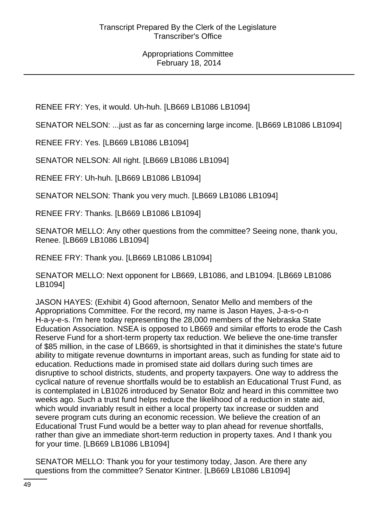RENEE FRY: Yes, it would. Uh-huh. [LB669 LB1086 LB1094]

SENATOR NELSON: ...just as far as concerning large income. [LB669 LB1086 LB1094]

RENEE FRY: Yes. [LB669 LB1086 LB1094]

SENATOR NELSON: All right. [LB669 LB1086 LB1094]

RENEE FRY: Uh-huh. [LB669 LB1086 LB1094]

SENATOR NELSON: Thank you very much. [LB669 LB1086 LB1094]

RENEE FRY: Thanks. [LB669 LB1086 LB1094]

SENATOR MELLO: Any other questions from the committee? Seeing none, thank you, Renee. [LB669 LB1086 LB1094]

RENEE FRY: Thank you. [LB669 LB1086 LB1094]

SENATOR MELLO: Next opponent for LB669, LB1086, and LB1094. [LB669 LB1086 LB1094]

JASON HAYES: (Exhibit 4) Good afternoon, Senator Mello and members of the Appropriations Committee. For the record, my name is Jason Hayes, J-a-s-o-n H-a-y-e-s. I'm here today representing the 28,000 members of the Nebraska State Education Association. NSEA is opposed to LB669 and similar efforts to erode the Cash Reserve Fund for a short-term property tax reduction. We believe the one-time transfer of \$85 million, in the case of LB669, is shortsighted in that it diminishes the state's future ability to mitigate revenue downturns in important areas, such as funding for state aid to education. Reductions made in promised state aid dollars during such times are disruptive to school districts, students, and property taxpayers. One way to address the cyclical nature of revenue shortfalls would be to establish an Educational Trust Fund, as is contemplated in LB1026 introduced by Senator Bolz and heard in this committee two weeks ago. Such a trust fund helps reduce the likelihood of a reduction in state aid, which would invariably result in either a local property tax increase or sudden and severe program cuts during an economic recession. We believe the creation of an Educational Trust Fund would be a better way to plan ahead for revenue shortfalls, rather than give an immediate short-term reduction in property taxes. And I thank you for your time. [LB669 LB1086 LB1094]

SENATOR MELLO: Thank you for your testimony today, Jason. Are there any questions from the committee? Senator Kintner. [LB669 LB1086 LB1094]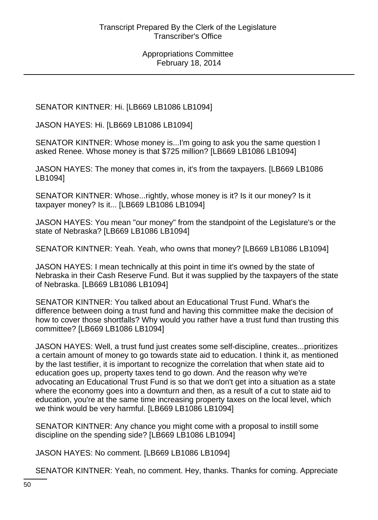SENATOR KINTNER: Hi. [LB669 LB1086 LB1094]

JASON HAYES: Hi. [LB669 LB1086 LB1094]

SENATOR KINTNER: Whose money is...I'm going to ask you the same question I asked Renee. Whose money is that \$725 million? [LB669 LB1086 LB1094]

JASON HAYES: The money that comes in, it's from the taxpayers. [LB669 LB1086 LB1094]

SENATOR KINTNER: Whose...rightly, whose money is it? Is it our money? Is it taxpayer money? Is it... [LB669 LB1086 LB1094]

JASON HAYES: You mean "our money" from the standpoint of the Legislature's or the state of Nebraska? [LB669 LB1086 LB1094]

SENATOR KINTNER: Yeah. Yeah, who owns that money? [LB669 LB1086 LB1094]

JASON HAYES: I mean technically at this point in time it's owned by the state of Nebraska in their Cash Reserve Fund. But it was supplied by the taxpayers of the state of Nebraska. [LB669 LB1086 LB1094]

SENATOR KINTNER: You talked about an Educational Trust Fund. What's the difference between doing a trust fund and having this committee make the decision of how to cover those shortfalls? Why would you rather have a trust fund than trusting this committee? [LB669 LB1086 LB1094]

JASON HAYES: Well, a trust fund just creates some self-discipline, creates...prioritizes a certain amount of money to go towards state aid to education. I think it, as mentioned by the last testifier, it is important to recognize the correlation that when state aid to education goes up, property taxes tend to go down. And the reason why we're advocating an Educational Trust Fund is so that we don't get into a situation as a state where the economy goes into a downturn and then, as a result of a cut to state aid to education, you're at the same time increasing property taxes on the local level, which we think would be very harmful. [LB669 LB1086 LB1094]

SENATOR KINTNER: Any chance you might come with a proposal to instill some discipline on the spending side? [LB669 LB1086 LB1094]

JASON HAYES: No comment. [LB669 LB1086 LB1094]

SENATOR KINTNER: Yeah, no comment. Hey, thanks. Thanks for coming. Appreciate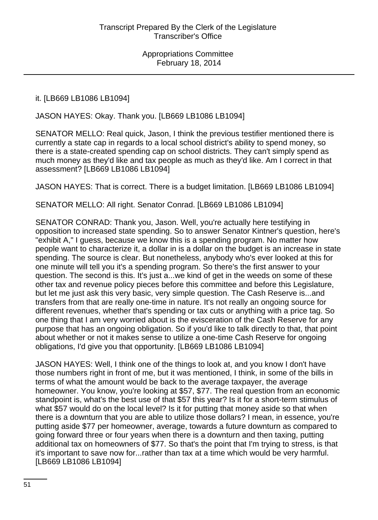### it. [LB669 LB1086 LB1094]

JASON HAYES: Okay. Thank you. [LB669 LB1086 LB1094]

SENATOR MELLO: Real quick, Jason, I think the previous testifier mentioned there is currently a state cap in regards to a local school district's ability to spend money, so there is a state-created spending cap on school districts. They can't simply spend as much money as they'd like and tax people as much as they'd like. Am I correct in that assessment? [LB669 LB1086 LB1094]

JASON HAYES: That is correct. There is a budget limitation. [LB669 LB1086 LB1094]

SENATOR MELLO: All right. Senator Conrad. [LB669 LB1086 LB1094]

SENATOR CONRAD: Thank you, Jason. Well, you're actually here testifying in opposition to increased state spending. So to answer Senator Kintner's question, here's "exhibit A," I guess, because we know this is a spending program. No matter how people want to characterize it, a dollar in is a dollar on the budget is an increase in state spending. The source is clear. But nonetheless, anybody who's ever looked at this for one minute will tell you it's a spending program. So there's the first answer to your question. The second is this. It's just a...we kind of get in the weeds on some of these other tax and revenue policy pieces before this committee and before this Legislature, but let me just ask this very basic, very simple question. The Cash Reserve is...and transfers from that are really one-time in nature. It's not really an ongoing source for different revenues, whether that's spending or tax cuts or anything with a price tag. So one thing that I am very worried about is the evisceration of the Cash Reserve for any purpose that has an ongoing obligation. So if you'd like to talk directly to that, that point about whether or not it makes sense to utilize a one-time Cash Reserve for ongoing obligations, I'd give you that opportunity. [LB669 LB1086 LB1094]

JASON HAYES: Well, I think one of the things to look at, and you know I don't have those numbers right in front of me, but it was mentioned, I think, in some of the bills in terms of what the amount would be back to the average taxpayer, the average homeowner. You know, you're looking at \$57, \$77. The real question from an economic standpoint is, what's the best use of that \$57 this year? Is it for a short-term stimulus of what \$57 would do on the local level? Is it for putting that money aside so that when there is a downturn that you are able to utilize those dollars? I mean, in essence, you're putting aside \$77 per homeowner, average, towards a future downturn as compared to going forward three or four years when there is a downturn and then taxing, putting additional tax on homeowners of \$77. So that's the point that I'm trying to stress, is that it's important to save now for...rather than tax at a time which would be very harmful. [LB669 LB1086 LB1094]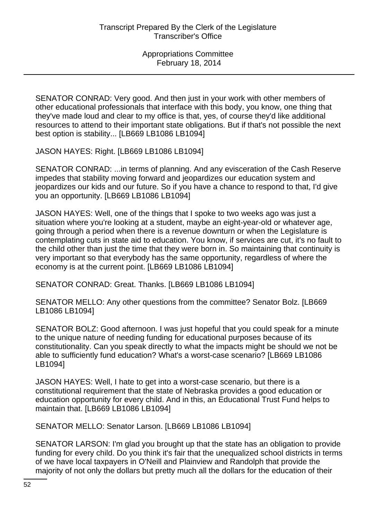SENATOR CONRAD: Very good. And then just in your work with other members of other educational professionals that interface with this body, you know, one thing that they've made loud and clear to my office is that, yes, of course they'd like additional resources to attend to their important state obligations. But if that's not possible the next best option is stability... [LB669 LB1086 LB1094]

JASON HAYES: Right. [LB669 LB1086 LB1094]

SENATOR CONRAD: ...in terms of planning. And any evisceration of the Cash Reserve impedes that stability moving forward and jeopardizes our education system and jeopardizes our kids and our future. So if you have a chance to respond to that, I'd give you an opportunity. [LB669 LB1086 LB1094]

JASON HAYES: Well, one of the things that I spoke to two weeks ago was just a situation where you're looking at a student, maybe an eight-year-old or whatever age, going through a period when there is a revenue downturn or when the Legislature is contemplating cuts in state aid to education. You know, if services are cut, it's no fault to the child other than just the time that they were born in. So maintaining that continuity is very important so that everybody has the same opportunity, regardless of where the economy is at the current point. [LB669 LB1086 LB1094]

SENATOR CONRAD: Great. Thanks. [LB669 LB1086 LB1094]

SENATOR MELLO: Any other questions from the committee? Senator Bolz. [LB669 LB1086 LB1094]

SENATOR BOLZ: Good afternoon. I was just hopeful that you could speak for a minute to the unique nature of needing funding for educational purposes because of its constitutionality. Can you speak directly to what the impacts might be should we not be able to sufficiently fund education? What's a worst-case scenario? [LB669 LB1086 LB1094]

JASON HAYES: Well, I hate to get into a worst-case scenario, but there is a constitutional requirement that the state of Nebraska provides a good education or education opportunity for every child. And in this, an Educational Trust Fund helps to maintain that. [LB669 LB1086 LB1094]

SENATOR MELLO: Senator Larson. [LB669 LB1086 LB1094]

SENATOR LARSON: I'm glad you brought up that the state has an obligation to provide funding for every child. Do you think it's fair that the unequalized school districts in terms of we have local taxpayers in O'Neill and Plainview and Randolph that provide the majority of not only the dollars but pretty much all the dollars for the education of their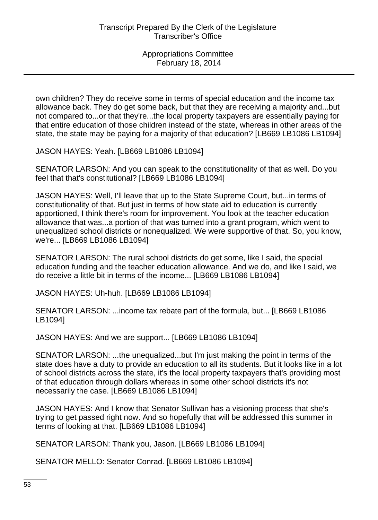own children? They do receive some in terms of special education and the income tax allowance back. They do get some back, but that they are receiving a majority and...but not compared to...or that they're...the local property taxpayers are essentially paying for that entire education of those children instead of the state, whereas in other areas of the state, the state may be paying for a majority of that education? [LB669 LB1086 LB1094]

JASON HAYES: Yeah. [LB669 LB1086 LB1094]

SENATOR LARSON: And you can speak to the constitutionality of that as well. Do you feel that that's constitutional? [LB669 LB1086 LB1094]

JASON HAYES: Well, I'll leave that up to the State Supreme Court, but...in terms of constitutionality of that. But just in terms of how state aid to education is currently apportioned, I think there's room for improvement. You look at the teacher education allowance that was...a portion of that was turned into a grant program, which went to unequalized school districts or nonequalized. We were supportive of that. So, you know, we're... [LB669 LB1086 LB1094]

SENATOR LARSON: The rural school districts do get some, like I said, the special education funding and the teacher education allowance. And we do, and like I said, we do receive a little bit in terms of the income... [LB669 LB1086 LB1094]

JASON HAYES: Uh-huh. [LB669 LB1086 LB1094]

SENATOR LARSON: ...income tax rebate part of the formula, but... [LB669 LB1086 LB1094]

JASON HAYES: And we are support... [LB669 LB1086 LB1094]

SENATOR LARSON: ...the unequalized...but I'm just making the point in terms of the state does have a duty to provide an education to all its students. But it looks like in a lot of school districts across the state, it's the local property taxpayers that's providing most of that education through dollars whereas in some other school districts it's not necessarily the case. [LB669 LB1086 LB1094]

JASON HAYES: And I know that Senator Sullivan has a visioning process that she's trying to get passed right now. And so hopefully that will be addressed this summer in terms of looking at that. [LB669 LB1086 LB1094]

SENATOR LARSON: Thank you, Jason. [LB669 LB1086 LB1094]

SENATOR MELLO: Senator Conrad. [LB669 LB1086 LB1094]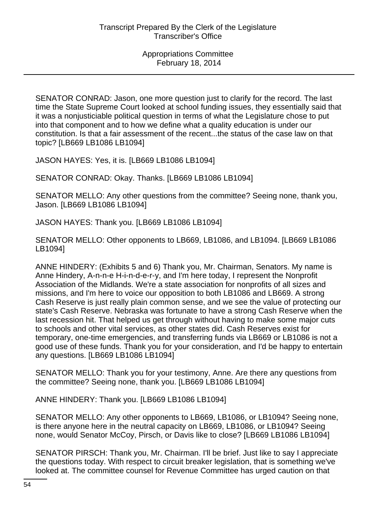SENATOR CONRAD: Jason, one more question just to clarify for the record. The last time the State Supreme Court looked at school funding issues, they essentially said that it was a nonjusticiable political question in terms of what the Legislature chose to put into that component and to how we define what a quality education is under our constitution. Is that a fair assessment of the recent...the status of the case law on that topic? [LB669 LB1086 LB1094]

JASON HAYES: Yes, it is. [LB669 LB1086 LB1094]

SENATOR CONRAD: Okay. Thanks. [LB669 LB1086 LB1094]

SENATOR MELLO: Any other questions from the committee? Seeing none, thank you, Jason. [LB669 LB1086 LB1094]

JASON HAYES: Thank you. [LB669 LB1086 LB1094]

SENATOR MELLO: Other opponents to LB669, LB1086, and LB1094. [LB669 LB1086 LB1094]

ANNE HINDERY: (Exhibits 5 and 6) Thank you, Mr. Chairman, Senators. My name is Anne Hindery, A-n-n-e H-i-n-d-e-r-y, and I'm here today, I represent the Nonprofit Association of the Midlands. We're a state association for nonprofits of all sizes and missions, and I'm here to voice our opposition to both LB1086 and LB669. A strong Cash Reserve is just really plain common sense, and we see the value of protecting our state's Cash Reserve. Nebraska was fortunate to have a strong Cash Reserve when the last recession hit. That helped us get through without having to make some major cuts to schools and other vital services, as other states did. Cash Reserves exist for temporary, one-time emergencies, and transferring funds via LB669 or LB1086 is not a good use of these funds. Thank you for your consideration, and I'd be happy to entertain any questions. [LB669 LB1086 LB1094]

SENATOR MELLO: Thank you for your testimony, Anne. Are there any questions from the committee? Seeing none, thank you. [LB669 LB1086 LB1094]

ANNE HINDERY: Thank you. [LB669 LB1086 LB1094]

SENATOR MELLO: Any other opponents to LB669, LB1086, or LB1094? Seeing none, is there anyone here in the neutral capacity on LB669, LB1086, or LB1094? Seeing none, would Senator McCoy, Pirsch, or Davis like to close? [LB669 LB1086 LB1094]

SENATOR PIRSCH: Thank you, Mr. Chairman. I'll be brief. Just like to say I appreciate the questions today. With respect to circuit breaker legislation, that is something we've looked at. The committee counsel for Revenue Committee has urged caution on that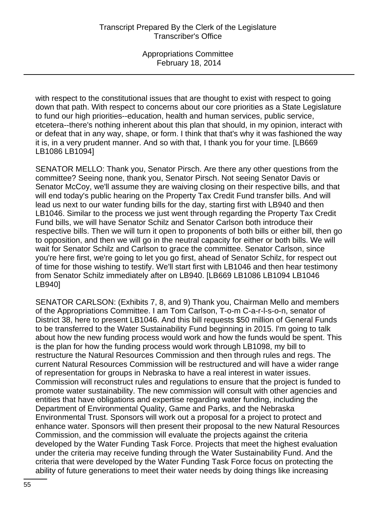with respect to the constitutional issues that are thought to exist with respect to going down that path. With respect to concerns about our core priorities as a State Legislature to fund our high priorities--education, health and human services, public service, etcetera--there's nothing inherent about this plan that should, in my opinion, interact with or defeat that in any way, shape, or form. I think that that's why it was fashioned the way it is, in a very prudent manner. And so with that, I thank you for your time. [LB669 LB1086 LB1094]

SENATOR MELLO: Thank you, Senator Pirsch. Are there any other questions from the committee? Seeing none, thank you, Senator Pirsch. Not seeing Senator Davis or Senator McCoy, we'll assume they are waiving closing on their respective bills, and that will end today's public hearing on the Property Tax Credit Fund transfer bills. And will lead us next to our water funding bills for the day, starting first with LB940 and then LB1046. Similar to the process we just went through regarding the Property Tax Credit Fund bills, we will have Senator Schilz and Senator Carlson both introduce their respective bills. Then we will turn it open to proponents of both bills or either bill, then go to opposition, and then we will go in the neutral capacity for either or both bills. We will wait for Senator Schilz and Carlson to grace the committee. Senator Carlson, since you're here first, we're going to let you go first, ahead of Senator Schilz, for respect out of time for those wishing to testify. We'll start first with LB1046 and then hear testimony from Senator Schilz immediately after on LB940. [LB669 LB1086 LB1094 LB1046 LB940]

SENATOR CARLSON: (Exhibits 7, 8, and 9) Thank you, Chairman Mello and members of the Appropriations Committee. I am Tom Carlson, T-o-m C-a-r-l-s-o-n, senator of District 38, here to present LB1046. And this bill requests \$50 million of General Funds to be transferred to the Water Sustainability Fund beginning in 2015. I'm going to talk about how the new funding process would work and how the funds would be spent. This is the plan for how the funding process would work through LB1098, my bill to restructure the Natural Resources Commission and then through rules and regs. The current Natural Resources Commission will be restructured and will have a wider range of representation for groups in Nebraska to have a real interest in water issues. Commission will reconstruct rules and regulations to ensure that the project is funded to promote water sustainability. The new commission will consult with other agencies and entities that have obligations and expertise regarding water funding, including the Department of Environmental Quality, Game and Parks, and the Nebraska Environmental Trust. Sponsors will work out a proposal for a project to protect and enhance water. Sponsors will then present their proposal to the new Natural Resources Commission, and the commission will evaluate the projects against the criteria developed by the Water Funding Task Force. Projects that meet the highest evaluation under the criteria may receive funding through the Water Sustainability Fund. And the criteria that were developed by the Water Funding Task Force focus on protecting the ability of future generations to meet their water needs by doing things like increasing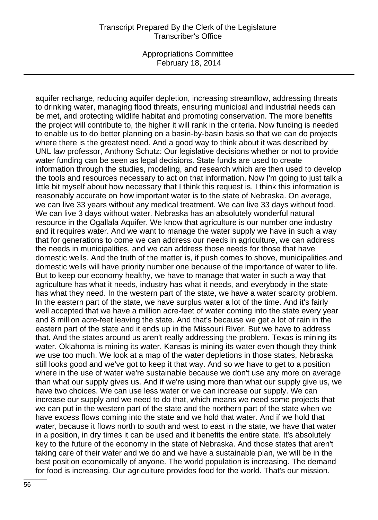#### Transcript Prepared By the Clerk of the Legislature Transcriber's Office

Appropriations Committee February 18, 2014

aquifer recharge, reducing aquifer depletion, increasing streamflow, addressing threats to drinking water, managing flood threats, ensuring municipal and industrial needs can be met, and protecting wildlife habitat and promoting conservation. The more benefits the project will contribute to, the higher it will rank in the criteria. Now funding is needed to enable us to do better planning on a basin-by-basin basis so that we can do projects where there is the greatest need. And a good way to think about it was described by UNL law professor, Anthony Schutz: Our legislative decisions whether or not to provide water funding can be seen as legal decisions. State funds are used to create information through the studies, modeling, and research which are then used to develop the tools and resources necessary to act on that information. Now I'm going to just talk a little bit myself about how necessary that I think this request is. I think this information is reasonably accurate on how important water is to the state of Nebraska. On average, we can live 33 years without any medical treatment. We can live 33 days without food. We can live 3 days without water. Nebraska has an absolutely wonderful natural resource in the Ogallala Aquifer. We know that agriculture is our number one industry and it requires water. And we want to manage the water supply we have in such a way that for generations to come we can address our needs in agriculture, we can address the needs in municipalities, and we can address those needs for those that have domestic wells. And the truth of the matter is, if push comes to shove, municipalities and domestic wells will have priority number one because of the importance of water to life. But to keep our economy healthy, we have to manage that water in such a way that agriculture has what it needs, industry has what it needs, and everybody in the state has what they need. In the western part of the state, we have a water scarcity problem. In the eastern part of the state, we have surplus water a lot of the time. And it's fairly well accepted that we have a million acre-feet of water coming into the state every year and 8 million acre-feet leaving the state. And that's because we get a lot of rain in the eastern part of the state and it ends up in the Missouri River. But we have to address that. And the states around us aren't really addressing the problem. Texas is mining its water. Oklahoma is mining its water. Kansas is mining its water even though they think we use too much. We look at a map of the water depletions in those states, Nebraska still looks good and we've got to keep it that way. And so we have to get to a position where in the use of water we're sustainable because we don't use any more on average than what our supply gives us. And if we're using more than what our supply give us, we have two choices. We can use less water or we can increase our supply. We can increase our supply and we need to do that, which means we need some projects that we can put in the western part of the state and the northern part of the state when we have excess flows coming into the state and we hold that water. And if we hold that water, because it flows north to south and west to east in the state, we have that water in a position, in dry times it can be used and it benefits the entire state. It's absolutely key to the future of the economy in the state of Nebraska. And those states that aren't taking care of their water and we do and we have a sustainable plan, we will be in the best position economically of anyone. The world population is increasing. The demand for food is increasing. Our agriculture provides food for the world. That's our mission.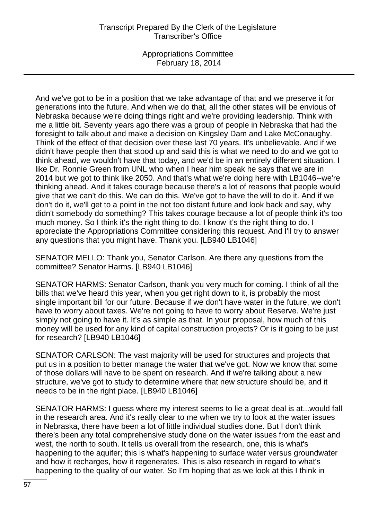## Transcript Prepared By the Clerk of the Legislature Transcriber's Office

Appropriations Committee February 18, 2014

And we've got to be in a position that we take advantage of that and we preserve it for generations into the future. And when we do that, all the other states will be envious of Nebraska because we're doing things right and we're providing leadership. Think with me a little bit. Seventy years ago there was a group of people in Nebraska that had the foresight to talk about and make a decision on Kingsley Dam and Lake McConaughy. Think of the effect of that decision over these last 70 years. It's unbelievable. And if we didn't have people then that stood up and said this is what we need to do and we got to think ahead, we wouldn't have that today, and we'd be in an entirely different situation. I like Dr. Ronnie Green from UNL who when I hear him speak he says that we are in 2014 but we got to think like 2050. And that's what we're doing here with LB1046--we're thinking ahead. And it takes courage because there's a lot of reasons that people would give that we can't do this. We can do this. We've got to have the will to do it. And if we don't do it, we'll get to a point in the not too distant future and look back and say, why didn't somebody do something? This takes courage because a lot of people think it's too much money. So I think it's the right thing to do. I know it's the right thing to do. I appreciate the Appropriations Committee considering this request. And I'll try to answer any questions that you might have. Thank you. [LB940 LB1046]

SENATOR MELLO: Thank you, Senator Carlson. Are there any questions from the committee? Senator Harms. [LB940 LB1046]

SENATOR HARMS: Senator Carlson, thank you very much for coming. I think of all the bills that we've heard this year, when you get right down to it, is probably the most single important bill for our future. Because if we don't have water in the future, we don't have to worry about taxes. We're not going to have to worry about Reserve. We're just simply not going to have it. It's as simple as that. In your proposal, how much of this money will be used for any kind of capital construction projects? Or is it going to be just for research? [LB940 LB1046]

SENATOR CARLSON: The vast majority will be used for structures and projects that put us in a position to better manage the water that we've got. Now we know that some of those dollars will have to be spent on research. And if we're talking about a new structure, we've got to study to determine where that new structure should be, and it needs to be in the right place. [LB940 LB1046]

SENATOR HARMS: I guess where my interest seems to lie a great deal is at...would fall in the research area. And it's really clear to me when we try to look at the water issues in Nebraska, there have been a lot of little individual studies done. But I don't think there's been any total comprehensive study done on the water issues from the east and west, the north to south. It tells us overall from the research, one, this is what's happening to the aquifer; this is what's happening to surface water versus groundwater and how it recharges, how it regenerates. This is also research in regard to what's happening to the quality of our water. So I'm hoping that as we look at this I think in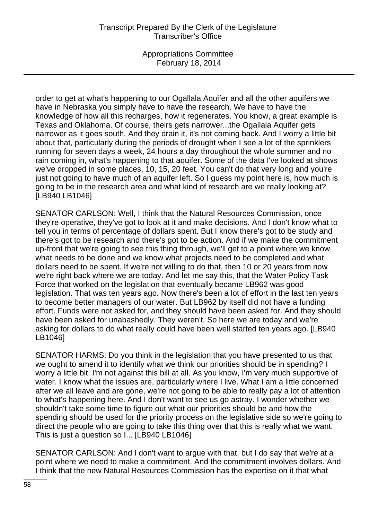## Transcript Prepared By the Clerk of the Legislature Transcriber's Office

Appropriations Committee February 18, 2014

order to get at what's happening to our Ogallala Aquifer and all the other aquifers we have in Nebraska you simply have to have the research. We have to have the knowledge of how all this recharges, how it regenerates. You know, a great example is Texas and Oklahoma. Of course, theirs gets narrower...the Ogallala Aquifer gets narrower as it goes south. And they drain it, it's not coming back. And I worry a little bit about that, particularly during the periods of drought when I see a lot of the sprinklers running for seven days a week, 24 hours a day throughout the whole summer and no rain coming in, what's happening to that aquifer. Some of the data I've looked at shows we've dropped in some places, 10, 15, 20 feet. You can't do that very long and you're just not going to have much of an aquifer left. So I guess my point here is, how much is going to be in the research area and what kind of research are we really looking at? [LB940 LB1046]

SENATOR CARLSON: Well, I think that the Natural Resources Commission, once they're operative, they've got to look at it and make decisions. And I don't know what to tell you in terms of percentage of dollars spent. But I know there's got to be study and there's got to be research and there's got to be action. And if we make the commitment up-front that we're going to see this thing through, we'll get to a point where we know what needs to be done and we know what projects need to be completed and what dollars need to be spent. If we're not willing to do that, then 10 or 20 years from now we're right back where we are today. And let me say this, that the Water Policy Task Force that worked on the legislation that eventually became LB962 was good legislation. That was ten years ago. Now there's been a lot of effort in the last ten years to become better managers of our water. But LB962 by itself did not have a funding effort. Funds were not asked for, and they should have been asked for. And they should have been asked for unabashedly. They weren't. So here we are today and we're asking for dollars to do what really could have been well started ten years ago. [LB940 LB1046]

SENATOR HARMS: Do you think in the legislation that you have presented to us that we ought to amend it to identify what we think our priorities should be in spending? I worry a little bit. I'm not against this bill at all. As you know, I'm very much supportive of water. I know what the issues are, particularly where I live. What I am a little concerned after we all leave and are gone, we're not going to be able to really pay a lot of attention to what's happening here. And I don't want to see us go astray. I wonder whether we shouldn't take some time to figure out what our priorities should be and how the spending should be used for the priority process on the legislative side so we're going to direct the people who are going to take this thing over that this is really what we want. This is just a question so I... [LB940 LB1046]

SENATOR CARLSON: And I don't want to argue with that, but I do say that we're at a point where we need to make a commitment. And the commitment involves dollars. And I think that the new Natural Resources Commission has the expertise on it that what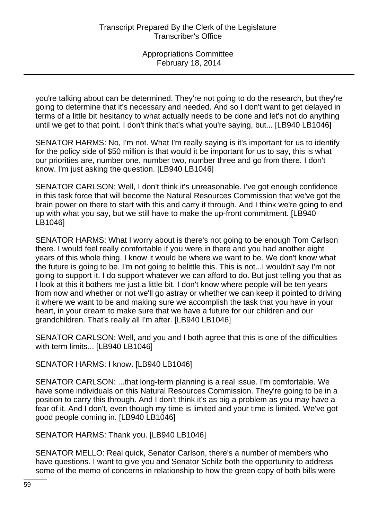you're talking about can be determined. They're not going to do the research, but they're going to determine that it's necessary and needed. And so I don't want to get delayed in terms of a little bit hesitancy to what actually needs to be done and let's not do anything until we get to that point. I don't think that's what you're saying, but... [LB940 LB1046]

SENATOR HARMS: No, I'm not. What I'm really saying is it's important for us to identify for the policy side of \$50 million is that would it be important for us to say, this is what our priorities are, number one, number two, number three and go from there. I don't know. I'm just asking the question. [LB940 LB1046]

SENATOR CARLSON: Well, I don't think it's unreasonable. I've got enough confidence in this task force that will become the Natural Resources Commission that we've got the brain power on there to start with this and carry it through. And I think we're going to end up with what you say, but we still have to make the up-front commitment. [LB940 LB1046]

SENATOR HARMS: What I worry about is there's not going to be enough Tom Carlson there. I would feel really comfortable if you were in there and you had another eight years of this whole thing. I know it would be where we want to be. We don't know what the future is going to be. I'm not going to belittle this. This is not...I wouldn't say I'm not going to support it. I do support whatever we can afford to do. But just telling you that as I look at this it bothers me just a little bit. I don't know where people will be ten years from now and whether or not we'll go astray or whether we can keep it pointed to driving it where we want to be and making sure we accomplish the task that you have in your heart, in your dream to make sure that we have a future for our children and our grandchildren. That's really all I'm after. [LB940 LB1046]

SENATOR CARLSON: Well, and you and I both agree that this is one of the difficulties with term limits... [LB940 LB1046]

# SENATOR HARMS: I know. [LB940 LB1046]

SENATOR CARLSON: ...that long-term planning is a real issue. I'm comfortable. We have some individuals on this Natural Resources Commission. They're going to be in a position to carry this through. And I don't think it's as big a problem as you may have a fear of it. And I don't, even though my time is limited and your time is limited. We've got good people coming in. [LB940 LB1046]

SENATOR HARMS: Thank you. [LB940 LB1046]

SENATOR MELLO: Real quick, Senator Carlson, there's a number of members who have questions. I want to give you and Senator Schilz both the opportunity to address some of the memo of concerns in relationship to how the green copy of both bills were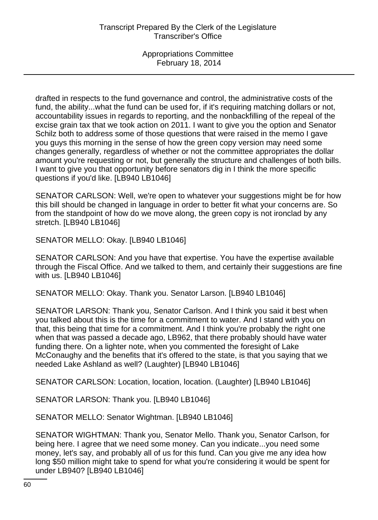drafted in respects to the fund governance and control, the administrative costs of the fund, the ability...what the fund can be used for, if it's requiring matching dollars or not, accountability issues in regards to reporting, and the nonbackfilling of the repeal of the excise grain tax that we took action on 2011. I want to give you the option and Senator Schilz both to address some of those questions that were raised in the memo I gave you guys this morning in the sense of how the green copy version may need some changes generally, regardless of whether or not the committee appropriates the dollar amount you're requesting or not, but generally the structure and challenges of both bills. I want to give you that opportunity before senators dig in I think the more specific questions if you'd like. [LB940 LB1046]

SENATOR CARLSON: Well, we're open to whatever your suggestions might be for how this bill should be changed in language in order to better fit what your concerns are. So from the standpoint of how do we move along, the green copy is not ironclad by any stretch. [LB940 LB1046]

SENATOR MELLO: Okay. [LB940 LB1046]

SENATOR CARLSON: And you have that expertise. You have the expertise available through the Fiscal Office. And we talked to them, and certainly their suggestions are fine with us. [LB940 LB1046]

SENATOR MELLO: Okay. Thank you. Senator Larson. [LB940 LB1046]

SENATOR LARSON: Thank you, Senator Carlson. And I think you said it best when you talked about this is the time for a commitment to water. And I stand with you on that, this being that time for a commitment. And I think you're probably the right one when that was passed a decade ago, LB962, that there probably should have water funding there. On a lighter note, when you commented the foresight of Lake McConaughy and the benefits that it's offered to the state, is that you saying that we needed Lake Ashland as well? (Laughter) [LB940 LB1046]

SENATOR CARLSON: Location, location, location. (Laughter) [LB940 LB1046]

SENATOR LARSON: Thank you. [LB940 LB1046]

SENATOR MELLO: Senator Wightman. [LB940 LB1046]

SENATOR WIGHTMAN: Thank you, Senator Mello. Thank you, Senator Carlson, for being here. I agree that we need some money. Can you indicate...you need some money, let's say, and probably all of us for this fund. Can you give me any idea how long \$50 million might take to spend for what you're considering it would be spent for under LB940? [LB940 LB1046]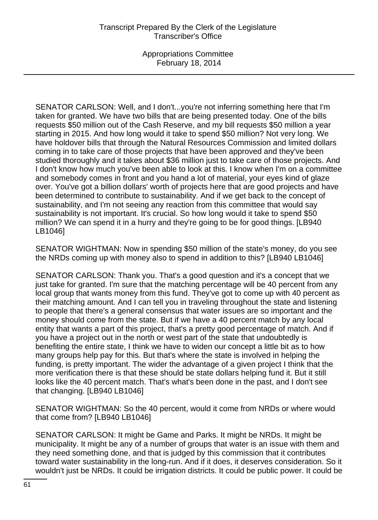SENATOR CARLSON: Well, and I don't...you're not inferring something here that I'm taken for granted. We have two bills that are being presented today. One of the bills requests \$50 million out of the Cash Reserve, and my bill requests \$50 million a year starting in 2015. And how long would it take to spend \$50 million? Not very long. We have holdover bills that through the Natural Resources Commission and limited dollars coming in to take care of those projects that have been approved and they've been studied thoroughly and it takes about \$36 million just to take care of those projects. And I don't know how much you've been able to look at this. I know when I'm on a committee and somebody comes in front and you hand a lot of material, your eyes kind of glaze over. You've got a billion dollars' worth of projects here that are good projects and have been determined to contribute to sustainability. And if we get back to the concept of sustainability, and I'm not seeing any reaction from this committee that would say sustainability is not important. It's crucial. So how long would it take to spend \$50 million? We can spend it in a hurry and they're going to be for good things. [LB940 LB1046]

SENATOR WIGHTMAN: Now in spending \$50 million of the state's money, do you see the NRDs coming up with money also to spend in addition to this? [LB940 LB1046]

SENATOR CARLSON: Thank you. That's a good question and it's a concept that we just take for granted. I'm sure that the matching percentage will be 40 percent from any local group that wants money from this fund. They've got to come up with 40 percent as their matching amount. And I can tell you in traveling throughout the state and listening to people that there's a general consensus that water issues are so important and the money should come from the state. But if we have a 40 percent match by any local entity that wants a part of this project, that's a pretty good percentage of match. And if you have a project out in the north or west part of the state that undoubtedly is benefiting the entire state, I think we have to widen our concept a little bit as to how many groups help pay for this. But that's where the state is involved in helping the funding, is pretty important. The wider the advantage of a given project I think that the more verification there is that these should be state dollars helping fund it. But it still looks like the 40 percent match. That's what's been done in the past, and I don't see that changing. [LB940 LB1046]

SENATOR WIGHTMAN: So the 40 percent, would it come from NRDs or where would that come from? [LB940 LB1046]

SENATOR CARLSON: It might be Game and Parks. It might be NRDs. It might be municipality. It might be any of a number of groups that water is an issue with them and they need something done, and that is judged by this commission that it contributes toward water sustainability in the long-run. And if it does, it deserves consideration. So it wouldn't just be NRDs. It could be irrigation districts. It could be public power. It could be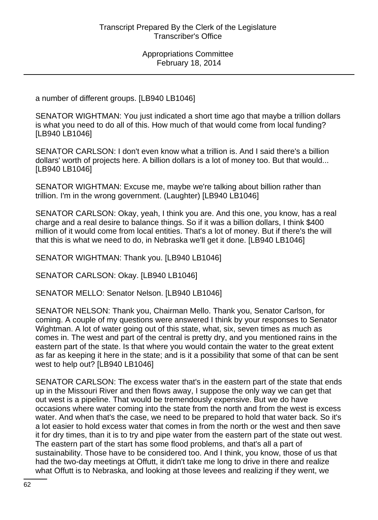a number of different groups. [LB940 LB1046]

SENATOR WIGHTMAN: You just indicated a short time ago that maybe a trillion dollars is what you need to do all of this. How much of that would come from local funding? [LB940 LB1046]

SENATOR CARLSON: I don't even know what a trillion is. And I said there's a billion dollars' worth of projects here. A billion dollars is a lot of money too. But that would... [LB940 LB1046]

SENATOR WIGHTMAN: Excuse me, maybe we're talking about billion rather than trillion. I'm in the wrong government. (Laughter) [LB940 LB1046]

SENATOR CARLSON: Okay, yeah, I think you are. And this one, you know, has a real charge and a real desire to balance things. So if it was a billion dollars, I think \$400 million of it would come from local entities. That's a lot of money. But if there's the will that this is what we need to do, in Nebraska we'll get it done. [LB940 LB1046]

SENATOR WIGHTMAN: Thank you. [LB940 LB1046]

SENATOR CARLSON: Okay. [LB940 LB1046]

SENATOR MELLO: Senator Nelson. [LB940 LB1046]

SENATOR NELSON: Thank you, Chairman Mello. Thank you, Senator Carlson, for coming. A couple of my questions were answered I think by your responses to Senator Wightman. A lot of water going out of this state, what, six, seven times as much as comes in. The west and part of the central is pretty dry, and you mentioned rains in the eastern part of the state. Is that where you would contain the water to the great extent as far as keeping it here in the state; and is it a possibility that some of that can be sent west to help out? [LB940 LB1046]

SENATOR CARLSON: The excess water that's in the eastern part of the state that ends up in the Missouri River and then flows away, I suppose the only way we can get that out west is a pipeline. That would be tremendously expensive. But we do have occasions where water coming into the state from the north and from the west is excess water. And when that's the case, we need to be prepared to hold that water back. So it's a lot easier to hold excess water that comes in from the north or the west and then save it for dry times, than it is to try and pipe water from the eastern part of the state out west. The eastern part of the start has some flood problems, and that's all a part of sustainability. Those have to be considered too. And I think, you know, those of us that had the two-day meetings at Offutt, it didn't take me long to drive in there and realize what Offutt is to Nebraska, and looking at those levees and realizing if they went, we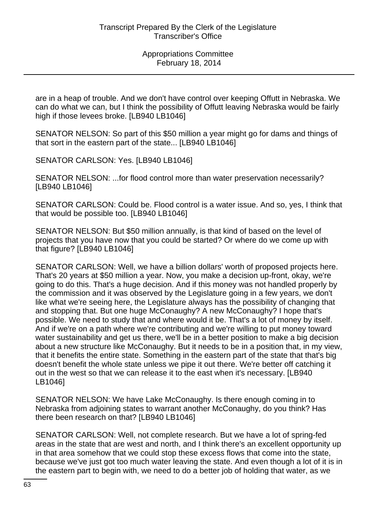are in a heap of trouble. And we don't have control over keeping Offutt in Nebraska. We can do what we can, but I think the possibility of Offutt leaving Nebraska would be fairly high if those levees broke. [LB940 LB1046]

SENATOR NELSON: So part of this \$50 million a year might go for dams and things of that sort in the eastern part of the state... [LB940 LB1046]

SENATOR CARLSON: Yes. [LB940 LB1046]

SENATOR NELSON: ...for flood control more than water preservation necessarily? [LB940 LB1046]

SENATOR CARLSON: Could be. Flood control is a water issue. And so, yes, I think that that would be possible too. [LB940 LB1046]

SENATOR NELSON: But \$50 million annually, is that kind of based on the level of projects that you have now that you could be started? Or where do we come up with that figure? [LB940 LB1046]

SENATOR CARLSON: Well, we have a billion dollars' worth of proposed projects here. That's 20 years at \$50 million a year. Now, you make a decision up-front, okay, we're going to do this. That's a huge decision. And if this money was not handled properly by the commission and it was observed by the Legislature going in a few years, we don't like what we're seeing here, the Legislature always has the possibility of changing that and stopping that. But one huge McConaughy? A new McConaughy? I hope that's possible. We need to study that and where would it be. That's a lot of money by itself. And if we're on a path where we're contributing and we're willing to put money toward water sustainability and get us there, we'll be in a better position to make a big decision about a new structure like McConaughy. But it needs to be in a position that, in my view, that it benefits the entire state. Something in the eastern part of the state that that's big doesn't benefit the whole state unless we pipe it out there. We're better off catching it out in the west so that we can release it to the east when it's necessary. [LB940 LB1046]

SENATOR NELSON: We have Lake McConaughy. Is there enough coming in to Nebraska from adjoining states to warrant another McConaughy, do you think? Has there been research on that? [LB940 LB1046]

SENATOR CARLSON: Well, not complete research. But we have a lot of spring-fed areas in the state that are west and north, and I think there's an excellent opportunity up in that area somehow that we could stop these excess flows that come into the state, because we've just got too much water leaving the state. And even though a lot of it is in the eastern part to begin with, we need to do a better job of holding that water, as we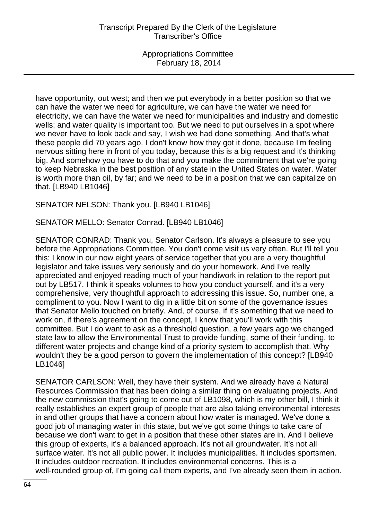have opportunity, out west; and then we put everybody in a better position so that we can have the water we need for agriculture, we can have the water we need for electricity, we can have the water we need for municipalities and industry and domestic wells; and water quality is important too. But we need to put ourselves in a spot where we never have to look back and say, I wish we had done something. And that's what these people did 70 years ago. I don't know how they got it done, because I'm feeling nervous sitting here in front of you today, because this is a big request and it's thinking big. And somehow you have to do that and you make the commitment that we're going to keep Nebraska in the best position of any state in the United States on water. Water is worth more than oil, by far; and we need to be in a position that we can capitalize on that. [LB940 LB1046]

SENATOR NELSON: Thank you. [LB940 LB1046]

SENATOR MELLO: Senator Conrad. [LB940 LB1046]

SENATOR CONRAD: Thank you, Senator Carlson. It's always a pleasure to see you before the Appropriations Committee. You don't come visit us very often. But I'll tell you this: I know in our now eight years of service together that you are a very thoughtful legislator and take issues very seriously and do your homework. And I've really appreciated and enjoyed reading much of your handiwork in relation to the report put out by LB517. I think it speaks volumes to how you conduct yourself, and it's a very comprehensive, very thoughtful approach to addressing this issue. So, number one, a compliment to you. Now I want to dig in a little bit on some of the governance issues that Senator Mello touched on briefly. And, of course, if it's something that we need to work on, if there's agreement on the concept, I know that you'll work with this committee. But I do want to ask as a threshold question, a few years ago we changed state law to allow the Environmental Trust to provide funding, some of their funding, to different water projects and change kind of a priority system to accomplish that. Why wouldn't they be a good person to govern the implementation of this concept? [LB940 LB1046]

SENATOR CARLSON: Well, they have their system. And we already have a Natural Resources Commission that has been doing a similar thing on evaluating projects. And the new commission that's going to come out of LB1098, which is my other bill, I think it really establishes an expert group of people that are also taking environmental interests in and other groups that have a concern about how water is managed. We've done a good job of managing water in this state, but we've got some things to take care of because we don't want to get in a position that these other states are in. And I believe this group of experts, it's a balanced approach. It's not all groundwater. It's not all surface water. It's not all public power. It includes municipalities. It includes sportsmen. It includes outdoor recreation. It includes environmental concerns. This is a well-rounded group of, I'm going call them experts, and I've already seen them in action.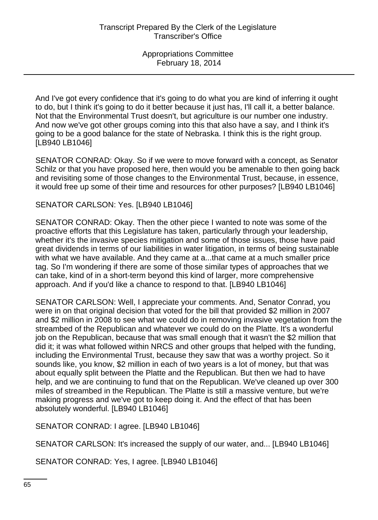And I've got every confidence that it's going to do what you are kind of inferring it ought to do, but I think it's going to do it better because it just has, I'll call it, a better balance. Not that the Environmental Trust doesn't, but agriculture is our number one industry. And now we've got other groups coming into this that also have a say, and I think it's going to be a good balance for the state of Nebraska. I think this is the right group. [LB940 LB1046]

SENATOR CONRAD: Okay. So if we were to move forward with a concept, as Senator Schilz or that you have proposed here, then would you be amenable to then going back and revisiting some of those changes to the Environmental Trust, because, in essence, it would free up some of their time and resources for other purposes? [LB940 LB1046]

SENATOR CARLSON: Yes. [LB940 LB1046]

SENATOR CONRAD: Okay. Then the other piece I wanted to note was some of the proactive efforts that this Legislature has taken, particularly through your leadership, whether it's the invasive species mitigation and some of those issues, those have paid great dividends in terms of our liabilities in water litigation, in terms of being sustainable with what we have available. And they came at a...that came at a much smaller price tag. So I'm wondering if there are some of those similar types of approaches that we can take, kind of in a short-term beyond this kind of larger, more comprehensive approach. And if you'd like a chance to respond to that. [LB940 LB1046]

SENATOR CARLSON: Well, I appreciate your comments. And, Senator Conrad, you were in on that original decision that voted for the bill that provided \$2 million in 2007 and \$2 million in 2008 to see what we could do in removing invasive vegetation from the streambed of the Republican and whatever we could do on the Platte. It's a wonderful job on the Republican, because that was small enough that it wasn't the \$2 million that did it; it was what followed within NRCS and other groups that helped with the funding, including the Environmental Trust, because they saw that was a worthy project. So it sounds like, you know, \$2 million in each of two years is a lot of money, but that was about equally split between the Platte and the Republican. But then we had to have help, and we are continuing to fund that on the Republican. We've cleaned up over 300 miles of streambed in the Republican. The Platte is still a massive venture, but we're making progress and we've got to keep doing it. And the effect of that has been absolutely wonderful. [LB940 LB1046]

SENATOR CONRAD: I agree. [LB940 LB1046]

SENATOR CARLSON: It's increased the supply of our water, and... [LB940 LB1046]

SENATOR CONRAD: Yes, I agree. [LB940 LB1046]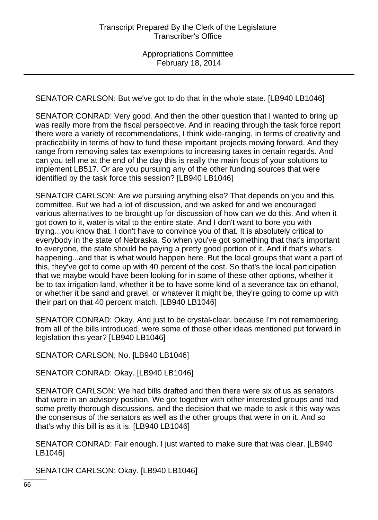SENATOR CARLSON: But we've got to do that in the whole state. [LB940 LB1046]

SENATOR CONRAD: Very good. And then the other question that I wanted to bring up was really more from the fiscal perspective. And in reading through the task force report there were a variety of recommendations, I think wide-ranging, in terms of creativity and practicability in terms of how to fund these important projects moving forward. And they range from removing sales tax exemptions to increasing taxes in certain regards. And can you tell me at the end of the day this is really the main focus of your solutions to implement LB517. Or are you pursuing any of the other funding sources that were identified by the task force this session? [LB940 LB1046]

SENATOR CARLSON: Are we pursuing anything else? That depends on you and this committee. But we had a lot of discussion, and we asked for and we encouraged various alternatives to be brought up for discussion of how can we do this. And when it got down to it, water is vital to the entire state. And I don't want to bore you with trying...you know that. I don't have to convince you of that. It is absolutely critical to everybody in the state of Nebraska. So when you've got something that that's important to everyone, the state should be paying a pretty good portion of it. And if that's what's happening...and that is what would happen here. But the local groups that want a part of this, they've got to come up with 40 percent of the cost. So that's the local participation that we maybe would have been looking for in some of these other options, whether it be to tax irrigation land, whether it be to have some kind of a severance tax on ethanol, or whether it be sand and gravel, or whatever it might be, they're going to come up with their part on that 40 percent match. [LB940 LB1046]

SENATOR CONRAD: Okay. And just to be crystal-clear, because I'm not remembering from all of the bills introduced, were some of those other ideas mentioned put forward in legislation this year? [LB940 LB1046]

SENATOR CARLSON: No. [LB940 LB1046]

SENATOR CONRAD: Okay. [LB940 LB1046]

SENATOR CARLSON: We had bills drafted and then there were six of us as senators that were in an advisory position. We got together with other interested groups and had some pretty thorough discussions, and the decision that we made to ask it this way was the consensus of the senators as well as the other groups that were in on it. And so that's why this bill is as it is. [LB940 LB1046]

SENATOR CONRAD: Fair enough. I just wanted to make sure that was clear. [LB940 LB1046]

SENATOR CARLSON: Okay. [LB940 LB1046]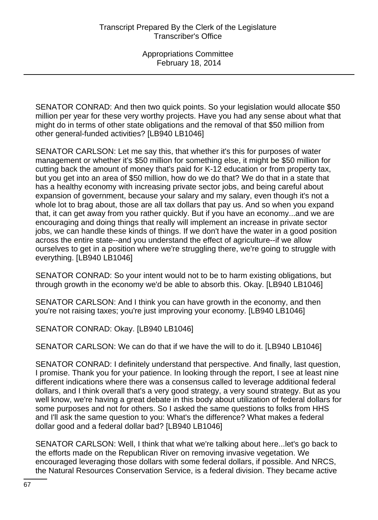SENATOR CONRAD: And then two quick points. So your legislation would allocate \$50 million per year for these very worthy projects. Have you had any sense about what that might do in terms of other state obligations and the removal of that \$50 million from other general-funded activities? [LB940 LB1046]

SENATOR CARLSON: Let me say this, that whether it's this for purposes of water management or whether it's \$50 million for something else, it might be \$50 million for cutting back the amount of money that's paid for K-12 education or from property tax, but you get into an area of \$50 million, how do we do that? We do that in a state that has a healthy economy with increasing private sector jobs, and being careful about expansion of government, because your salary and my salary, even though it's not a whole lot to brag about, those are all tax dollars that pay us. And so when you expand that, it can get away from you rather quickly. But if you have an economy...and we are encouraging and doing things that really will implement an increase in private sector jobs, we can handle these kinds of things. If we don't have the water in a good position across the entire state--and you understand the effect of agriculture--if we allow ourselves to get in a position where we're struggling there, we're going to struggle with everything. [LB940 LB1046]

SENATOR CONRAD: So your intent would not to be to harm existing obligations, but through growth in the economy we'd be able to absorb this. Okay. [LB940 LB1046]

SENATOR CARLSON: And I think you can have growth in the economy, and then you're not raising taxes; you're just improving your economy. [LB940 LB1046]

SENATOR CONRAD: Okay. [LB940 LB1046]

SENATOR CARLSON: We can do that if we have the will to do it. [LB940 LB1046]

SENATOR CONRAD: I definitely understand that perspective. And finally, last question, I promise. Thank you for your patience. In looking through the report, I see at least nine different indications where there was a consensus called to leverage additional federal dollars, and I think overall that's a very good strategy, a very sound strategy. But as you well know, we're having a great debate in this body about utilization of federal dollars for some purposes and not for others. So I asked the same questions to folks from HHS and I'll ask the same question to you: What's the difference? What makes a federal dollar good and a federal dollar bad? [LB940 LB1046]

SENATOR CARLSON: Well, I think that what we're talking about here...let's go back to the efforts made on the Republican River on removing invasive vegetation. We encouraged leveraging those dollars with some federal dollars, if possible. And NRCS, the Natural Resources Conservation Service, is a federal division. They became active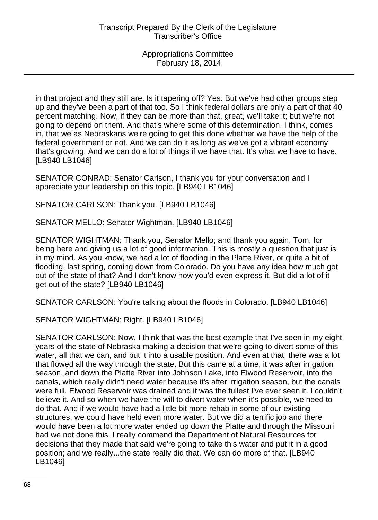in that project and they still are. Is it tapering off? Yes. But we've had other groups step up and they've been a part of that too. So I think federal dollars are only a part of that 40 percent matching. Now, if they can be more than that, great, we'll take it; but we're not going to depend on them. And that's where some of this determination, I think, comes in, that we as Nebraskans we're going to get this done whether we have the help of the federal government or not. And we can do it as long as we've got a vibrant economy that's growing. And we can do a lot of things if we have that. It's what we have to have. [LB940 LB1046]

SENATOR CONRAD: Senator Carlson, I thank you for your conversation and I appreciate your leadership on this topic. [LB940 LB1046]

SENATOR CARLSON: Thank you. [LB940 LB1046]

SENATOR MELLO: Senator Wightman. [LB940 LB1046]

SENATOR WIGHTMAN: Thank you, Senator Mello; and thank you again, Tom, for being here and giving us a lot of good information. This is mostly a question that just is in my mind. As you know, we had a lot of flooding in the Platte River, or quite a bit of flooding, last spring, coming down from Colorado. Do you have any idea how much got out of the state of that? And I don't know how you'd even express it. But did a lot of it get out of the state? [LB940 LB1046]

SENATOR CARLSON: You're talking about the floods in Colorado. [LB940 LB1046]

SENATOR WIGHTMAN: Right. [LB940 LB1046]

SENATOR CARLSON: Now, I think that was the best example that I've seen in my eight years of the state of Nebraska making a decision that we're going to divert some of this water, all that we can, and put it into a usable position. And even at that, there was a lot that flowed all the way through the state. But this came at a time, it was after irrigation season, and down the Platte River into Johnson Lake, into Elwood Reservoir, into the canals, which really didn't need water because it's after irrigation season, but the canals were full. Elwood Reservoir was drained and it was the fullest I've ever seen it. I couldn't believe it. And so when we have the will to divert water when it's possible, we need to do that. And if we would have had a little bit more rehab in some of our existing structures, we could have held even more water. But we did a terrific job and there would have been a lot more water ended up down the Platte and through the Missouri had we not done this. I really commend the Department of Natural Resources for decisions that they made that said we're going to take this water and put it in a good position; and we really...the state really did that. We can do more of that. [LB940 LB1046]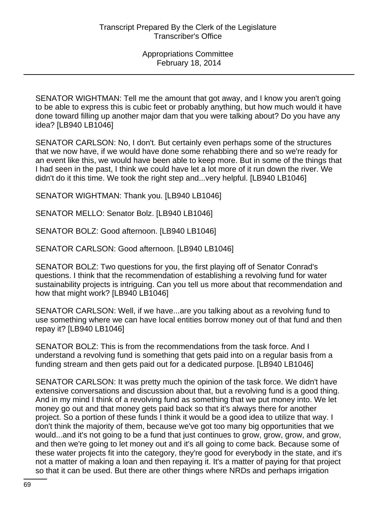SENATOR WIGHTMAN: Tell me the amount that got away, and I know you aren't going to be able to express this is cubic feet or probably anything, but how much would it have done toward filling up another major dam that you were talking about? Do you have any idea? [LB940 LB1046]

SENATOR CARLSON: No, I don't. But certainly even perhaps some of the structures that we now have, if we would have done some rehabbing there and so we're ready for an event like this, we would have been able to keep more. But in some of the things that I had seen in the past, I think we could have let a lot more of it run down the river. We didn't do it this time. We took the right step and...very helpful. [LB940 LB1046]

SENATOR WIGHTMAN: Thank you. [LB940 LB1046]

SENATOR MELLO: Senator Bolz. [LB940 LB1046]

SENATOR BOLZ: Good afternoon. [LB940 LB1046]

SENATOR CARLSON: Good afternoon. [LB940 LB1046]

SENATOR BOLZ: Two questions for you, the first playing off of Senator Conrad's questions. I think that the recommendation of establishing a revolving fund for water sustainability projects is intriguing. Can you tell us more about that recommendation and how that might work? [LB940 LB1046]

SENATOR CARLSON: Well, if we have...are you talking about as a revolving fund to use something where we can have local entities borrow money out of that fund and then repay it? [LB940 LB1046]

SENATOR BOLZ: This is from the recommendations from the task force. And I understand a revolving fund is something that gets paid into on a regular basis from a funding stream and then gets paid out for a dedicated purpose. [LB940 LB1046]

SENATOR CARLSON: It was pretty much the opinion of the task force. We didn't have extensive conversations and discussion about that, but a revolving fund is a good thing. And in my mind I think of a revolving fund as something that we put money into. We let money go out and that money gets paid back so that it's always there for another project. So a portion of these funds I think it would be a good idea to utilize that way. I don't think the majority of them, because we've got too many big opportunities that we would...and it's not going to be a fund that just continues to grow, grow, grow, and grow, and then we're going to let money out and it's all going to come back. Because some of these water projects fit into the category, they're good for everybody in the state, and it's not a matter of making a loan and then repaying it. It's a matter of paying for that project so that it can be used. But there are other things where NRDs and perhaps irrigation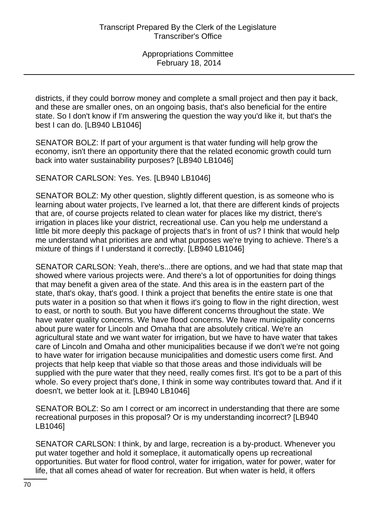districts, if they could borrow money and complete a small project and then pay it back, and these are smaller ones, on an ongoing basis, that's also beneficial for the entire state. So I don't know if I'm answering the question the way you'd like it, but that's the best I can do. [LB940 LB1046]

SENATOR BOLZ: If part of your argument is that water funding will help grow the economy, isn't there an opportunity there that the related economic growth could turn back into water sustainability purposes? [LB940 LB1046]

SENATOR CARLSON: Yes. Yes. [LB940 LB1046]

SENATOR BOLZ: My other question, slightly different question, is as someone who is learning about water projects, I've learned a lot, that there are different kinds of projects that are, of course projects related to clean water for places like my district, there's irrigation in places like your district, recreational use. Can you help me understand a little bit more deeply this package of projects that's in front of us? I think that would help me understand what priorities are and what purposes we're trying to achieve. There's a mixture of things if I understand it correctly. [LB940 LB1046]

SENATOR CARLSON: Yeah, there's...there are options, and we had that state map that showed where various projects were. And there's a lot of opportunities for doing things that may benefit a given area of the state. And this area is in the eastern part of the state, that's okay, that's good. I think a project that benefits the entire state is one that puts water in a position so that when it flows it's going to flow in the right direction, west to east, or north to south. But you have different concerns throughout the state. We have water quality concerns. We have flood concerns. We have municipality concerns about pure water for Lincoln and Omaha that are absolutely critical. We're an agricultural state and we want water for irrigation, but we have to have water that takes care of Lincoln and Omaha and other municipalities because if we don't we're not going to have water for irrigation because municipalities and domestic users come first. And projects that help keep that viable so that those areas and those individuals will be supplied with the pure water that they need, really comes first. It's got to be a part of this whole. So every project that's done, I think in some way contributes toward that. And if it doesn't, we better look at it. [LB940 LB1046]

SENATOR BOLZ: So am I correct or am incorrect in understanding that there are some recreational purposes in this proposal? Or is my understanding incorrect? [LB940 LB1046]

SENATOR CARLSON: I think, by and large, recreation is a by-product. Whenever you put water together and hold it someplace, it automatically opens up recreational opportunities. But water for flood control, water for irrigation, water for power, water for life, that all comes ahead of water for recreation. But when water is held, it offers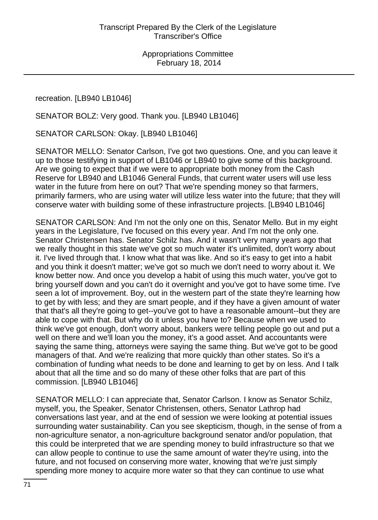recreation. [LB940 LB1046]

SENATOR BOLZ: Very good. Thank you. [LB940 LB1046]

SENATOR CARLSON: Okay. [LB940 LB1046]

SENATOR MELLO: Senator Carlson, I've got two questions. One, and you can leave it up to those testifying in support of LB1046 or LB940 to give some of this background. Are we going to expect that if we were to appropriate both money from the Cash Reserve for LB940 and LB1046 General Funds, that current water users will use less water in the future from here on out? That we're spending money so that farmers, primarily farmers, who are using water will utilize less water into the future; that they will conserve water with building some of these infrastructure projects. [LB940 LB1046]

SENATOR CARLSON: And I'm not the only one on this, Senator Mello. But in my eight years in the Legislature, I've focused on this every year. And I'm not the only one. Senator Christensen has. Senator Schilz has. And it wasn't very many years ago that we really thought in this state we've got so much water it's unlimited, don't worry about it. I've lived through that. I know what that was like. And so it's easy to get into a habit and you think it doesn't matter; we've got so much we don't need to worry about it. We know better now. And once you develop a habit of using this much water, you've got to bring yourself down and you can't do it overnight and you've got to have some time. I've seen a lot of improvement. Boy, out in the western part of the state they're learning how to get by with less; and they are smart people, and if they have a given amount of water that that's all they're going to get--you've got to have a reasonable amount--but they are able to cope with that. But why do it unless you have to? Because when we used to think we've got enough, don't worry about, bankers were telling people go out and put a well on there and we'll loan you the money, it's a good asset. And accountants were saying the same thing, attorneys were saying the same thing. But we've got to be good managers of that. And we're realizing that more quickly than other states. So it's a combination of funding what needs to be done and learning to get by on less. And I talk about that all the time and so do many of these other folks that are part of this commission. [LB940 LB1046]

SENATOR MELLO: I can appreciate that, Senator Carlson. I know as Senator Schilz, myself, you, the Speaker, Senator Christensen, others, Senator Lathrop had conversations last year, and at the end of session we were looking at potential issues surrounding water sustainability. Can you see skepticism, though, in the sense of from a non-agriculture senator, a non-agriculture background senator and/or population, that this could be interpreted that we are spending money to build infrastructure so that we can allow people to continue to use the same amount of water they're using, into the future, and not focused on conserving more water, knowing that we're just simply spending more money to acquire more water so that they can continue to use what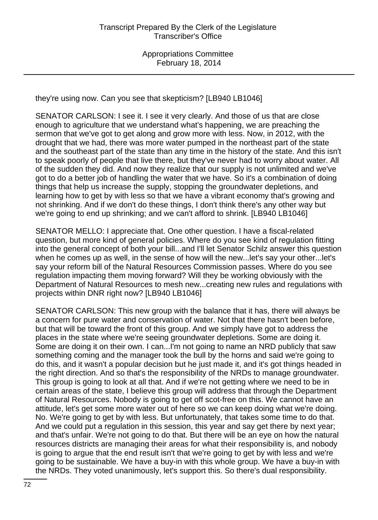they're using now. Can you see that skepticism? [LB940 LB1046]

SENATOR CARLSON: I see it. I see it very clearly. And those of us that are close enough to agriculture that we understand what's happening, we are preaching the sermon that we've got to get along and grow more with less. Now, in 2012, with the drought that we had, there was more water pumped in the northeast part of the state and the southeast part of the state than any time in the history of the state. And this isn't to speak poorly of people that live there, but they've never had to worry about water. All of the sudden they did. And now they realize that our supply is not unlimited and we've got to do a better job of handling the water that we have. So it's a combination of doing things that help us increase the supply, stopping the groundwater depletions, and learning how to get by with less so that we have a vibrant economy that's growing and not shrinking. And if we don't do these things, I don't think there's any other way but we're going to end up shrinking; and we can't afford to shrink. [LB940 LB1046]

SENATOR MELLO: I appreciate that. One other question. I have a fiscal-related question, but more kind of general policies. Where do you see kind of regulation fitting into the general concept of both your bill...and I'll let Senator Schilz answer this question when he comes up as well, in the sense of how will the new...let's say your other...let's say your reform bill of the Natural Resources Commission passes. Where do you see regulation impacting them moving forward? Will they be working obviously with the Department of Natural Resources to mesh new...creating new rules and regulations with projects within DNR right now? [LB940 LB1046]

SENATOR CARLSON: This new group with the balance that it has, there will always be a concern for pure water and conservation of water. Not that there hasn't been before, but that will be toward the front of this group. And we simply have got to address the places in the state where we're seeing groundwater depletions. Some are doing it. Some are doing it on their own. I can...I'm not going to name an NRD publicly that saw something coming and the manager took the bull by the horns and said we're going to do this, and it wasn't a popular decision but he just made it, and it's got things headed in the right direction. And so that's the responsibility of the NRDs to manage groundwater. This group is going to look at all that. And if we're not getting where we need to be in certain areas of the state, I believe this group will address that through the Department of Natural Resources. Nobody is going to get off scot-free on this. We cannot have an attitude, let's get some more water out of here so we can keep doing what we're doing. No. We're going to get by with less. But unfortunately, that takes some time to do that. And we could put a regulation in this session, this year and say get there by next year; and that's unfair. We're not going to do that. But there will be an eye on how the natural resources districts are managing their areas for what their responsibility is, and nobody is going to argue that the end result isn't that we're going to get by with less and we're going to be sustainable. We have a buy-in with this whole group. We have a buy-in with the NRDs. They voted unanimously, let's support this. So there's dual responsibility.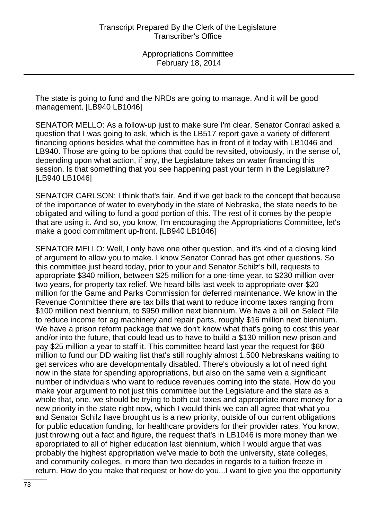The state is going to fund and the NRDs are going to manage. And it will be good management. [LB940 LB1046]

SENATOR MELLO: As a follow-up just to make sure I'm clear, Senator Conrad asked a question that I was going to ask, which is the LB517 report gave a variety of different financing options besides what the committee has in front of it today with LB1046 and LB940. Those are going to be options that could be revisited, obviously, in the sense of, depending upon what action, if any, the Legislature takes on water financing this session. Is that something that you see happening past your term in the Legislature? [LB940 LB1046]

SENATOR CARLSON: I think that's fair. And if we get back to the concept that because of the importance of water to everybody in the state of Nebraska, the state needs to be obligated and willing to fund a good portion of this. The rest of it comes by the people that are using it. And so, you know, I'm encouraging the Appropriations Committee, let's make a good commitment up-front. [LB940 LB1046]

SENATOR MELLO: Well, I only have one other question, and it's kind of a closing kind of argument to allow you to make. I know Senator Conrad has got other questions. So this committee just heard today, prior to your and Senator Schilz's bill, requests to appropriate \$340 million, between \$25 million for a one-time year, to \$230 million over two years, for property tax relief. We heard bills last week to appropriate over \$20 million for the Game and Parks Commission for deferred maintenance. We know in the Revenue Committee there are tax bills that want to reduce income taxes ranging from \$100 million next biennium, to \$950 million next biennium. We have a bill on Select File to reduce income for ag machinery and repair parts, roughly \$16 million next biennium. We have a prison reform package that we don't know what that's going to cost this year and/or into the future, that could lead us to have to build a \$130 million new prison and pay \$25 million a year to staff it. This committee heard last year the request for \$60 million to fund our DD waiting list that's still roughly almost 1,500 Nebraskans waiting to get services who are developmentally disabled. There's obviously a lot of need right now in the state for spending appropriations, but also on the same vein a significant number of individuals who want to reduce revenues coming into the state. How do you make your argument to not just this committee but the Legislature and the state as a whole that, one, we should be trying to both cut taxes and appropriate more money for a new priority in the state right now, which I would think we can all agree that what you and Senator Schilz have brought us is a new priority, outside of our current obligations for public education funding, for healthcare providers for their provider rates. You know, just throwing out a fact and figure, the request that's in LB1046 is more money than we appropriated to all of higher education last biennium, which I would argue that was probably the highest appropriation we've made to both the university, state colleges, and community colleges, in more than two decades in regards to a tuition freeze in return. How do you make that request or how do you...I want to give you the opportunity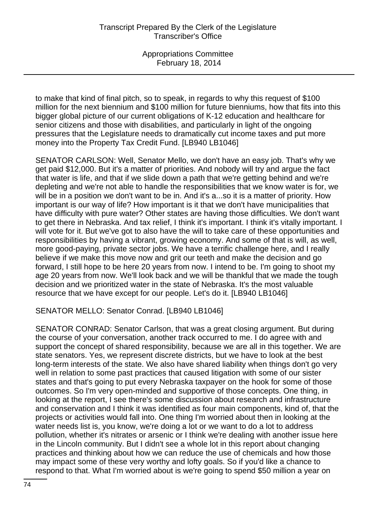to make that kind of final pitch, so to speak, in regards to why this request of \$100 million for the next biennium and \$100 million for future bienniums, how that fits into this bigger global picture of our current obligations of K-12 education and healthcare for senior citizens and those with disabilities, and particularly in light of the ongoing pressures that the Legislature needs to dramatically cut income taxes and put more money into the Property Tax Credit Fund. [LB940 LB1046]

SENATOR CARLSON: Well, Senator Mello, we don't have an easy job. That's why we get paid \$12,000. But it's a matter of priorities. And nobody will try and argue the fact that water is life, and that if we slide down a path that we're getting behind and we're depleting and we're not able to handle the responsibilities that we know water is for, we will be in a position we don't want to be in. And it's a...so it is a matter of priority. How important is our way of life? How important is it that we don't have municipalities that have difficulty with pure water? Other states are having those difficulties. We don't want to get there in Nebraska. And tax relief, I think it's important. I think it's vitally important. I will vote for it. But we've got to also have the will to take care of these opportunities and responsibilities by having a vibrant, growing economy. And some of that is will, as well, more good-paying, private sector jobs. We have a terrific challenge here, and I really believe if we make this move now and grit our teeth and make the decision and go forward, I still hope to be here 20 years from now. I intend to be. I'm going to shoot my age 20 years from now. We'll look back and we will be thankful that we made the tough decision and we prioritized water in the state of Nebraska. It's the most valuable resource that we have except for our people. Let's do it. [LB940 LB1046]

SENATOR MELLO: Senator Conrad. [LB940 LB1046]

SENATOR CONRAD: Senator Carlson, that was a great closing argument. But during the course of your conversation, another track occurred to me. I do agree with and support the concept of shared responsibility, because we are all in this together. We are state senators. Yes, we represent discrete districts, but we have to look at the best long-term interests of the state. We also have shared liability when things don't go very well in relation to some past practices that caused litigation with some of our sister states and that's going to put every Nebraska taxpayer on the hook for some of those outcomes. So I'm very open-minded and supportive of those concepts. One thing, in looking at the report, I see there's some discussion about research and infrastructure and conservation and I think it was identified as four main components, kind of, that the projects or activities would fall into. One thing I'm worried about then in looking at the water needs list is, you know, we're doing a lot or we want to do a lot to address pollution, whether it's nitrates or arsenic or I think we're dealing with another issue here in the Lincoln community. But I didn't see a whole lot in this report about changing practices and thinking about how we can reduce the use of chemicals and how those may impact some of these very worthy and lofty goals. So if you'd like a chance to respond to that. What I'm worried about is we're going to spend \$50 million a year on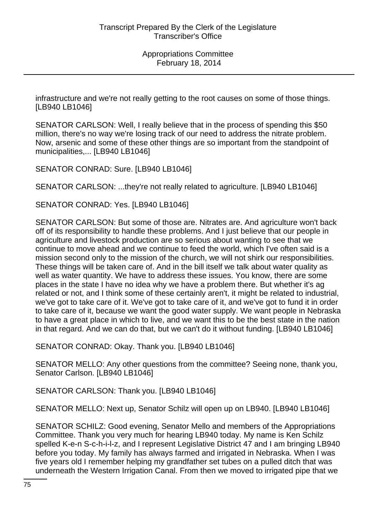infrastructure and we're not really getting to the root causes on some of those things. [LB940 LB1046]

SENATOR CARLSON: Well, I really believe that in the process of spending this \$50 million, there's no way we're losing track of our need to address the nitrate problem. Now, arsenic and some of these other things are so important from the standpoint of municipalities,... [LB940 LB1046]

SENATOR CONRAD: Sure. [LB940 LB1046]

SENATOR CARLSON: ...they're not really related to agriculture. [LB940 LB1046]

SENATOR CONRAD: Yes. [LB940 LB1046]

SENATOR CARLSON: But some of those are. Nitrates are. And agriculture won't back off of its responsibility to handle these problems. And I just believe that our people in agriculture and livestock production are so serious about wanting to see that we continue to move ahead and we continue to feed the world, which I've often said is a mission second only to the mission of the church, we will not shirk our responsibilities. These things will be taken care of. And in the bill itself we talk about water quality as well as water quantity. We have to address these issues. You know, there are some places in the state I have no idea why we have a problem there. But whether it's ag related or not, and I think some of these certainly aren't, it might be related to industrial, we've got to take care of it. We've got to take care of it, and we've got to fund it in order to take care of it, because we want the good water supply. We want people in Nebraska to have a great place in which to live, and we want this to be the best state in the nation in that regard. And we can do that, but we can't do it without funding. [LB940 LB1046]

SENATOR CONRAD: Okay. Thank you. [LB940 LB1046]

SENATOR MELLO: Any other questions from the committee? Seeing none, thank you, Senator Carlson. [LB940 LB1046]

SENATOR CARLSON: Thank you. [LB940 LB1046]

SENATOR MELLO: Next up, Senator Schilz will open up on LB940. [LB940 LB1046]

SENATOR SCHILZ: Good evening, Senator Mello and members of the Appropriations Committee. Thank you very much for hearing LB940 today. My name is Ken Schilz spelled K-e-n S-c-h-i-l-z, and I represent Legislative District 47 and I am bringing LB940 before you today. My family has always farmed and irrigated in Nebraska. When I was five years old I remember helping my grandfather set tubes on a pulled ditch that was underneath the Western Irrigation Canal. From then we moved to irrigated pipe that we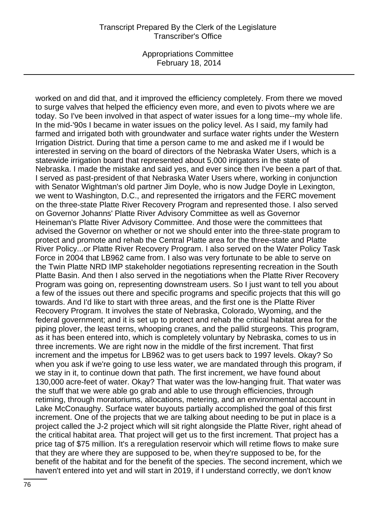Appropriations Committee February 18, 2014

worked on and did that, and it improved the efficiency completely. From there we moved to surge valves that helped the efficiency even more, and even to pivots where we are today. So I've been involved in that aspect of water issues for a long time--my whole life. In the mid-'90s I became in water issues on the policy level. As I said, my family had farmed and irrigated both with groundwater and surface water rights under the Western Irrigation District. During that time a person came to me and asked me if I would be interested in serving on the board of directors of the Nebraska Water Users, which is a statewide irrigation board that represented about 5,000 irrigators in the state of Nebraska. I made the mistake and said yes, and ever since then I've been a part of that. I served as past-president of that Nebraska Water Users where, working in conjunction with Senator Wightman's old partner Jim Doyle, who is now Judge Doyle in Lexington, we went to Washington, D.C., and represented the irrigators and the FERC movement on the three-state Platte River Recovery Program and represented those. I also served on Governor Johanns' Platte River Advisory Committee as well as Governor Heineman's Platte River Advisory Committee. And those were the committees that advised the Governor on whether or not we should enter into the three-state program to protect and promote and rehab the Central Platte area for the three-state and Platte River Policy...or Platte River Recovery Program. I also served on the Water Policy Task Force in 2004 that LB962 came from. I also was very fortunate to be able to serve on the Twin Platte NRD IMP stakeholder negotiations representing recreation in the South Platte Basin. And then I also served in the negotiations when the Platte River Recovery Program was going on, representing downstream users. So I just want to tell you about a few of the issues out there and specific programs and specific projects that this will go towards. And I'd like to start with three areas, and the first one is the Platte River Recovery Program. It involves the state of Nebraska, Colorado, Wyoming, and the federal government; and it is set up to protect and rehab the critical habitat area for the piping plover, the least terns, whooping cranes, and the pallid sturgeons. This program, as it has been entered into, which is completely voluntary by Nebraska, comes to us in three increments. We are right now in the middle of the first increment. That first increment and the impetus for LB962 was to get users back to 1997 levels. Okay? So when you ask if we're going to use less water, we are mandated through this program, if we stay in it, to continue down that path. The first increment, we have found about 130,000 acre-feet of water. Okay? That water was the low-hanging fruit. That water was the stuff that we were able go grab and able to use through efficiencies, through retiming, through moratoriums, allocations, metering, and an environmental account in Lake McConaughy. Surface water buyouts partially accomplished the goal of this first increment. One of the projects that we are talking about needing to be put in place is a project called the J-2 project which will sit right alongside the Platte River, right ahead of the critical habitat area. That project will get us to the first increment. That project has a price tag of \$75 million. It's a reregulation reservoir which will retime flows to make sure that they are where they are supposed to be, when they're supposed to be, for the benefit of the habitat and for the benefit of the species. The second increment, which we haven't entered into yet and will start in 2019, if I understand correctly, we don't know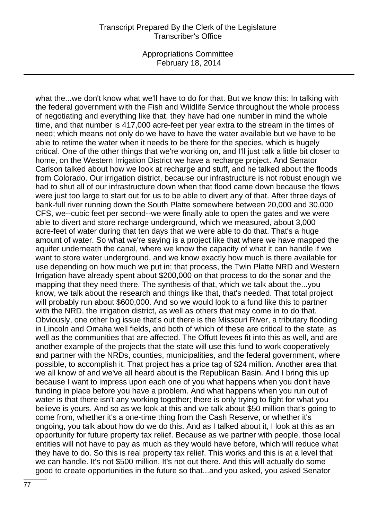Appropriations Committee February 18, 2014

what the...we don't know what we'll have to do for that. But we know this: In talking with the federal government with the Fish and Wildlife Service throughout the whole process of negotiating and everything like that, they have had one number in mind the whole time, and that number is 417,000 acre-feet per year extra to the stream in the times of need; which means not only do we have to have the water available but we have to be able to retime the water when it needs to be there for the species, which is hugely critical. One of the other things that we're working on, and I'll just talk a little bit closer to home, on the Western Irrigation District we have a recharge project. And Senator Carlson talked about how we look at recharge and stuff, and he talked about the floods from Colorado. Our irrigation district, because our infrastructure is not robust enough we had to shut all of our infrastructure down when that flood came down because the flows were just too large to start out for us to be able to divert any of that. After three days of bank-full river running down the South Platte somewhere between 20,000 and 30,000 CFS, we--cubic feet per second--we were finally able to open the gates and we were able to divert and store recharge underground, which we measured, about 3,000 acre-feet of water during that ten days that we were able to do that. That's a huge amount of water. So what we're saying is a project like that where we have mapped the aquifer underneath the canal, where we know the capacity of what it can handle if we want to store water underground, and we know exactly how much is there available for use depending on how much we put in; that process, the Twin Platte NRD and Western Irrigation have already spent about \$200,000 on that process to do the sonar and the mapping that they need there. The synthesis of that, which we talk about the...you know, we talk about the research and things like that, that's needed. That total project will probably run about \$600,000. And so we would look to a fund like this to partner with the NRD, the irrigation district, as well as others that may come in to do that. Obviously, one other big issue that's out there is the Missouri River, a tributary flooding in Lincoln and Omaha well fields, and both of which of these are critical to the state, as well as the communities that are affected. The Offutt levees fit into this as well, and are another example of the projects that the state will use this fund to work cooperatively and partner with the NRDs, counties, municipalities, and the federal government, where possible, to accomplish it. That project has a price tag of \$24 million. Another area that we all know of and we've all heard about is the Republican Basin. And I bring this up because I want to impress upon each one of you what happens when you don't have funding in place before you have a problem. And what happens when you run out of water is that there isn't any working together; there is only trying to fight for what you believe is yours. And so as we look at this and we talk about \$50 million that's going to come from, whether it's a one-time thing from the Cash Reserve, or whether it's ongoing, you talk about how do we do this. And as I talked about it, I look at this as an opportunity for future property tax relief. Because as we partner with people, those local entities will not have to pay as much as they would have before, which will reduce what they have to do. So this is real property tax relief. This works and this is at a level that we can handle. It's not \$500 million. It's not out there. And this will actually do some good to create opportunities in the future so that...and you asked, you asked Senator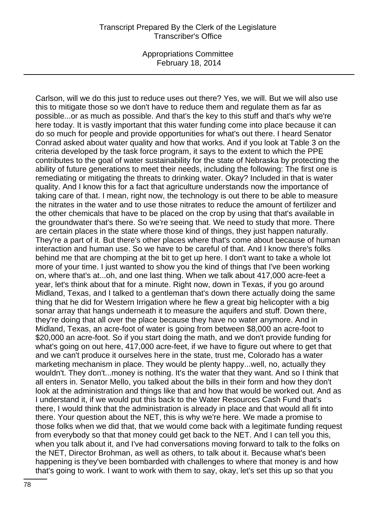Appropriations Committee February 18, 2014

Carlson, will we do this just to reduce uses out there? Yes, we will. But we will also use this to mitigate those so we don't have to reduce them and regulate them as far as possible...or as much as possible. And that's the key to this stuff and that's why we're here today. It is vastly important that this water funding come into place because it can do so much for people and provide opportunities for what's out there. I heard Senator Conrad asked about water quality and how that works. And if you look at Table 3 on the criteria developed by the task force program, it says to the extent to which the PPE contributes to the goal of water sustainability for the state of Nebraska by protecting the ability of future generations to meet their needs, including the following: The first one is remediating or mitigating the threats to drinking water. Okay? Included in that is water quality. And I know this for a fact that agriculture understands now the importance of taking care of that. I mean, right now, the technology is out there to be able to measure the nitrates in the water and to use those nitrates to reduce the amount of fertilizer and the other chemicals that have to be placed on the crop by using that that's available in the groundwater that's there. So we're seeing that. We need to study that more. There are certain places in the state where those kind of things, they just happen naturally. They're a part of it. But there's other places where that's come about because of human interaction and human use. So we have to be careful of that. And I know there's folks behind me that are chomping at the bit to get up here. I don't want to take a whole lot more of your time. I just wanted to show you the kind of things that I've been working on, where that's at...oh, and one last thing. When we talk about 417,000 acre-feet a year, let's think about that for a minute. Right now, down in Texas, if you go around Midland, Texas, and I talked to a gentleman that's down there actually doing the same thing that he did for Western Irrigation where he flew a great big helicopter with a big sonar array that hangs underneath it to measure the aquifers and stuff. Down there, they're doing that all over the place because they have no water anymore. And in Midland, Texas, an acre-foot of water is going from between \$8,000 an acre-foot to \$20,000 an acre-foot. So if you start doing the math, and we don't provide funding for what's going on out here, 417,000 acre-feet, if we have to figure out where to get that and we can't produce it ourselves here in the state, trust me, Colorado has a water marketing mechanism in place. They would be plenty happy...well, no, actually they wouldn't. They don't...money is nothing. It's the water that they want. And so I think that all enters in. Senator Mello, you talked about the bills in their form and how they don't look at the administration and things like that and how that would be worked out. And as I understand it, if we would put this back to the Water Resources Cash Fund that's there, I would think that the administration is already in place and that would all fit into there. Your question about the NET, this is why we're here. We made a promise to those folks when we did that, that we would come back with a legitimate funding request from everybody so that that money could get back to the NET. And I can tell you this, when you talk about it, and I've had conversations moving forward to talk to the folks on the NET, Director Brohman, as well as others, to talk about it. Because what's been happening is they've been bombarded with challenges to where that money is and how that's going to work. I want to work with them to say, okay, let's set this up so that you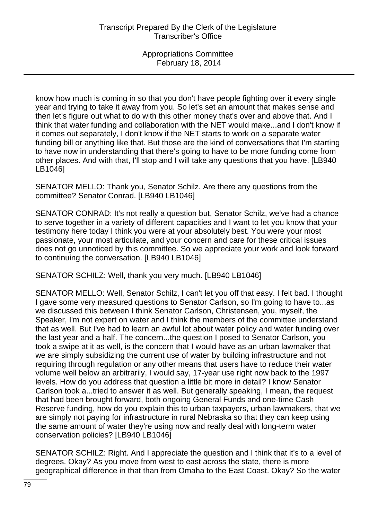know how much is coming in so that you don't have people fighting over it every single year and trying to take it away from you. So let's set an amount that makes sense and then let's figure out what to do with this other money that's over and above that. And I think that water funding and collaboration with the NET would make...and I don't know if it comes out separately, I don't know if the NET starts to work on a separate water funding bill or anything like that. But those are the kind of conversations that I'm starting to have now in understanding that there's going to have to be more funding come from other places. And with that, I'll stop and I will take any questions that you have. [LB940 LB1046]

SENATOR MELLO: Thank you, Senator Schilz. Are there any questions from the committee? Senator Conrad. [LB940 LB1046]

SENATOR CONRAD: It's not really a question but, Senator Schilz, we've had a chance to serve together in a variety of different capacities and I want to let you know that your testimony here today I think you were at your absolutely best. You were your most passionate, your most articulate, and your concern and care for these critical issues does not go unnoticed by this committee. So we appreciate your work and look forward to continuing the conversation. [LB940 LB1046]

SENATOR SCHILZ: Well, thank you very much. [LB940 LB1046]

SENATOR MELLO: Well, Senator Schilz, I can't let you off that easy. I felt bad. I thought I gave some very measured questions to Senator Carlson, so I'm going to have to...as we discussed this between I think Senator Carlson, Christensen, you, myself, the Speaker, I'm not expert on water and I think the members of the committee understand that as well. But I've had to learn an awful lot about water policy and water funding over the last year and a half. The concern...the question I posed to Senator Carlson, you took a swipe at it as well, is the concern that I would have as an urban lawmaker that we are simply subsidizing the current use of water by building infrastructure and not requiring through regulation or any other means that users have to reduce their water volume well below an arbitrarily, I would say, 17-year use right now back to the 1997 levels. How do you address that question a little bit more in detail? I know Senator Carlson took a...tried to answer it as well. But generally speaking, I mean, the request that had been brought forward, both ongoing General Funds and one-time Cash Reserve funding, how do you explain this to urban taxpayers, urban lawmakers, that we are simply not paying for infrastructure in rural Nebraska so that they can keep using the same amount of water they're using now and really deal with long-term water conservation policies? [LB940 LB1046]

SENATOR SCHILZ: Right. And I appreciate the question and I think that it's to a level of degrees. Okay? As you move from west to east across the state, there is more geographical difference in that than from Omaha to the East Coast. Okay? So the water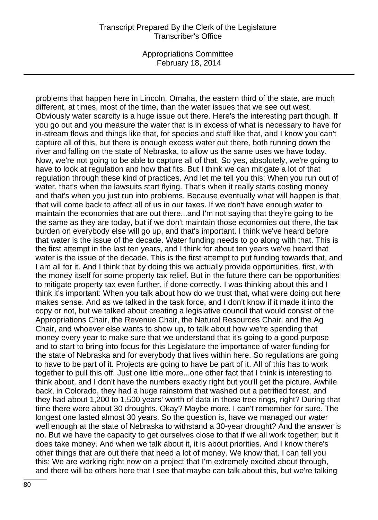Appropriations Committee February 18, 2014

problems that happen here in Lincoln, Omaha, the eastern third of the state, are much different, at times, most of the time, than the water issues that we see out west. Obviously water scarcity is a huge issue out there. Here's the interesting part though. If you go out and you measure the water that is in excess of what is necessary to have for in-stream flows and things like that, for species and stuff like that, and I know you can't capture all of this, but there is enough excess water out there, both running down the river and falling on the state of Nebraska, to allow us the same uses we have today. Now, we're not going to be able to capture all of that. So yes, absolutely, we're going to have to look at regulation and how that fits. But I think we can mitigate a lot of that regulation through these kind of practices. And let me tell you this: When you run out of water, that's when the lawsuits start flying. That's when it really starts costing money and that's when you just run into problems. Because eventually what will happen is that that will come back to affect all of us in our taxes. If we don't have enough water to maintain the economies that are out there...and I'm not saying that they're going to be the same as they are today, but if we don't maintain those economies out there, the tax burden on everybody else will go up, and that's important. I think we've heard before that water is the issue of the decade. Water funding needs to go along with that. This is the first attempt in the last ten years, and I think for about ten years we've heard that water is the issue of the decade. This is the first attempt to put funding towards that, and I am all for it. And I think that by doing this we actually provide opportunities, first, with the money itself for some property tax relief. But in the future there can be opportunities to mitigate property tax even further, if done correctly. I was thinking about this and I think it's important: When you talk about how do we trust that, what were doing out here makes sense. And as we talked in the task force, and I don't know if it made it into the copy or not, but we talked about creating a legislative council that would consist of the Appropriations Chair, the Revenue Chair, the Natural Resources Chair, and the Ag Chair, and whoever else wants to show up, to talk about how we're spending that money every year to make sure that we understand that it's going to a good purpose and to start to bring into focus for this Legislature the importance of water funding for the state of Nebraska and for everybody that lives within here. So regulations are going to have to be part of it. Projects are going to have be part of it. All of this has to work together to pull this off. Just one little more...one other fact that I think is interesting to think about, and I don't have the numbers exactly right but you'll get the picture. Awhile back, in Colorado, they had a huge rainstorm that washed out a petrified forest, and they had about 1,200 to 1,500 years' worth of data in those tree rings, right? During that time there were about 30 droughts. Okay? Maybe more. I can't remember for sure. The longest one lasted almost 30 years. So the question is, have we managed our water well enough at the state of Nebraska to withstand a 30-year drought? And the answer is no. But we have the capacity to get ourselves close to that if we all work together; but it does take money. And when we talk about it, it is about priorities. And I know there's other things that are out there that need a lot of money. We know that. I can tell you this: We are working right now on a project that I'm extremely excited about through, and there will be others here that I see that maybe can talk about this, but we're talking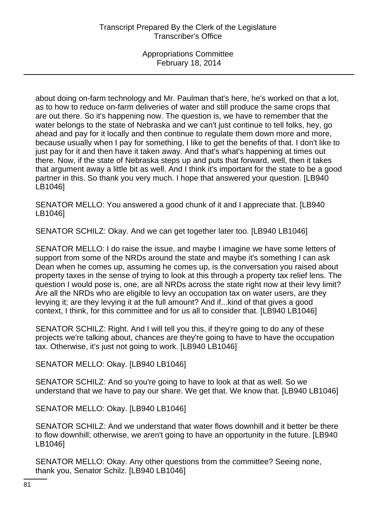about doing on-farm technology and Mr. Paulman that's here, he's worked on that a lot, as to how to reduce on-farm deliveries of water and still produce the same crops that are out there. So it's happening now. The question is, we have to remember that the water belongs to the state of Nebraska and we can't just continue to tell folks, hey, go ahead and pay for it locally and then continue to regulate them down more and more, because usually when I pay for something, I like to get the benefits of that. I don't like to just pay for it and then have it taken away. And that's what's happening at times out there. Now, if the state of Nebraska steps up and puts that forward, well, then it takes that argument away a little bit as well. And I think it's important for the state to be a good partner in this. So thank you very much. I hope that answered your question. [LB940 LB1046]

SENATOR MELLO: You answered a good chunk of it and I appreciate that. [LB940 LB1046]

SENATOR SCHILZ: Okay. And we can get together later too. [LB940 LB1046]

SENATOR MELLO: I do raise the issue, and maybe I imagine we have some letters of support from some of the NRDs around the state and maybe it's something I can ask Dean when he comes up, assuming he comes up, is the conversation you raised about property taxes in the sense of trying to look at this through a property tax relief lens. The question I would pose is, one, are all NRDs across the state right now at their levy limit? Are all the NRDs who are eligible to levy an occupation tax on water users, are they levying it; are they levying it at the full amount? And if...kind of that gives a good context, I think, for this committee and for us all to consider that. [LB940 LB1046]

SENATOR SCHILZ: Right. And I will tell you this, if they're going to do any of these projects we're talking about, chances are they're going to have to have the occupation tax. Otherwise, it's just not going to work. [LB940 LB1046]

SENATOR MELLO: Okay. [LB940 LB1046]

SENATOR SCHILZ: And so you're going to have to look at that as well. So we understand that we have to pay our share. We get that. We know that. [LB940 LB1046]

SENATOR MELLO: Okay. [LB940 LB1046]

SENATOR SCHILZ: And we understand that water flows downhill and it better be there to flow downhill; otherwise, we aren't going to have an opportunity in the future. [LB940 LB1046]

SENATOR MELLO: Okay. Any other questions from the committee? Seeing none, thank you, Senator Schilz. [LB940 LB1046]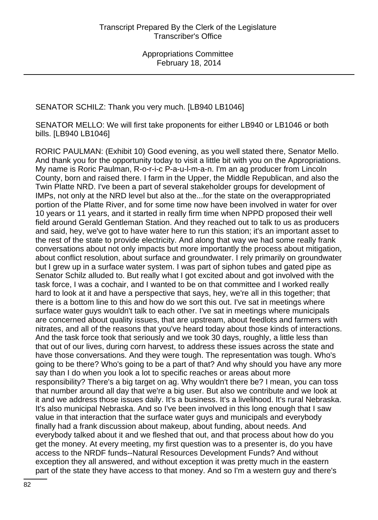SENATOR SCHILZ: Thank you very much. [LB940 LB1046]

SENATOR MELLO: We will first take proponents for either LB940 or LB1046 or both bills. [LB940 LB1046]

RORIC PAULMAN: (Exhibit 10) Good evening, as you well stated there, Senator Mello. And thank you for the opportunity today to visit a little bit with you on the Appropriations. My name is Roric Paulman, R-o-r-i-c P-a-u-l-m-a-n. I'm an ag producer from Lincoln County, born and raised there. I farm in the Upper, the Middle Republican, and also the Twin Platte NRD. I've been a part of several stakeholder groups for development of IMPs, not only at the NRD level but also at the...for the state on the overappropriated portion of the Platte River, and for some time now have been involved in water for over 10 years or 11 years, and it started in really firm time when NPPD proposed their well field around Gerald Gentleman Station. And they reached out to talk to us as producers and said, hey, we've got to have water here to run this station; it's an important asset to the rest of the state to provide electricity. And along that way we had some really frank conversations about not only impacts but more importantly the process about mitigation, about conflict resolution, about surface and groundwater. I rely primarily on groundwater but I grew up in a surface water system. I was part of siphon tubes and gated pipe as Senator Schilz alluded to. But really what I got excited about and got involved with the task force, I was a cochair, and I wanted to be on that committee and I worked really hard to look at it and have a perspective that says, hey, we're all in this together; that there is a bottom line to this and how do we sort this out. I've sat in meetings where surface water guys wouldn't talk to each other. I've sat in meetings where municipals are concerned about quality issues, that are upstream, about feedlots and farmers with nitrates, and all of the reasons that you've heard today about those kinds of interactions. And the task force took that seriously and we took 30 days, roughly, a little less than that out of our lives, during corn harvest, to address these issues across the state and have those conversations. And they were tough. The representation was tough. Who's going to be there? Who's going to be a part of that? And why should you have any more say than I do when you look a lot to specific reaches or areas about more responsibility? There's a big target on ag. Why wouldn't there be? I mean, you can toss that number around all day that we're a big user. But also we contribute and we look at it and we address those issues daily. It's a business. It's a livelihood. It's rural Nebraska. It's also municipal Nebraska. And so I've been involved in this long enough that I saw value in that interaction that the surface water guys and municipals and everybody finally had a frank discussion about makeup, about funding, about needs. And everybody talked about it and we fleshed that out, and that process about how do you get the money. At every meeting, my first question was to a presenter is, do you have access to the NRDF funds--Natural Resources Development Funds? And without exception they all answered, and without exception it was pretty much in the eastern part of the state they have access to that money. And so I'm a western guy and there's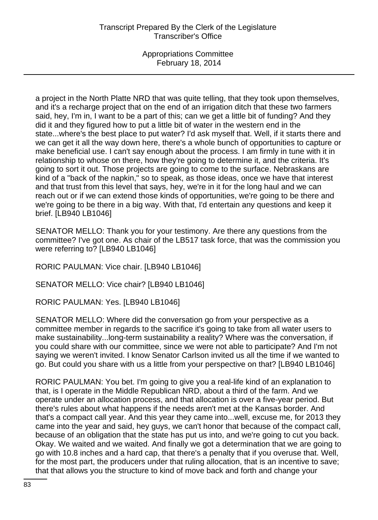a project in the North Platte NRD that was quite telling, that they took upon themselves, and it's a recharge project that on the end of an irrigation ditch that these two farmers said, hey, I'm in, I want to be a part of this; can we get a little bit of funding? And they did it and they figured how to put a little bit of water in the western end in the state...where's the best place to put water? I'd ask myself that. Well, if it starts there and we can get it all the way down here, there's a whole bunch of opportunities to capture or make beneficial use. I can't say enough about the process. I am firmly in tune with it in relationship to whose on there, how they're going to determine it, and the criteria. It's going to sort it out. Those projects are going to come to the surface. Nebraskans are kind of a "back of the napkin," so to speak, as those ideas, once we have that interest and that trust from this level that says, hey, we're in it for the long haul and we can reach out or if we can extend those kinds of opportunities, we're going to be there and we're going to be there in a big way. With that, I'd entertain any questions and keep it brief. [LB940 LB1046]

SENATOR MELLO: Thank you for your testimony. Are there any questions from the committee? I've got one. As chair of the LB517 task force, that was the commission you were referring to? [LB940 LB1046]

RORIC PAULMAN: Vice chair. [LB940 LB1046]

SENATOR MELLO: Vice chair? [LB940 LB1046]

RORIC PAULMAN: Yes. [LB940 LB1046]

SENATOR MELLO: Where did the conversation go from your perspective as a committee member in regards to the sacrifice it's going to take from all water users to make sustainability...long-term sustainability a reality? Where was the conversation, if you could share with our committee, since we were not able to participate? And I'm not saying we weren't invited. I know Senator Carlson invited us all the time if we wanted to go. But could you share with us a little from your perspective on that? [LB940 LB1046]

RORIC PAULMAN: You bet. I'm going to give you a real-life kind of an explanation to that, is I operate in the Middle Republican NRD, about a third of the farm. And we operate under an allocation process, and that allocation is over a five-year period. But there's rules about what happens if the needs aren't met at the Kansas border. And that's a compact call year. And this year they came into...well, excuse me, for 2013 they came into the year and said, hey guys, we can't honor that because of the compact call, because of an obligation that the state has put us into, and we're going to cut you back. Okay. We waited and we waited. And finally we got a determination that we are going to go with 10.8 inches and a hard cap, that there's a penalty that if you overuse that. Well, for the most part, the producers under that ruling allocation, that is an incentive to save; that that allows you the structure to kind of move back and forth and change your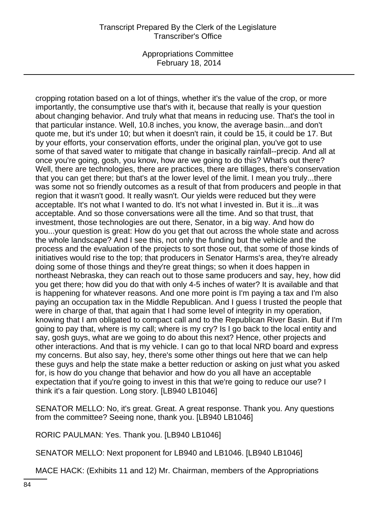Appropriations Committee February 18, 2014

cropping rotation based on a lot of things, whether it's the value of the crop, or more importantly, the consumptive use that's with it, because that really is your question about changing behavior. And truly what that means in reducing use. That's the tool in that particular instance. Well, 10.8 inches, you know, the average basin...and don't quote me, but it's under 10; but when it doesn't rain, it could be 15, it could be 17. But by your efforts, your conservation efforts, under the original plan, you've got to use some of that saved water to mitigate that change in basically rainfall--precip. And all at once you're going, gosh, you know, how are we going to do this? What's out there? Well, there are technologies, there are practices, there are tillages, there's conservation that you can get there; but that's at the lower level of the limit. I mean you truly...there was some not so friendly outcomes as a result of that from producers and people in that region that it wasn't good. It really wasn't. Our yields were reduced but they were acceptable. It's not what I wanted to do. It's not what I invested in. But it is...it was acceptable. And so those conversations were all the time. And so that trust, that investment, those technologies are out there, Senator, in a big way. And how do you...your question is great: How do you get that out across the whole state and across the whole landscape? And I see this, not only the funding but the vehicle and the process and the evaluation of the projects to sort those out, that some of those kinds of initiatives would rise to the top; that producers in Senator Harms's area, they're already doing some of those things and they're great things; so when it does happen in northeast Nebraska, they can reach out to those same producers and say, hey, how did you get there; how did you do that with only 4-5 inches of water? It is available and that is happening for whatever reasons. And one more point is I'm paying a tax and I'm also paying an occupation tax in the Middle Republican. And I guess I trusted the people that were in charge of that, that again that I had some level of integrity in my operation, knowing that I am obligated to compact call and to the Republican River Basin. But if I'm going to pay that, where is my call; where is my cry? Is I go back to the local entity and say, gosh guys, what are we going to do about this next? Hence, other projects and other interactions. And that is my vehicle. I can go to that local NRD board and express my concerns. But also say, hey, there's some other things out here that we can help these guys and help the state make a better reduction or asking on just what you asked for, is how do you change that behavior and how do you all have an acceptable expectation that if you're going to invest in this that we're going to reduce our use? I think it's a fair question. Long story. [LB940 LB1046]

SENATOR MELLO: No, it's great. Great. A great response. Thank you. Any questions from the committee? Seeing none, thank you. [LB940 LB1046]

RORIC PAULMAN: Yes. Thank you. [LB940 LB1046]

SENATOR MELLO: Next proponent for LB940 and LB1046. [LB940 LB1046]

MACE HACK: (Exhibits 11 and 12) Mr. Chairman, members of the Appropriations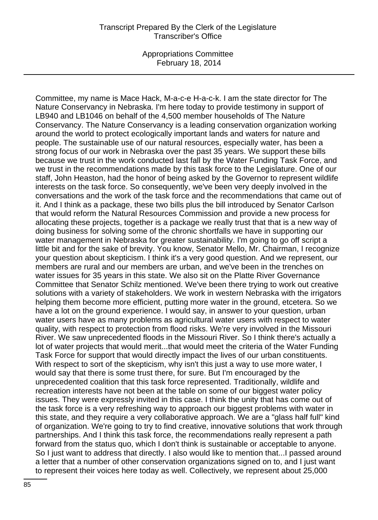Appropriations Committee February 18, 2014

Committee, my name is Mace Hack, M-a-c-e H-a-c-k. I am the state director for The Nature Conservancy in Nebraska. I'm here today to provide testimony in support of LB940 and LB1046 on behalf of the 4,500 member households of The Nature Conservancy. The Nature Conservancy is a leading conservation organization working around the world to protect ecologically important lands and waters for nature and people. The sustainable use of our natural resources, especially water, has been a strong focus of our work in Nebraska over the past 35 years. We support these bills because we trust in the work conducted last fall by the Water Funding Task Force, and we trust in the recommendations made by this task force to the Legislature. One of our staff, John Heaston, had the honor of being asked by the Governor to represent wildlife interests on the task force. So consequently, we've been very deeply involved in the conversations and the work of the task force and the recommendations that came out of it. And I think as a package, these two bills plus the bill introduced by Senator Carlson that would reform the Natural Resources Commission and provide a new process for allocating these projects, together is a package we really trust that that is a new way of doing business for solving some of the chronic shortfalls we have in supporting our water management in Nebraska for greater sustainability. I'm going to go off script a little bit and for the sake of brevity. You know, Senator Mello, Mr. Chairman, I recognize your question about skepticism. I think it's a very good question. And we represent, our members are rural and our members are urban, and we've been in the trenches on water issues for 35 years in this state. We also sit on the Platte River Governance Committee that Senator Schilz mentioned. We've been there trying to work out creative solutions with a variety of stakeholders. We work in western Nebraska with the irrigators helping them become more efficient, putting more water in the ground, etcetera. So we have a lot on the ground experience. I would say, in answer to your question, urban water users have as many problems as agricultural water users with respect to water quality, with respect to protection from flood risks. We're very involved in the Missouri River. We saw unprecedented floods in the Missouri River. So I think there's actually a lot of water projects that would merit...that would meet the criteria of the Water Funding Task Force for support that would directly impact the lives of our urban constituents. With respect to sort of the skepticism, why isn't this just a way to use more water, I would say that there is some trust there, for sure. But I'm encouraged by the unprecedented coalition that this task force represented. Traditionally, wildlife and recreation interests have not been at the table on some of our biggest water policy issues. They were expressly invited in this case. I think the unity that has come out of the task force is a very refreshing way to approach our biggest problems with water in this state, and they require a very collaborative approach. We are a "glass half full" kind of organization. We're going to try to find creative, innovative solutions that work through partnerships. And I think this task force, the recommendations really represent a path forward from the status quo, which I don't think is sustainable or acceptable to anyone. So I just want to address that directly. I also would like to mention that...I passed around a letter that a number of other conservation organizations signed on to, and I just want to represent their voices here today as well. Collectively, we represent about 25,000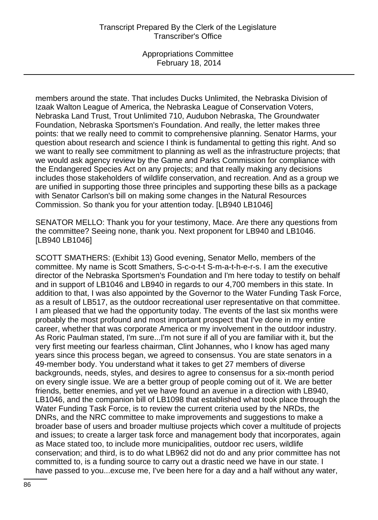Appropriations Committee February 18, 2014

members around the state. That includes Ducks Unlimited, the Nebraska Division of Izaak Walton League of America, the Nebraska League of Conservation Voters, Nebraska Land Trust, Trout Unlimited 710, Audubon Nebraska, The Groundwater Foundation, Nebraska Sportsmen's Foundation. And really, the letter makes three points: that we really need to commit to comprehensive planning. Senator Harms, your question about research and science I think is fundamental to getting this right. And so we want to really see commitment to planning as well as the infrastructure projects; that we would ask agency review by the Game and Parks Commission for compliance with the Endangered Species Act on any projects; and that really making any decisions includes those stakeholders of wildlife conservation, and recreation. And as a group we are unified in supporting those three principles and supporting these bills as a package with Senator Carlson's bill on making some changes in the Natural Resources Commission. So thank you for your attention today. [LB940 LB1046]

SENATOR MELLO: Thank you for your testimony, Mace. Are there any questions from the committee? Seeing none, thank you. Next proponent for LB940 and LB1046. [LB940 LB1046]

SCOTT SMATHERS: (Exhibit 13) Good evening, Senator Mello, members of the committee. My name is Scott Smathers, S-c-o-t-t S-m-a-t-h-e-r-s. I am the executive director of the Nebraska Sportsmen's Foundation and I'm here today to testify on behalf and in support of LB1046 and LB940 in regards to our 4,700 members in this state. In addition to that, I was also appointed by the Governor to the Water Funding Task Force, as a result of LB517, as the outdoor recreational user representative on that committee. I am pleased that we had the opportunity today. The events of the last six months were probably the most profound and most important prospect that I've done in my entire career, whether that was corporate America or my involvement in the outdoor industry. As Roric Paulman stated, I'm sure...I'm not sure if all of you are familiar with it, but the very first meeting our fearless chairman, Clint Johannes, who I know has aged many years since this process began, we agreed to consensus. You are state senators in a 49-member body. You understand what it takes to get 27 members of diverse backgrounds, needs, styles, and desires to agree to consensus for a six-month period on every single issue. We are a better group of people coming out of it. We are better friends, better enemies, and yet we have found an avenue in a direction with LB940, LB1046, and the companion bill of LB1098 that established what took place through the Water Funding Task Force, is to review the current criteria used by the NRDs, the DNRs, and the NRC committee to make improvements and suggestions to make a broader base of users and broader multiuse projects which cover a multitude of projects and issues; to create a larger task force and management body that incorporates, again as Mace stated too, to include more municipalities, outdoor rec users, wildlife conservation; and third, is to do what LB962 did not do and any prior committee has not committed to, is a funding source to carry out a drastic need we have in our state. I have passed to you...excuse me, I've been here for a day and a half without any water,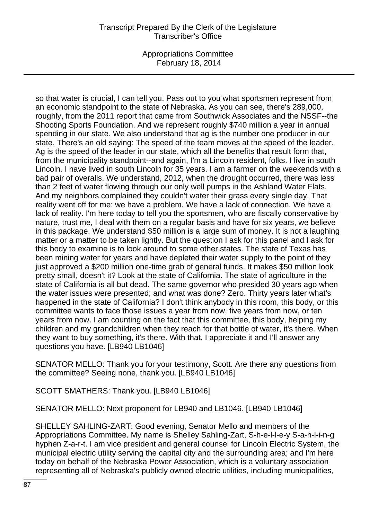Appropriations Committee February 18, 2014

so that water is crucial, I can tell you. Pass out to you what sportsmen represent from an economic standpoint to the state of Nebraska. As you can see, there's 289,000, roughly, from the 2011 report that came from Southwick Associates and the NSSF--the Shooting Sports Foundation. And we represent roughly \$740 million a year in annual spending in our state. We also understand that ag is the number one producer in our state. There's an old saying: The speed of the team moves at the speed of the leader. Ag is the speed of the leader in our state, which all the benefits that result form that, from the municipality standpoint--and again, I'm a Lincoln resident, folks. I live in south Lincoln. I have lived in south Lincoln for 35 years. I am a farmer on the weekends with a bad pair of overalls. We understand, 2012, when the drought occurred, there was less than 2 feet of water flowing through our only well pumps in the Ashland Water Flats. And my neighbors complained they couldn't water their grass every single day. That reality went off for me: we have a problem. We have a lack of connection. We have a lack of reality. I'm here today to tell you the sportsmen, who are fiscally conservative by nature, trust me, I deal with them on a regular basis and have for six years, we believe in this package. We understand \$50 million is a large sum of money. It is not a laughing matter or a matter to be taken lightly. But the question I ask for this panel and I ask for this body to examine is to look around to some other states. The state of Texas has been mining water for years and have depleted their water supply to the point of they just approved a \$200 million one-time grab of general funds. It makes \$50 million look pretty small, doesn't it? Look at the state of California. The state of agriculture in the state of California is all but dead. The same governor who presided 30 years ago when the water issues were presented; and what was done? Zero. Thirty years later what's happened in the state of California? I don't think anybody in this room, this body, or this committee wants to face those issues a year from now, five years from now, or ten years from now. I am counting on the fact that this committee, this body, helping my children and my grandchildren when they reach for that bottle of water, it's there. When they want to buy something, it's there. With that, I appreciate it and I'll answer any questions you have. [LB940 LB1046]

SENATOR MELLO: Thank you for your testimony, Scott. Are there any questions from the committee? Seeing none, thank you. [LB940 LB1046]

SCOTT SMATHERS: Thank you. [LB940 LB1046]

SENATOR MELLO: Next proponent for LB940 and LB1046. [LB940 LB1046]

SHELLEY SAHLING-ZART: Good evening, Senator Mello and members of the Appropriations Committee. My name is Shelley Sahling-Zart, S-h-e-l-l-e-y S-a-h-l-i-n-g hyphen Z-a-r-t. I am vice president and general counsel for Lincoln Electric System, the municipal electric utility serving the capital city and the surrounding area; and I'm here today on behalf of the Nebraska Power Association, which is a voluntary association representing all of Nebraska's publicly owned electric utilities, including municipalities,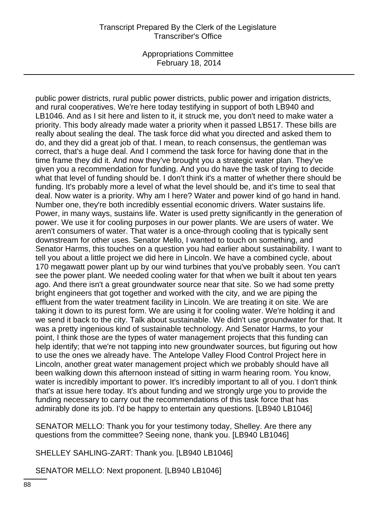Appropriations Committee February 18, 2014

public power districts, rural public power districts, public power and irrigation districts, and rural cooperatives. We're here today testifying in support of both LB940 and LB1046. And as I sit here and listen to it, it struck me, you don't need to make water a priority. This body already made water a priority when it passed LB517. These bills are really about sealing the deal. The task force did what you directed and asked them to do, and they did a great job of that. I mean, to reach consensus, the gentleman was correct, that's a huge deal. And I commend the task force for having done that in the time frame they did it. And now they've brought you a strategic water plan. They've given you a recommendation for funding. And you do have the task of trying to decide what that level of funding should be. I don't think it's a matter of whether there should be funding. It's probably more a level of what the level should be, and it's time to seal that deal. Now water is a priority. Why am I here? Water and power kind of go hand in hand. Number one, they're both incredibly essential economic drivers. Water sustains life. Power, in many ways, sustains life. Water is used pretty significantly in the generation of power. We use it for cooling purposes in our power plants. We are users of water. We aren't consumers of water. That water is a once-through cooling that is typically sent downstream for other uses. Senator Mello, I wanted to touch on something, and Senator Harms, this touches on a question you had earlier about sustainability. I want to tell you about a little project we did here in Lincoln. We have a combined cycle, about 170 megawatt power plant up by our wind turbines that you've probably seen. You can't see the power plant. We needed cooling water for that when we built it about ten years ago. And there isn't a great groundwater source near that site. So we had some pretty bright engineers that got together and worked with the city, and we are piping the effluent from the water treatment facility in Lincoln. We are treating it on site. We are taking it down to its purest form. We are using it for cooling water. We're holding it and we send it back to the city. Talk about sustainable. We didn't use groundwater for that. It was a pretty ingenious kind of sustainable technology. And Senator Harms, to your point, I think those are the types of water management projects that this funding can help identify; that we're not tapping into new groundwater sources, but figuring out how to use the ones we already have. The Antelope Valley Flood Control Project here in Lincoln, another great water management project which we probably should have all been walking down this afternoon instead of sitting in warm hearing room. You know, water is incredibly important to power. It's incredibly important to all of you. I don't think that's at issue here today. It's about funding and we strongly urge you to provide the funding necessary to carry out the recommendations of this task force that has admirably done its job. I'd be happy to entertain any questions. [LB940 LB1046]

SENATOR MELLO: Thank you for your testimony today, Shelley. Are there any questions from the committee? Seeing none, thank you. [LB940 LB1046]

SHELLEY SAHLING-ZART: Thank you. [LB940 LB1046]

SENATOR MELLO: Next proponent. [LB940 LB1046]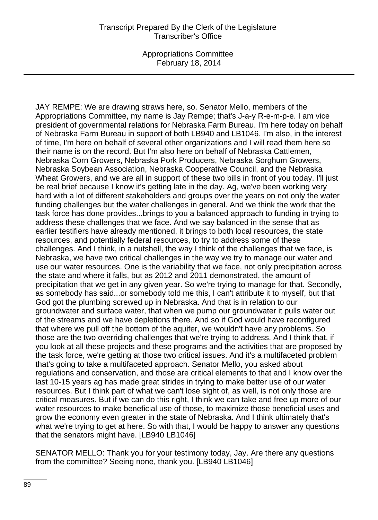JAY REMPE: We are drawing straws here, so. Senator Mello, members of the Appropriations Committee, my name is Jay Rempe; that's J-a-y R-e-m-p-e. I am vice president of governmental relations for Nebraska Farm Bureau. I'm here today on behalf of Nebraska Farm Bureau in support of both LB940 and LB1046. I'm also, in the interest of time, I'm here on behalf of several other organizations and I will read them here so their name is on the record. But I'm also here on behalf of Nebraska Cattlemen, Nebraska Corn Growers, Nebraska Pork Producers, Nebraska Sorghum Growers, Nebraska Soybean Association, Nebraska Cooperative Council, and the Nebraska Wheat Growers, and we are all in support of these two bills in front of you today. I'll just be real brief because I know it's getting late in the day. Ag, we've been working very hard with a lot of different stakeholders and groups over the years on not only the water funding challenges but the water challenges in general. And we think the work that the task force has done provides...brings to you a balanced approach to funding in trying to address these challenges that we face. And we say balanced in the sense that as earlier testifiers have already mentioned, it brings to both local resources, the state resources, and potentially federal resources, to try to address some of these challenges. And I think, in a nutshell, the way I think of the challenges that we face, is Nebraska, we have two critical challenges in the way we try to manage our water and use our water resources. One is the variability that we face, not only precipitation across the state and where it falls, but as 2012 and 2011 demonstrated, the amount of precipitation that we get in any given year. So we're trying to manage for that. Secondly, as somebody has said...or somebody told me this, I can't attribute it to myself, but that God got the plumbing screwed up in Nebraska. And that is in relation to our groundwater and surface water, that when we pump our groundwater it pulls water out of the streams and we have depletions there. And so if God would have reconfigured that where we pull off the bottom of the aquifer, we wouldn't have any problems. So those are the two overriding challenges that we're trying to address. And I think that, if you look at all these projects and these programs and the activities that are proposed by the task force, we're getting at those two critical issues. And it's a multifaceted problem that's going to take a multifaceted approach. Senator Mello, you asked about regulations and conservation, and those are critical elements to that and I know over the last 10-15 years ag has made great strides in trying to make better use of our water resources. But I think part of what we can't lose sight of, as well, is not only those are critical measures. But if we can do this right, I think we can take and free up more of our water resources to make beneficial use of those, to maximize those beneficial uses and grow the economy even greater in the state of Nebraska. And I think ultimately that's what we're trying to get at here. So with that, I would be happy to answer any questions that the senators might have. [LB940 LB1046]

SENATOR MELLO: Thank you for your testimony today, Jay. Are there any questions from the committee? Seeing none, thank you. [LB940 LB1046]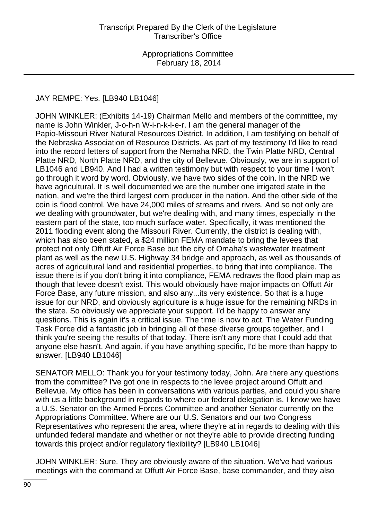# JAY REMPE: Yes. [LB940 LB1046]

JOHN WINKLER: (Exhibits 14-19) Chairman Mello and members of the committee, my name is John Winkler, J-o-h-n W-i-n-k-l-e-r. I am the general manager of the Papio-Missouri River Natural Resources District. In addition, I am testifying on behalf of the Nebraska Association of Resource Districts. As part of my testimony I'd like to read into the record letters of support from the Nemaha NRD, the Twin Platte NRD, Central Platte NRD, North Platte NRD, and the city of Bellevue. Obviously, we are in support of LB1046 and LB940. And I had a written testimony but with respect to your time I won't go through it word by word. Obviously, we have two sides of the coin. In the NRD we have agricultural. It is well documented we are the number one irrigated state in the nation, and we're the third largest corn producer in the nation. And the other side of the coin is flood control. We have 24,000 miles of streams and rivers. And so not only are we dealing with groundwater, but we're dealing with, and many times, especially in the eastern part of the state, too much surface water. Specifically, it was mentioned the 2011 flooding event along the Missouri River. Currently, the district is dealing with, which has also been stated, a \$24 million FEMA mandate to bring the levees that protect not only Offutt Air Force Base but the city of Omaha's wastewater treatment plant as well as the new U.S. Highway 34 bridge and approach, as well as thousands of acres of agricultural land and residential properties, to bring that into compliance. The issue there is if you don't bring it into compliance, FEMA redraws the flood plain map as though that levee doesn't exist. This would obviously have major impacts on Offutt Air Force Base, any future mission, and also any...its very existence. So that is a huge issue for our NRD, and obviously agriculture is a huge issue for the remaining NRDs in the state. So obviously we appreciate your support. I'd be happy to answer any questions. This is again it's a critical issue. The time is now to act. The Water Funding Task Force did a fantastic job in bringing all of these diverse groups together, and I think you're seeing the results of that today. There isn't any more that I could add that anyone else hasn't. And again, if you have anything specific, I'd be more than happy to answer. [LB940 LB1046]

SENATOR MELLO: Thank you for your testimony today, John. Are there any questions from the committee? I've got one in respects to the levee project around Offutt and Bellevue. My office has been in conversations with various parties, and could you share with us a little background in regards to where our federal delegation is. I know we have a U.S. Senator on the Armed Forces Committee and another Senator currently on the Appropriations Committee. Where are our U.S. Senators and our two Congress Representatives who represent the area, where they're at in regards to dealing with this unfunded federal mandate and whether or not they're able to provide directing funding towards this project and/or regulatory flexibility? [LB940 LB1046]

JOHN WINKLER: Sure. They are obviously aware of the situation. We've had various meetings with the command at Offutt Air Force Base, base commander, and they also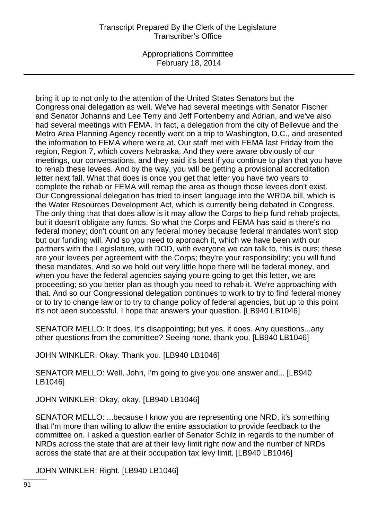Appropriations Committee February 18, 2014

bring it up to not only to the attention of the United States Senators but the Congressional delegation as well. We've had several meetings with Senator Fischer and Senator Johanns and Lee Terry and Jeff Fortenberry and Adrian, and we've also had several meetings with FEMA. In fact, a delegation from the city of Bellevue and the Metro Area Planning Agency recently went on a trip to Washington, D.C., and presented the information to FEMA where we're at. Our staff met with FEMA last Friday from the region, Region 7, which covers Nebraska. And they were aware obviously of our meetings, our conversations, and they said it's best if you continue to plan that you have to rehab these levees. And by the way, you will be getting a provisional accreditation letter next fall. What that does is once you get that letter you have two years to complete the rehab or FEMA will remap the area as though those levees don't exist. Our Congressional delegation has tried to insert language into the WRDA bill, which is the Water Resources Development Act, which is currently being debated in Congress. The only thing that that does allow is it may allow the Corps to help fund rehab projects, but it doesn't obligate any funds. So what the Corps and FEMA has said is there's no federal money; don't count on any federal money because federal mandates won't stop but our funding will. And so you need to approach it, which we have been with our partners with the Legislature, with DOD, with everyone we can talk to, this is ours; these are your levees per agreement with the Corps; they're your responsibility; you will fund these mandates. And so we hold out very little hope there will be federal money, and when you have the federal agencies saying you're going to get this letter, we are proceeding; so you better plan as though you need to rehab it. We're approaching with that. And so our Congressional delegation continues to work to try to find federal money or to try to change law or to try to change policy of federal agencies, but up to this point it's not been successful. I hope that answers your question. [LB940 LB1046]

SENATOR MELLO: It does. It's disappointing; but yes, it does. Any questions...any other questions from the committee? Seeing none, thank you. [LB940 LB1046]

JOHN WINKLER: Okay. Thank you. [LB940 LB1046]

SENATOR MELLO: Well, John, I'm going to give you one answer and... [LB940 LB1046]

JOHN WINKLER: Okay, okay. [LB940 LB1046]

SENATOR MELLO: ...because I know you are representing one NRD, it's something that I'm more than willing to allow the entire association to provide feedback to the committee on. I asked a question earlier of Senator Schilz in regards to the number of NRDs across the state that are at their levy limit right now and the number of NRDs across the state that are at their occupation tax levy limit. [LB940 LB1046]

JOHN WINKLER: Right. [LB940 LB1046]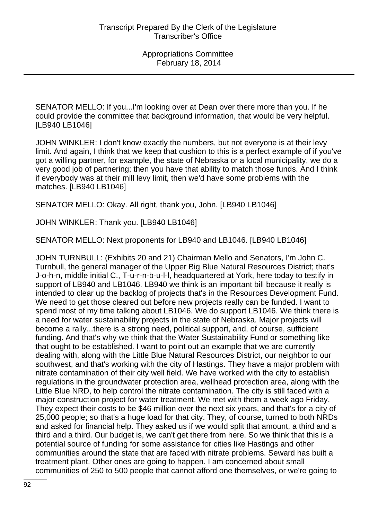SENATOR MELLO: If you...I'm looking over at Dean over there more than you. If he could provide the committee that background information, that would be very helpful. [LB940 LB1046]

JOHN WINKLER: I don't know exactly the numbers, but not everyone is at their levy limit. And again, I think that we keep that cushion to this is a perfect example of if you've got a willing partner, for example, the state of Nebraska or a local municipality, we do a very good job of partnering; then you have that ability to match those funds. And I think if everybody was at their mill levy limit, then we'd have some problems with the matches. [LB940 LB1046]

SENATOR MELLO: Okay. All right, thank you, John. [LB940 LB1046]

JOHN WINKLER: Thank you. [LB940 LB1046]

SENATOR MELLO: Next proponents for LB940 and LB1046. [LB940 LB1046]

JOHN TURNBULL: (Exhibits 20 and 21) Chairman Mello and Senators, I'm John C. Turnbull, the general manager of the Upper Big Blue Natural Resources District; that's J-o-h-n, middle initial C., T-u-r-n-b-u-l-l, headquartered at York, here today to testify in support of LB940 and LB1046. LB940 we think is an important bill because it really is intended to clear up the backlog of projects that's in the Resources Development Fund. We need to get those cleared out before new projects really can be funded. I want to spend most of my time talking about LB1046. We do support LB1046. We think there is a need for water sustainability projects in the state of Nebraska. Major projects will become a rally...there is a strong need, political support, and, of course, sufficient funding. And that's why we think that the Water Sustainability Fund or something like that ought to be established. I want to point out an example that we are currently dealing with, along with the Little Blue Natural Resources District, our neighbor to our southwest, and that's working with the city of Hastings. They have a major problem with nitrate contamination of their city well field. We have worked with the city to establish regulations in the groundwater protection area, wellhead protection area, along with the Little Blue NRD, to help control the nitrate contamination. The city is still faced with a major construction project for water treatment. We met with them a week ago Friday. They expect their costs to be \$46 million over the next six years, and that's for a city of 25,000 people; so that's a huge load for that city. They, of course, turned to both NRDs and asked for financial help. They asked us if we would split that amount, a third and a third and a third. Our budget is, we can't get there from here. So we think that this is a potential source of funding for some assistance for cities like Hastings and other communities around the state that are faced with nitrate problems. Seward has built a treatment plant. Other ones are going to happen. I am concerned about small communities of 250 to 500 people that cannot afford one themselves, or we're going to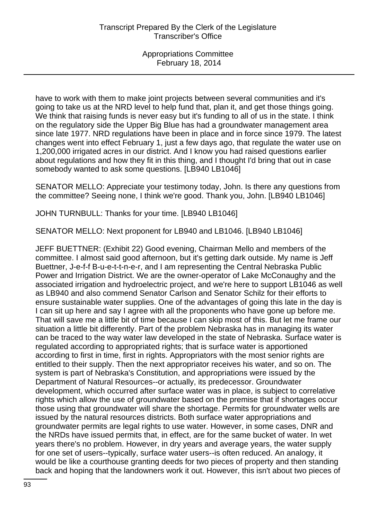have to work with them to make joint projects between several communities and it's going to take us at the NRD level to help fund that, plan it, and get those things going. We think that raising funds is never easy but it's funding to all of us in the state. I think on the regulatory side the Upper Big Blue has had a groundwater management area since late 1977. NRD regulations have been in place and in force since 1979. The latest changes went into effect February 1, just a few days ago, that regulate the water use on 1,200,000 irrigated acres in our district. And I know you had raised questions earlier about regulations and how they fit in this thing, and I thought I'd bring that out in case somebody wanted to ask some questions. [LB940 LB1046]

SENATOR MELLO: Appreciate your testimony today, John. Is there any questions from the committee? Seeing none, I think we're good. Thank you, John. [LB940 LB1046]

JOHN TURNBULL: Thanks for your time. [LB940 LB1046]

SENATOR MELLO: Next proponent for LB940 and LB1046. [LB940 LB1046]

JEFF BUETTNER: (Exhibit 22) Good evening, Chairman Mello and members of the committee. I almost said good afternoon, but it's getting dark outside. My name is Jeff Buettner, J-e-f-f B-u-e-t-t-n-e-r, and I am representing the Central Nebraska Public Power and Irrigation District. We are the owner-operator of Lake McConaughy and the associated irrigation and hydroelectric project, and we're here to support LB1046 as well as LB940 and also commend Senator Carlson and Senator Schilz for their efforts to ensure sustainable water supplies. One of the advantages of going this late in the day is I can sit up here and say I agree with all the proponents who have gone up before me. That will save me a little bit of time because I can skip most of this. But let me frame our situation a little bit differently. Part of the problem Nebraska has in managing its water can be traced to the way water law developed in the state of Nebraska. Surface water is regulated according to appropriated rights; that is surface water is apportioned according to first in time, first in rights. Appropriators with the most senior rights are entitled to their supply. Then the next appropriator receives his water, and so on. The system is part of Nebraska's Constitution, and appropriations were issued by the Department of Natural Resources--or actually, its predecessor. Groundwater development, which occurred after surface water was in place, is subject to correlative rights which allow the use of groundwater based on the premise that if shortages occur those using that groundwater will share the shortage. Permits for groundwater wells are issued by the natural resources districts. Both surface water appropriations and groundwater permits are legal rights to use water. However, in some cases, DNR and the NRDs have issued permits that, in effect, are for the same bucket of water. In wet years there's no problem. However, in dry years and average years, the water supply for one set of users--typically, surface water users--is often reduced. An analogy, it would be like a courthouse granting deeds for two pieces of property and then standing back and hoping that the landowners work it out. However, this isn't about two pieces of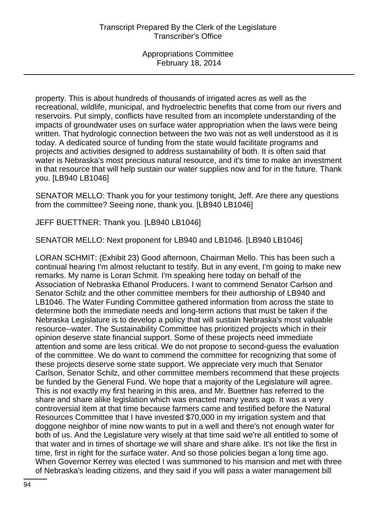property. This is about hundreds of thousands of irrigated acres as well as the recreational, wildlife, municipal, and hydroelectric benefits that come from our rivers and reservoirs. Put simply, conflicts have resulted from an incomplete understanding of the impacts of groundwater uses on surface water appropriation when the laws were being written. That hydrologic connection between the two was not as well understood as it is today. A dedicated source of funding from the state would facilitate programs and projects and activities designed to address sustainability of both. It is often said that water is Nebraska's most precious natural resource, and it's time to make an investment in that resource that will help sustain our water supplies now and for in the future. Thank you. [LB940 LB1046]

SENATOR MELLO: Thank you for your testimony tonight, Jeff. Are there any questions from the committee? Seeing none, thank you. [LB940 LB1046]

JEFF BUETTNER: Thank you. [LB940 LB1046]

SENATOR MELLO: Next proponent for LB940 and LB1046. [LB940 LB1046]

LORAN SCHMIT: (Exhibit 23) Good afternoon, Chairman Mello. This has been such a continual hearing I'm almost reluctant to testify. But in any event, I'm going to make new remarks. My name is Loran Schmit. I'm speaking here today on behalf of the Association of Nebraska Ethanol Producers. I want to commend Senator Carlson and Senator Schilz and the other committee members for their authorship of LB940 and LB1046. The Water Funding Committee gathered information from across the state to determine both the immediate needs and long-term actions that must be taken if the Nebraska Legislature is to develop a policy that will sustain Nebraska's most valuable resource--water. The Sustainability Committee has prioritized projects which in their opinion deserve state financial support. Some of these projects need immediate attention and some are less critical. We do not propose to second-guess the evaluation of the committee. We do want to commend the committee for recognizing that some of these projects deserve some state support. We appreciate very much that Senator Carlson, Senator Schilz, and other committee members recommend that these projects be funded by the General Fund. We hope that a majority of the Legislature will agree. This is not exactly my first hearing in this area, and Mr. Buettner has referred to the share and share alike legislation which was enacted many years ago. It was a very controversial item at that time because farmers came and testified before the Natural Resources Committee that I have invested \$70,000 in my irrigation system and that doggone neighbor of mine now wants to put in a well and there's not enough water for both of us. And the Legislature very wisely at that time said we're all entitled to some of that water and in times of shortage we will share and share alike. It's not like the first in time, first in right for the surface water. And so those policies began a long time ago. When Governor Kerrey was elected I was summoned to his mansion and met with three of Nebraska's leading citizens, and they said if you will pass a water management bill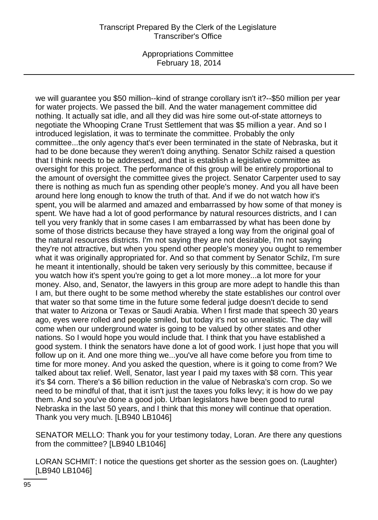Appropriations Committee February 18, 2014

we will guarantee you \$50 million--kind of strange corollary isn't it?--\$50 million per year for water projects. We passed the bill. And the water management committee did nothing. It actually sat idle, and all they did was hire some out-of-state attorneys to negotiate the Whooping Crane Trust Settlement that was \$5 million a year. And so I introduced legislation, it was to terminate the committee. Probably the only committee...the only agency that's ever been terminated in the state of Nebraska, but it had to be done because they weren't doing anything. Senator Schilz raised a question that I think needs to be addressed, and that is establish a legislative committee as oversight for this project. The performance of this group will be entirely proportional to the amount of oversight the committee gives the project. Senator Carpenter used to say there is nothing as much fun as spending other people's money. And you all have been around here long enough to know the truth of that. And if we do not watch how it's spent, you will be alarmed and amazed and embarrassed by how some of that money is spent. We have had a lot of good performance by natural resources districts, and I can tell you very frankly that in some cases I am embarrassed by what has been done by some of those districts because they have strayed a long way from the original goal of the natural resources districts. I'm not saying they are not desirable, I'm not saying they're not attractive, but when you spend other people's money you ought to remember what it was originally appropriated for. And so that comment by Senator Schilz, I'm sure he meant it intentionally, should be taken very seriously by this committee, because if you watch how it's spent you're going to get a lot more money...a lot more for your money. Also, and, Senator, the lawyers in this group are more adept to handle this than I am, but there ought to be some method whereby the state establishes our control over that water so that some time in the future some federal judge doesn't decide to send that water to Arizona or Texas or Saudi Arabia. When I first made that speech 30 years ago, eyes were rolled and people smiled, but today it's not so unrealistic. The day will come when our underground water is going to be valued by other states and other nations. So I would hope you would include that. I think that you have established a good system. I think the senators have done a lot of good work. I just hope that you will follow up on it. And one more thing we...you've all have come before you from time to time for more money. And you asked the question, where is it going to come from? We talked about tax relief. Well, Senator, last year I paid my taxes with \$8 corn. This year it's \$4 corn. There's a \$6 billion reduction in the value of Nebraska's corn crop. So we need to be mindful of that, that it isn't just the taxes you folks levy; it is how do we pay them. And so you've done a good job. Urban legislators have been good to rural Nebraska in the last 50 years, and I think that this money will continue that operation. Thank you very much. [LB940 LB1046]

SENATOR MELLO: Thank you for your testimony today, Loran. Are there any questions from the committee? [LB940 LB1046]

LORAN SCHMIT: I notice the questions get shorter as the session goes on. (Laughter) [LB940 LB1046]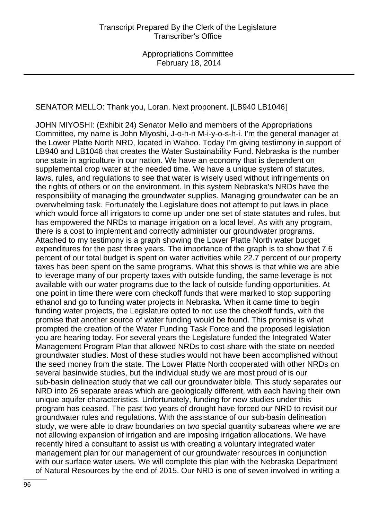SENATOR MELLO: Thank you, Loran. Next proponent. [LB940 LB1046]

JOHN MIYOSHI: (Exhibit 24) Senator Mello and members of the Appropriations Committee, my name is John Miyoshi, J-o-h-n M-i-y-o-s-h-i. I'm the general manager at the Lower Platte North NRD, located in Wahoo. Today I'm giving testimony in support of LB940 and LB1046 that creates the Water Sustainability Fund. Nebraska is the number one state in agriculture in our nation. We have an economy that is dependent on supplemental crop water at the needed time. We have a unique system of statutes, laws, rules, and regulations to see that water is wisely used without infringements on the rights of others or on the environment. In this system Nebraska's NRDs have the responsibility of managing the groundwater supplies. Managing groundwater can be an overwhelming task. Fortunately the Legislature does not attempt to put laws in place which would force all irrigators to come up under one set of state statutes and rules, but has empowered the NRDs to manage irrigation on a local level. As with any program, there is a cost to implement and correctly administer our groundwater programs. Attached to my testimony is a graph showing the Lower Platte North water budget expenditures for the past three years. The importance of the graph is to show that 7.6 percent of our total budget is spent on water activities while 22.7 percent of our property taxes has been spent on the same programs. What this shows is that while we are able to leverage many of our property taxes with outside funding, the same leverage is not available with our water programs due to the lack of outside funding opportunities. At one point in time there were corn checkoff funds that were marked to stop supporting ethanol and go to funding water projects in Nebraska. When it came time to begin funding water projects, the Legislature opted to not use the checkoff funds, with the promise that another source of water funding would be found. This promise is what prompted the creation of the Water Funding Task Force and the proposed legislation you are hearing today. For several years the Legislature funded the Integrated Water Management Program Plan that allowed NRDs to cost-share with the state on needed groundwater studies. Most of these studies would not have been accomplished without the seed money from the state. The Lower Platte North cooperated with other NRDs on several basinwide studies, but the individual study we are most proud of is our sub-basin delineation study that we call our groundwater bible. This study separates our NRD into 26 separate areas which are geologically different, with each having their own unique aquifer characteristics. Unfortunately, funding for new studies under this program has ceased. The past two years of drought have forced our NRD to revisit our groundwater rules and regulations. With the assistance of our sub-basin delineation study, we were able to draw boundaries on two special quantity subareas where we are not allowing expansion of irrigation and are imposing irrigation allocations. We have recently hired a consultant to assist us with creating a voluntary integrated water management plan for our management of our groundwater resources in conjunction with our surface water users. We will complete this plan with the Nebraska Department of Natural Resources by the end of 2015. Our NRD is one of seven involved in writing a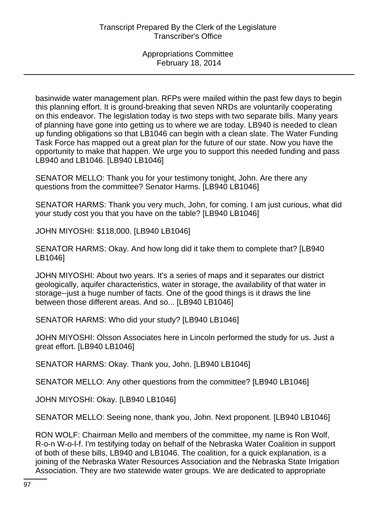basinwide water management plan. RFPs were mailed within the past few days to begin this planning effort. It is ground-breaking that seven NRDs are voluntarily cooperating on this endeavor. The legislation today is two steps with two separate bills. Many years of planning have gone into getting us to where we are today. LB940 is needed to clean up funding obligations so that LB1046 can begin with a clean slate. The Water Funding Task Force has mapped out a great plan for the future of our state. Now you have the opportunity to make that happen. We urge you to support this needed funding and pass LB940 and LB1046. [LB940 LB1046]

SENATOR MELLO: Thank you for your testimony tonight, John. Are there any questions from the committee? Senator Harms. [LB940 LB1046]

SENATOR HARMS: Thank you very much, John, for coming. I am just curious, what did your study cost you that you have on the table? [LB940 LB1046]

JOHN MIYOSHI: \$118,000. [LB940 LB1046]

SENATOR HARMS: Okay. And how long did it take them to complete that? [LB940 LB1046]

JOHN MIYOSHI: About two years. It's a series of maps and it separates our district geologically, aquifer characteristics, water in storage, the availability of that water in storage--just a huge number of facts. One of the good things is it draws the line between those different areas. And so... [LB940 LB1046]

SENATOR HARMS: Who did your study? [LB940 LB1046]

JOHN MIYOSHI: Olsson Associates here in Lincoln performed the study for us. Just a great effort. [LB940 LB1046]

SENATOR HARMS: Okay. Thank you, John. [LB940 LB1046]

SENATOR MELLO: Any other questions from the committee? [LB940 LB1046]

JOHN MIYOSHI: Okay. [LB940 LB1046]

SENATOR MELLO: Seeing none, thank you, John. Next proponent. [LB940 LB1046]

RON WOLF: Chairman Mello and members of the committee, my name is Ron Wolf, R-o-n W-o-l-f. I'm testifying today on behalf of the Nebraska Water Coalition in support of both of these bills, LB940 and LB1046. The coalition, for a quick explanation, is a joining of the Nebraska Water Resources Association and the Nebraska State Irrigation Association. They are two statewide water groups. We are dedicated to appropriate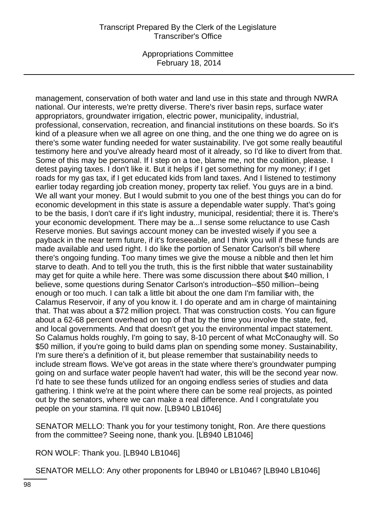Appropriations Committee February 18, 2014

management, conservation of both water and land use in this state and through NWRA national. Our interests, we're pretty diverse. There's river basin reps, surface water appropriators, groundwater irrigation, electric power, municipality, industrial, professional, conservation, recreation, and financial institutions on these boards. So it's kind of a pleasure when we all agree on one thing, and the one thing we do agree on is there's some water funding needed for water sustainability. I've got some really beautiful testimony here and you've already heard most of it already, so I'd like to divert from that. Some of this may be personal. If I step on a toe, blame me, not the coalition, please. I detest paying taxes. I don't like it. But it helps if I get something for my money; if I get roads for my gas tax, if I get educated kids from land taxes. And I listened to testimony earlier today regarding job creation money, property tax relief. You guys are in a bind. We all want your money. But I would submit to you one of the best things you can do for economic development in this state is assure a dependable water supply. That's going to be the basis, I don't care if it's light industry, municipal, residential; there it is. There's your economic development. There may be a...I sense some reluctance to use Cash Reserve monies. But savings account money can be invested wisely if you see a payback in the near term future, if it's foreseeable, and I think you will if these funds are made available and used right. I do like the portion of Senator Carlson's bill where there's ongoing funding. Too many times we give the mouse a nibble and then let him starve to death. And to tell you the truth, this is the first nibble that water sustainability may get for quite a while here. There was some discussion there about \$40 million, I believe, some questions during Senator Carlson's introduction--\$50 million--being enough or too much. I can talk a little bit about the one dam I'm familiar with, the Calamus Reservoir, if any of you know it. I do operate and am in charge of maintaining that. That was about a \$72 million project. That was construction costs. You can figure about a 62-68 percent overhead on top of that by the time you involve the state, fed, and local governments. And that doesn't get you the environmental impact statement. So Calamus holds roughly, I'm going to say, 8-10 percent of what McConaughy will. So \$50 million, if you're going to build dams plan on spending some money. Sustainability, I'm sure there's a definition of it, but please remember that sustainability needs to include stream flows. We've got areas in the state where there's groundwater pumping going on and surface water people haven't had water, this will be the second year now. I'd hate to see these funds utilized for an ongoing endless series of studies and data gathering. I think we're at the point where there can be some real projects, as pointed out by the senators, where we can make a real difference. And I congratulate you people on your stamina. I'll quit now. [LB940 LB1046]

SENATOR MELLO: Thank you for your testimony tonight, Ron. Are there questions from the committee? Seeing none, thank you. [LB940 LB1046]

RON WOLF: Thank you. [LB940 LB1046]

SENATOR MELLO: Any other proponents for LB940 or LB1046? [LB940 LB1046]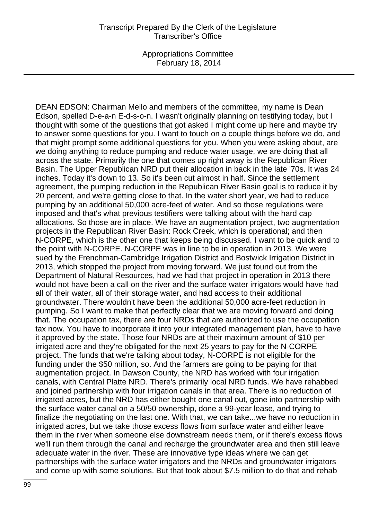DEAN EDSON: Chairman Mello and members of the committee, my name is Dean Edson, spelled D-e-a-n E-d-s-o-n. I wasn't originally planning on testifying today, but I thought with some of the questions that got asked I might come up here and maybe try to answer some questions for you. I want to touch on a couple things before we do, and that might prompt some additional questions for you. When you were asking about, are we doing anything to reduce pumping and reduce water usage, we are doing that all across the state. Primarily the one that comes up right away is the Republican River Basin. The Upper Republican NRD put their allocation in back in the late '70s. It was 24 inches. Today it's down to 13. So it's been cut almost in half. Since the settlement agreement, the pumping reduction in the Republican River Basin goal is to reduce it by 20 percent, and we're getting close to that. In the water short year, we had to reduce pumping by an additional 50,000 acre-feet of water. And so those regulations were imposed and that's what previous testifiers were talking about with the hard cap allocations. So those are in place. We have an augmentation project, two augmentation projects in the Republican River Basin: Rock Creek, which is operational; and then N-CORPE, which is the other one that keeps being discussed. I want to be quick and to the point with N-CORPE. N-CORPE was in line to be in operation in 2013. We were sued by the Frenchman-Cambridge Irrigation District and Bostwick Irrigation District in 2013, which stopped the project from moving forward. We just found out from the Department of Natural Resources, had we had that project in operation in 2013 there would not have been a call on the river and the surface water irrigators would have had all of their water, all of their storage water, and had access to their additional groundwater. There wouldn't have been the additional 50,000 acre-feet reduction in pumping. So I want to make that perfectly clear that we are moving forward and doing that. The occupation tax, there are four NRDs that are authorized to use the occupation tax now. You have to incorporate it into your integrated management plan, have to have it approved by the state. Those four NRDs are at their maximum amount of \$10 per irrigated acre and they're obligated for the next 25 years to pay for the N-CORPE project. The funds that we're talking about today, N-CORPE is not eligible for the funding under the \$50 million, so. And the farmers are going to be paying for that augmentation project. In Dawson County, the NRD has worked with four irrigation canals, with Central Platte NRD. There's primarily local NRD funds. We have rehabbed and joined partnership with four irrigation canals in that area. There is no reduction of irrigated acres, but the NRD has either bought one canal out, gone into partnership with the surface water canal on a 50/50 ownership, done a 99-year lease, and trying to finalize the negotiating on the last one. With that, we can take...we have no reduction in irrigated acres, but we take those excess flows from surface water and either leave them in the river when someone else downstream needs them, or if there's excess flows we'll run them through the canal and recharge the groundwater area and then still leave adequate water in the river. These are innovative type ideas where we can get partnerships with the surface water irrigators and the NRDs and groundwater irrigators and come up with some solutions. But that took about \$7.5 million to do that and rehab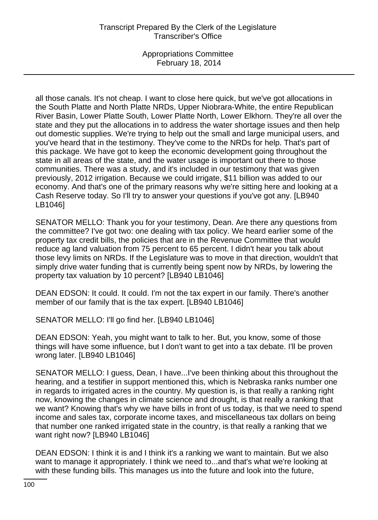Appropriations Committee February 18, 2014

all those canals. It's not cheap. I want to close here quick, but we've got allocations in the South Platte and North Platte NRDs, Upper Niobrara-White, the entire Republican River Basin, Lower Platte South, Lower Platte North, Lower Elkhorn. They're all over the state and they put the allocations in to address the water shortage issues and then help out domestic supplies. We're trying to help out the small and large municipal users, and you've heard that in the testimony. They've come to the NRDs for help. That's part of this package. We have got to keep the economic development going throughout the state in all areas of the state, and the water usage is important out there to those communities. There was a study, and it's included in our testimony that was given previously, 2012 irrigation. Because we could irrigate, \$11 billion was added to our economy. And that's one of the primary reasons why we're sitting here and looking at a Cash Reserve today. So I'll try to answer your questions if you've got any. [LB940 LB1046]

SENATOR MELLO: Thank you for your testimony, Dean. Are there any questions from the committee? I've got two: one dealing with tax policy. We heard earlier some of the property tax credit bills, the policies that are in the Revenue Committee that would reduce ag land valuation from 75 percent to 65 percent. I didn't hear you talk about those levy limits on NRDs. If the Legislature was to move in that direction, wouldn't that simply drive water funding that is currently being spent now by NRDs, by lowering the property tax valuation by 10 percent? [LB940 LB1046]

DEAN EDSON: It could. It could. I'm not the tax expert in our family. There's another member of our family that is the tax expert. [LB940 LB1046]

SENATOR MELLO: I'll go find her. [LB940 LB1046]

DEAN EDSON: Yeah, you might want to talk to her. But, you know, some of those things will have some influence, but I don't want to get into a tax debate. I'll be proven wrong later. [LB940 LB1046]

SENATOR MELLO: I guess, Dean, I have...I've been thinking about this throughout the hearing, and a testifier in support mentioned this, which is Nebraska ranks number one in regards to irrigated acres in the country. My question is, is that really a ranking right now, knowing the changes in climate science and drought, is that really a ranking that we want? Knowing that's why we have bills in front of us today, is that we need to spend income and sales tax, corporate income taxes, and miscellaneous tax dollars on being that number one ranked irrigated state in the country, is that really a ranking that we want right now? [LB940 LB1046]

DEAN EDSON: I think it is and I think it's a ranking we want to maintain. But we also want to manage it appropriately. I think we need to...and that's what we're looking at with these funding bills. This manages us into the future and look into the future,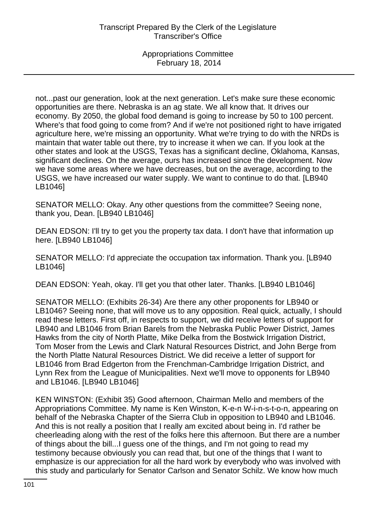not...past our generation, look at the next generation. Let's make sure these economic opportunities are there. Nebraska is an ag state. We all know that. It drives our economy. By 2050, the global food demand is going to increase by 50 to 100 percent. Where's that food going to come from? And if we're not positioned right to have irrigated agriculture here, we're missing an opportunity. What we're trying to do with the NRDs is maintain that water table out there, try to increase it when we can. If you look at the other states and look at the USGS, Texas has a significant decline, Oklahoma, Kansas, significant declines. On the average, ours has increased since the development. Now we have some areas where we have decreases, but on the average, according to the USGS, we have increased our water supply. We want to continue to do that. [LB940 LB1046]

SENATOR MELLO: Okay. Any other questions from the committee? Seeing none, thank you, Dean. [LB940 LB1046]

DEAN EDSON: I'll try to get you the property tax data. I don't have that information up here. [LB940 LB1046]

SENATOR MELLO: I'd appreciate the occupation tax information. Thank you. [LB940 LB1046]

DEAN EDSON: Yeah, okay. I'll get you that other later. Thanks. [LB940 LB1046]

SENATOR MELLO: (Exhibits 26-34) Are there any other proponents for LB940 or LB1046? Seeing none, that will move us to any opposition. Real quick, actually, I should read these letters. First off, in respects to support, we did receive letters of support for LB940 and LB1046 from Brian Barels from the Nebraska Public Power District, James Hawks from the city of North Platte, Mike Delka from the Bostwick Irrigation District, Tom Moser from the Lewis and Clark Natural Resources District, and John Berge from the North Platte Natural Resources District. We did receive a letter of support for LB1046 from Brad Edgerton from the Frenchman-Cambridge Irrigation District, and Lynn Rex from the League of Municipalities. Next we'll move to opponents for LB940 and LB1046. [LB940 LB1046]

KEN WINSTON: (Exhibit 35) Good afternoon, Chairman Mello and members of the Appropriations Committee. My name is Ken Winston, K-e-n W-i-n-s-t-o-n, appearing on behalf of the Nebraska Chapter of the Sierra Club in opposition to LB940 and LB1046. And this is not really a position that I really am excited about being in. I'd rather be cheerleading along with the rest of the folks here this afternoon. But there are a number of things about the bill...I guess one of the things, and I'm not going to read my testimony because obviously you can read that, but one of the things that I want to emphasize is our appreciation for all the hard work by everybody who was involved with this study and particularly for Senator Carlson and Senator Schilz. We know how much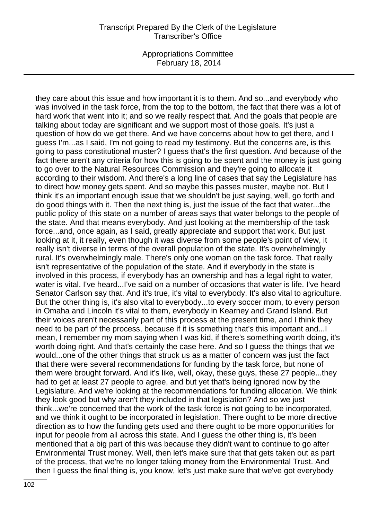Appropriations Committee February 18, 2014

they care about this issue and how important it is to them. And so...and everybody who was involved in the task force, from the top to the bottom, the fact that there was a lot of hard work that went into it; and so we really respect that. And the goals that people are talking about today are significant and we support most of those goals. It's just a question of how do we get there. And we have concerns about how to get there, and I guess I'm...as I said, I'm not going to read my testimony. But the concerns are, is this going to pass constitutional muster? I guess that's the first question. And because of the fact there aren't any criteria for how this is going to be spent and the money is just going to go over to the Natural Resources Commission and they're going to allocate it according to their wisdom. And there's a long line of cases that say the Legislature has to direct how money gets spent. And so maybe this passes muster, maybe not. But I think it's an important enough issue that we shouldn't be just saying, well, go forth and do good things with it. Then the next thing is, just the issue of the fact that water...the public policy of this state on a number of areas says that water belongs to the people of the state. And that means everybody. And just looking at the membership of the task force...and, once again, as I said, greatly appreciate and support that work. But just looking at it, it really, even though it was diverse from some people's point of view, it really isn't diverse in terms of the overall population of the state. It's overwhelmingly rural. It's overwhelmingly male. There's only one woman on the task force. That really isn't representative of the population of the state. And if everybody in the state is involved in this process, if everybody has an ownership and has a legal right to water, water is vital. I've heard...I've said on a number of occasions that water is life. I've heard Senator Carlson say that. And it's true, it's vital to everybody. It's also vital to agriculture. But the other thing is, it's also vital to everybody...to every soccer mom, to every person in Omaha and Lincoln it's vital to them, everybody in Kearney and Grand Island. But their voices aren't necessarily part of this process at the present time, and I think they need to be part of the process, because if it is something that's this important and...I mean, I remember my mom saying when I was kid, if there's something worth doing, it's worth doing right. And that's certainly the case here. And so I guess the things that we would...one of the other things that struck us as a matter of concern was just the fact that there were several recommendations for funding by the task force, but none of them were brought forward. And it's like, well, okay, these guys, these 27 people...they had to get at least 27 people to agree, and but yet that's being ignored now by the Legislature. And we're looking at the recommendations for funding allocation. We think they look good but why aren't they included in that legislation? And so we just think...we're concerned that the work of the task force is not going to be incorporated, and we think it ought to be incorporated in legislation. There ought to be more directive direction as to how the funding gets used and there ought to be more opportunities for input for people from all across this state. And I guess the other thing is, it's been mentioned that a big part of this was because they didn't want to continue to go after Environmental Trust money. Well, then let's make sure that that gets taken out as part of the process, that we're no longer taking money from the Environmental Trust. And then I guess the final thing is, you know, let's just make sure that we've got everybody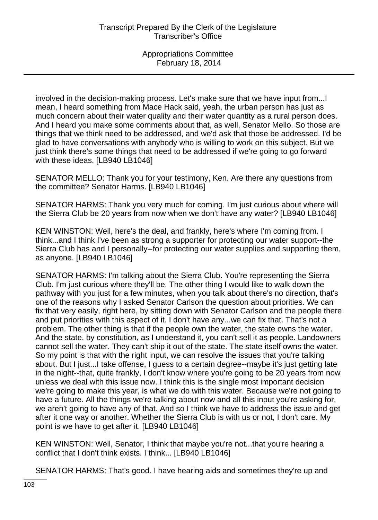involved in the decision-making process. Let's make sure that we have input from...I mean, I heard something from Mace Hack said, yeah, the urban person has just as much concern about their water quality and their water quantity as a rural person does. And I heard you make some comments about that, as well, Senator Mello. So those are things that we think need to be addressed, and we'd ask that those be addressed. I'd be glad to have conversations with anybody who is willing to work on this subject. But we just think there's some things that need to be addressed if we're going to go forward with these ideas. [LB940 LB1046]

SENATOR MELLO: Thank you for your testimony, Ken. Are there any questions from the committee? Senator Harms. [LB940 LB1046]

SENATOR HARMS: Thank you very much for coming. I'm just curious about where will the Sierra Club be 20 years from now when we don't have any water? [LB940 LB1046]

KEN WINSTON: Well, here's the deal, and frankly, here's where I'm coming from. I think...and I think I've been as strong a supporter for protecting our water support--the Sierra Club has and I personally--for protecting our water supplies and supporting them, as anyone. [LB940 LB1046]

SENATOR HARMS: I'm talking about the Sierra Club. You're representing the Sierra Club. I'm just curious where they'll be. The other thing I would like to walk down the pathway with you just for a few minutes, when you talk about there's no direction, that's one of the reasons why I asked Senator Carlson the question about priorities. We can fix that very easily, right here, by sitting down with Senator Carlson and the people there and put priorities with this aspect of it. I don't have any...we can fix that. That's not a problem. The other thing is that if the people own the water, the state owns the water. And the state, by constitution, as I understand it, you can't sell it as people. Landowners cannot sell the water. They can't ship it out of the state. The state itself owns the water. So my point is that with the right input, we can resolve the issues that you're talking about. But I just...I take offense, I guess to a certain degree--maybe it's just getting late in the night--that, quite frankly, I don't know where you're going to be 20 years from now unless we deal with this issue now. I think this is the single most important decision we're going to make this year, is what we do with this water. Because we're not going to have a future. All the things we're talking about now and all this input you're asking for, we aren't going to have any of that. And so I think we have to address the issue and get after it one way or another. Whether the Sierra Club is with us or not, I don't care. My point is we have to get after it. [LB940 LB1046]

KEN WINSTON: Well, Senator, I think that maybe you're not...that you're hearing a conflict that I don't think exists. I think... [LB940 LB1046]

SENATOR HARMS: That's good. I have hearing aids and sometimes they're up and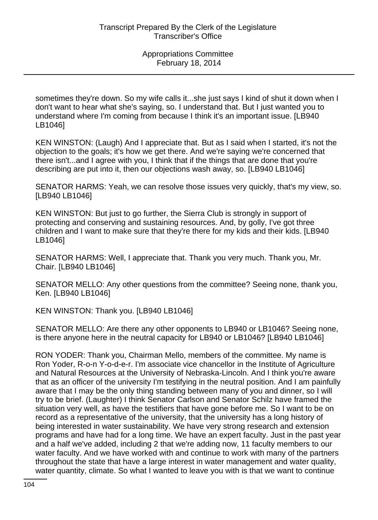sometimes they're down. So my wife calls it...she just says I kind of shut it down when I don't want to hear what she's saying, so. I understand that. But I just wanted you to understand where I'm coming from because I think it's an important issue. [LB940 LB1046]

KEN WINSTON: (Laugh) And I appreciate that. But as I said when I started, it's not the objection to the goals; it's how we get there. And we're saying we're concerned that there isn't...and I agree with you, I think that if the things that are done that you're describing are put into it, then our objections wash away, so. [LB940 LB1046]

SENATOR HARMS: Yeah, we can resolve those issues very quickly, that's my view, so. [LB940 LB1046]

KEN WINSTON: But just to go further, the Sierra Club is strongly in support of protecting and conserving and sustaining resources. And, by golly, I've got three children and I want to make sure that they're there for my kids and their kids. [LB940 LB1046]

SENATOR HARMS: Well, I appreciate that. Thank you very much. Thank you, Mr. Chair. [LB940 LB1046]

SENATOR MELLO: Any other questions from the committee? Seeing none, thank you, Ken. [LB940 LB1046]

KEN WINSTON: Thank you. [LB940 LB1046]

SENATOR MELLO: Are there any other opponents to LB940 or LB1046? Seeing none, is there anyone here in the neutral capacity for LB940 or LB1046? [LB940 LB1046]

RON YODER: Thank you, Chairman Mello, members of the committee. My name is Ron Yoder, R-o-n Y-o-d-e-r. I'm associate vice chancellor in the Institute of Agriculture and Natural Resources at the University of Nebraska-Lincoln. And I think you're aware that as an officer of the university I'm testifying in the neutral position. And I am painfully aware that I may be the only thing standing between many of you and dinner, so I will try to be brief. (Laughter) I think Senator Carlson and Senator Schilz have framed the situation very well, as have the testifiers that have gone before me. So I want to be on record as a representative of the university, that the university has a long history of being interested in water sustainability. We have very strong research and extension programs and have had for a long time. We have an expert faculty. Just in the past year and a half we've added, including 2 that we're adding now, 11 faculty members to our water faculty. And we have worked with and continue to work with many of the partners throughout the state that have a large interest in water management and water quality, water quantity, climate. So what I wanted to leave you with is that we want to continue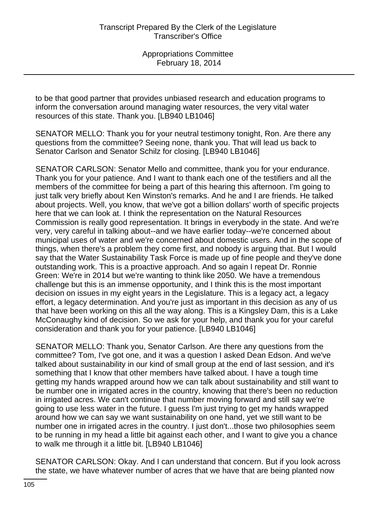to be that good partner that provides unbiased research and education programs to inform the conversation around managing water resources, the very vital water resources of this state. Thank you. [LB940 LB1046]

SENATOR MELLO: Thank you for your neutral testimony tonight, Ron. Are there any questions from the committee? Seeing none, thank you. That will lead us back to Senator Carlson and Senator Schilz for closing. [LB940 LB1046]

SENATOR CARLSON: Senator Mello and committee, thank you for your endurance. Thank you for your patience. And I want to thank each one of the testifiers and all the members of the committee for being a part of this hearing this afternoon. I'm going to just talk very briefly about Ken Winston's remarks. And he and I are friends. He talked about projects. Well, you know, that we've got a billion dollars' worth of specific projects here that we can look at. I think the representation on the Natural Resources Commission is really good representation. It brings in everybody in the state. And we're very, very careful in talking about--and we have earlier today--we're concerned about municipal uses of water and we're concerned about domestic users. And in the scope of things, when there's a problem they come first, and nobody is arguing that. But I would say that the Water Sustainability Task Force is made up of fine people and they've done outstanding work. This is a proactive approach. And so again I repeat Dr. Ronnie Green: We're in 2014 but we're wanting to think like 2050. We have a tremendous challenge but this is an immense opportunity, and I think this is the most important decision on issues in my eight years in the Legislature. This is a legacy act, a legacy effort, a legacy determination. And you're just as important in this decision as any of us that have been working on this all the way along. This is a Kingsley Dam, this is a Lake McConaughy kind of decision. So we ask for your help, and thank you for your careful consideration and thank you for your patience. [LB940 LB1046]

SENATOR MELLO: Thank you, Senator Carlson. Are there any questions from the committee? Tom, I've got one, and it was a question I asked Dean Edson. And we've talked about sustainability in our kind of small group at the end of last session, and it's something that I know that other members have talked about. I have a tough time getting my hands wrapped around how we can talk about sustainability and still want to be number one in irrigated acres in the country, knowing that there's been no reduction in irrigated acres. We can't continue that number moving forward and still say we're going to use less water in the future. I guess I'm just trying to get my hands wrapped around how we can say we want sustainability on one hand, yet we still want to be number one in irrigated acres in the country. I just don't...those two philosophies seem to be running in my head a little bit against each other, and I want to give you a chance to walk me through it a little bit. [LB940 LB1046]

SENATOR CARLSON: Okay. And I can understand that concern. But if you look across the state, we have whatever number of acres that we have that are being planted now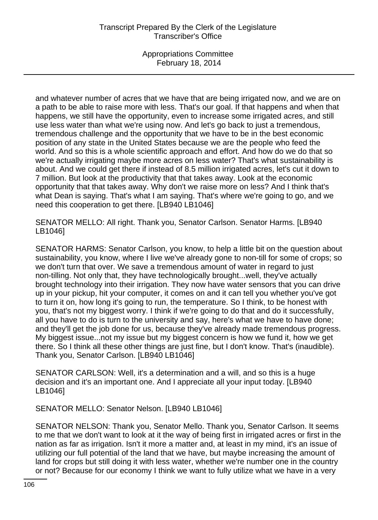and whatever number of acres that we have that are being irrigated now, and we are on a path to be able to raise more with less. That's our goal. If that happens and when that happens, we still have the opportunity, even to increase some irrigated acres, and still use less water than what we're using now. And let's go back to just a tremendous, tremendous challenge and the opportunity that we have to be in the best economic position of any state in the United States because we are the people who feed the world. And so this is a whole scientific approach and effort. And how do we do that so we're actually irrigating maybe more acres on less water? That's what sustainability is about. And we could get there if instead of 8.5 million irrigated acres, let's cut it down to 7 million. But look at the productivity that that takes away. Look at the economic opportunity that that takes away. Why don't we raise more on less? And I think that's what Dean is saying. That's what I am saying. That's where we're going to go, and we need this cooperation to get there. [LB940 LB1046]

SENATOR MELLO: All right. Thank you, Senator Carlson. Senator Harms. [LB940 LB1046]

SENATOR HARMS: Senator Carlson, you know, to help a little bit on the question about sustainability, you know, where I live we've already gone to non-till for some of crops; so we don't turn that over. We save a tremendous amount of water in regard to just non-tilling. Not only that, they have technologically brought...well, they've actually brought technology into their irrigation. They now have water sensors that you can drive up in your pickup, hit your computer, it comes on and it can tell you whether you've got to turn it on, how long it's going to run, the temperature. So I think, to be honest with you, that's not my biggest worry. I think if we're going to do that and do it successfully, all you have to do is turn to the university and say, here's what we have to have done; and they'll get the job done for us, because they've already made tremendous progress. My biggest issue...not my issue but my biggest concern is how we fund it, how we get there. So I think all these other things are just fine, but I don't know. That's (inaudible). Thank you, Senator Carlson. [LB940 LB1046]

SENATOR CARLSON: Well, it's a determination and a will, and so this is a huge decision and it's an important one. And I appreciate all your input today. [LB940 LB1046]

SENATOR MELLO: Senator Nelson. [LB940 LB1046]

SENATOR NELSON: Thank you, Senator Mello. Thank you, Senator Carlson. It seems to me that we don't want to look at it the way of being first in irrigated acres or first in the nation as far as irrigation. Isn't it more a matter and, at least in my mind, it's an issue of utilizing our full potential of the land that we have, but maybe increasing the amount of land for crops but still doing it with less water, whether we're number one in the country or not? Because for our economy I think we want to fully utilize what we have in a very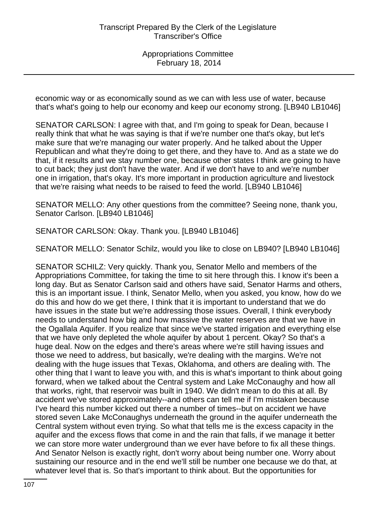economic way or as economically sound as we can with less use of water, because that's what's going to help our economy and keep our economy strong. [LB940 LB1046]

SENATOR CARLSON: I agree with that, and I'm going to speak for Dean, because I really think that what he was saying is that if we're number one that's okay, but let's make sure that we're managing our water properly. And he talked about the Upper Republican and what they're doing to get there, and they have to. And as a state we do that, if it results and we stay number one, because other states I think are going to have to cut back; they just don't have the water. And if we don't have to and we're number one in irrigation, that's okay. It's more important in production agriculture and livestock that we're raising what needs to be raised to feed the world. [LB940 LB1046]

SENATOR MELLO: Any other questions from the committee? Seeing none, thank you, Senator Carlson. [LB940 LB1046]

SENATOR CARLSON: Okay. Thank you. [LB940 LB1046]

SENATOR MELLO: Senator Schilz, would you like to close on LB940? [LB940 LB1046]

SENATOR SCHILZ: Very quickly. Thank you, Senator Mello and members of the Appropriations Committee, for taking the time to sit here through this. I know it's been a long day. But as Senator Carlson said and others have said, Senator Harms and others, this is an important issue. I think, Senator Mello, when you asked, you know, how do we do this and how do we get there, I think that it is important to understand that we do have issues in the state but we're addressing those issues. Overall, I think everybody needs to understand how big and how massive the water reserves are that we have in the Ogallala Aquifer. If you realize that since we've started irrigation and everything else that we have only depleted the whole aquifer by about 1 percent. Okay? So that's a huge deal. Now on the edges and there's areas where we're still having issues and those we need to address, but basically, we're dealing with the margins. We're not dealing with the huge issues that Texas, Oklahoma, and others are dealing with. The other thing that I want to leave you with, and this is what's important to think about going forward, when we talked about the Central system and Lake McConaughy and how all that works, right, that reservoir was built in 1940. We didn't mean to do this at all. By accident we've stored approximately--and others can tell me if I'm mistaken because I've heard this number kicked out there a number of times--but on accident we have stored seven Lake McConaughys underneath the ground in the aquifer underneath the Central system without even trying. So what that tells me is the excess capacity in the aquifer and the excess flows that come in and the rain that falls, if we manage it better we can store more water underground than we ever have before to fix all these things. And Senator Nelson is exactly right, don't worry about being number one. Worry about sustaining our resource and in the end we'll still be number one because we do that, at whatever level that is. So that's important to think about. But the opportunities for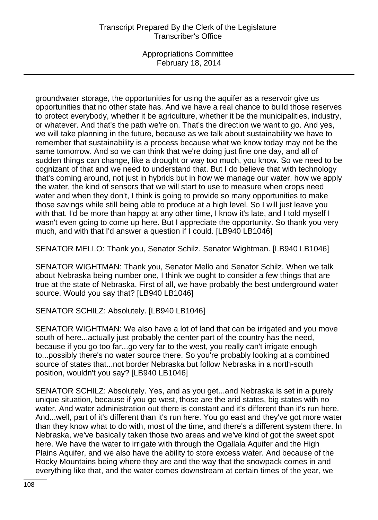groundwater storage, the opportunities for using the aquifer as a reservoir give us opportunities that no other state has. And we have a real chance to build those reserves to protect everybody, whether it be agriculture, whether it be the municipalities, industry, or whatever. And that's the path we're on. That's the direction we want to go. And yes, we will take planning in the future, because as we talk about sustainability we have to remember that sustainability is a process because what we know today may not be the same tomorrow. And so we can think that we're doing just fine one day, and all of sudden things can change, like a drought or way too much, you know. So we need to be cognizant of that and we need to understand that. But I do believe that with technology that's coming around, not just in hybrids but in how we manage our water, how we apply the water, the kind of sensors that we will start to use to measure when crops need water and when they don't, I think is going to provide so many opportunities to make those savings while still being able to produce at a high level. So I will just leave you with that. I'd be more than happy at any other time, I know it's late, and I told myself I wasn't even going to come up here. But I appreciate the opportunity. So thank you very much, and with that I'd answer a question if I could. [LB940 LB1046]

SENATOR MELLO: Thank you, Senator Schilz. Senator Wightman. [LB940 LB1046]

SENATOR WIGHTMAN: Thank you, Senator Mello and Senator Schilz. When we talk about Nebraska being number one, I think we ought to consider a few things that are true at the state of Nebraska. First of all, we have probably the best underground water source. Would you say that? [LB940 LB1046]

SENATOR SCHILZ: Absolutely. [LB940 LB1046]

SENATOR WIGHTMAN: We also have a lot of land that can be irrigated and you move south of here...actually just probably the center part of the country has the need, because if you go too far...go very far to the west, you really can't irrigate enough to...possibly there's no water source there. So you're probably looking at a combined source of states that...not border Nebraska but follow Nebraska in a north-south position, wouldn't you say? [LB940 LB1046]

SENATOR SCHILZ: Absolutely. Yes, and as you get...and Nebraska is set in a purely unique situation, because if you go west, those are the arid states, big states with no water. And water administration out there is constant and it's different than it's run here. And...well, part of it's different than it's run here. You go east and they've got more water than they know what to do with, most of the time, and there's a different system there. In Nebraska, we've basically taken those two areas and we've kind of got the sweet spot here. We have the water to irrigate with through the Ogallala Aquifer and the High Plains Aquifer, and we also have the ability to store excess water. And because of the Rocky Mountains being where they are and the way that the snowpack comes in and everything like that, and the water comes downstream at certain times of the year, we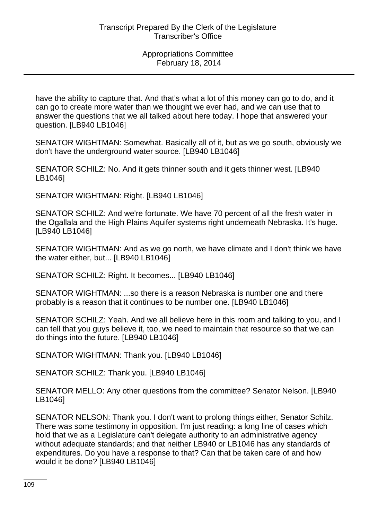Appropriations Committee February 18, 2014

have the ability to capture that. And that's what a lot of this money can go to do, and it can go to create more water than we thought we ever had, and we can use that to answer the questions that we all talked about here today. I hope that answered your question. [LB940 LB1046]

SENATOR WIGHTMAN: Somewhat. Basically all of it, but as we go south, obviously we don't have the underground water source. [LB940 LB1046]

SENATOR SCHILZ: No. And it gets thinner south and it gets thinner west. [LB940 LB1046]

SENATOR WIGHTMAN: Right. [LB940 LB1046]

SENATOR SCHILZ: And we're fortunate. We have 70 percent of all the fresh water in the Ogallala and the High Plains Aquifer systems right underneath Nebraska. It's huge. [LB940 LB1046]

SENATOR WIGHTMAN: And as we go north, we have climate and I don't think we have the water either, but... [LB940 LB1046]

SENATOR SCHILZ: Right. It becomes... [LB940 LB1046]

SENATOR WIGHTMAN: ...so there is a reason Nebraska is number one and there probably is a reason that it continues to be number one. [LB940 LB1046]

SENATOR SCHILZ: Yeah. And we all believe here in this room and talking to you, and I can tell that you guys believe it, too, we need to maintain that resource so that we can do things into the future. [LB940 LB1046]

SENATOR WIGHTMAN: Thank you. [LB940 LB1046]

SENATOR SCHILZ: Thank you. [LB940 LB1046]

SENATOR MELLO: Any other questions from the committee? Senator Nelson. [LB940 LB1046]

SENATOR NELSON: Thank you. I don't want to prolong things either, Senator Schilz. There was some testimony in opposition. I'm just reading: a long line of cases which hold that we as a Legislature can't delegate authority to an administrative agency without adequate standards; and that neither LB940 or LB1046 has any standards of expenditures. Do you have a response to that? Can that be taken care of and how would it be done? [LB940 LB1046]